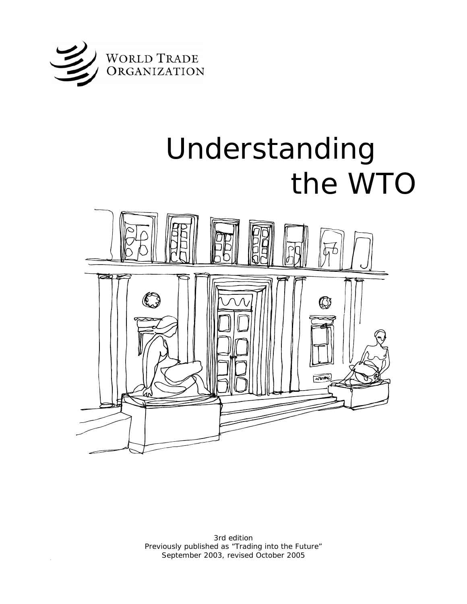

# Understanding the WTO



3rd edition Previously published as "Trading into the Future" September 2003, revised October 2005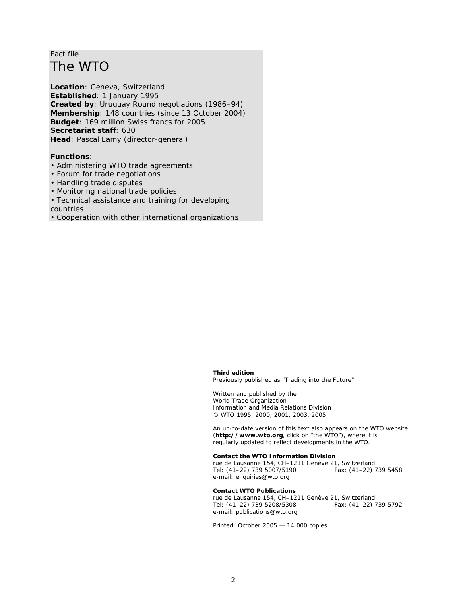# Fact file The WTO

**Location**: Geneva, Switzerland **Established**: 1 January 1995 **Created by**: Uruguay Round negotiations (1986–94) **Membership**: 148 countries (since 13 October 2004) **Budget**: 169 million Swiss francs for 2005 **Secretariat staff**: 630 **Head**: Pascal Lamy (director-general)

# **Functions**:

• Administering WTO trade agreements

- Forum for trade negotiations
- Handling trade disputes
- Monitoring national trade policies

• Technical assistance and training for developing countries

• Cooperation with other international organizations

#### **Third edition**

Previously published as "Trading into the Future"

Written and published by the World Trade Organization Information and Media Relations Division © WTO 1995, 2000, 2001, 2003, 2005

An up-to-date version of this text also appears on the WTO website (**http://www.wto.org**, click on "the WTO"), where it is regularly updated to reflect developments in the WTO.

#### **Contact the WTO Information Division**

rue de Lausanne 154, CH–1211 Genève 21, Switzerland Tel: (41–22) 739 5007/5190 Fax: (41–22) 739 5458 e-mail: enquiries@wto.org

#### **Contact WTO Publications**

rue de Lausanne 154, CH–1211 Genève 21, Switzerland Tel: (41–22) 739 5208/5308 Fax: (41–22) 739 5792 e-mail: publications@wto.org

Printed: October 2005 — 14 000 copies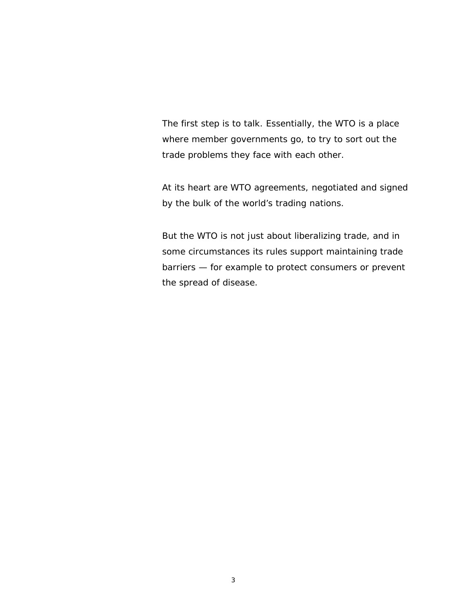The first step is to talk. Essentially, the WTO is a place where member governments go, to try to sort out the trade problems they face with each other.

At its heart are WTO agreements, negotiated and signed by the bulk of the world's trading nations.

But the WTO is not just about liberalizing trade, and in some circumstances its rules support maintaining trade barriers — for example to protect consumers or prevent the spread of disease.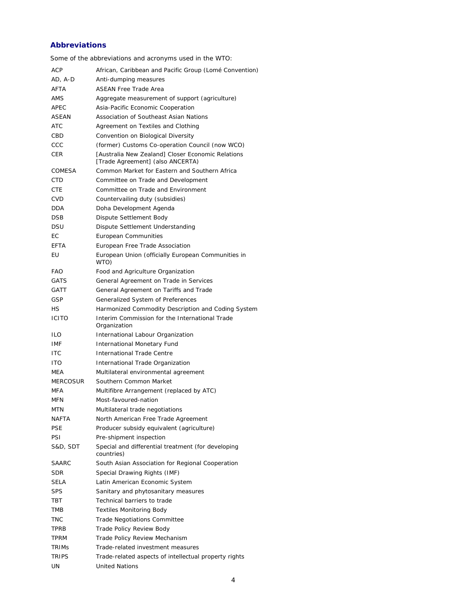# **Abbreviations**

Some of the abbreviations and acronyms used in the WTO:

| ACP             | African, Caribbean and Pacific Group (Lomé Convention)                                |
|-----------------|---------------------------------------------------------------------------------------|
| AD, A-D         | Anti-dumping measures                                                                 |
| <b>AFTA</b>     | <b>ASEAN Free Trade Area</b>                                                          |
| AMS             | Aggregate measurement of support (agriculture)                                        |
| APEC            | Asia-Pacific Economic Cooperation                                                     |
| ASEAN           | Association of Southeast Asian Nations                                                |
| <b>ATC</b>      | Agreement on Textiles and Clothing                                                    |
| CBD             | Convention on Biological Diversity                                                    |
| CCC             | (former) Customs Co-operation Council (now WCO)                                       |
| CER             | [Australia New Zealand] Closer Economic Relations<br>[Trade Agreement] (also ANCERTA) |
| <b>COMESA</b>   | Common Market for Eastern and Southern Africa                                         |
| <b>CTD</b>      | Committee on Trade and Development                                                    |
| <b>CTE</b>      | Committee on Trade and Environment                                                    |
| <b>CVD</b>      | Countervailing duty (subsidies)                                                       |
| <b>DDA</b>      | Doha Development Agenda                                                               |
| <b>DSB</b>      | Dispute Settlement Body                                                               |
| <b>DSU</b>      | Dispute Settlement Understanding                                                      |
| FC.             | European Communities                                                                  |
| EFTA            | European Free Trade Association                                                       |
| EU              | European Union (officially European Communities in                                    |
|                 | WTO)                                                                                  |
| <b>FAO</b>      | Food and Agriculture Organization                                                     |
| <b>GATS</b>     | General Agreement on Trade in Services                                                |
| <b>GATT</b>     | General Agreement on Tariffs and Trade                                                |
| GSP             | Generalized System of Preferences                                                     |
| HS.             | Harmonized Commodity Description and Coding System                                    |
| <b>ICITO</b>    | Interim Commission for the International Trade<br>Organization                        |
| ILO             | International Labour Organization                                                     |
| <b>IMF</b>      | International Monetary Fund                                                           |
| <b>ITC</b>      | <b>International Trade Centre</b>                                                     |
| <b>ITO</b>      | International Trade Organization                                                      |
| MEA             | Multilateral environmental agreement                                                  |
| <b>MERCOSUR</b> | Southern Common Market                                                                |
| <b>MFA</b>      | Multifibre Arrangement (replaced by ATC)                                              |
| MFN             | Most-favoured-nation                                                                  |
| MTN             | Multilateral trade negotiations                                                       |
| NAFTA           | North American Free Trade Agreement                                                   |
| <b>PSE</b>      | Producer subsidy equivalent (agriculture)                                             |
| PSI             | Pre-shipment inspection                                                               |
| S&D, SDT        | Special and differential treatment (for developing<br>countries)                      |
| <b>SAARC</b>    | South Asian Association for Regional Cooperation                                      |
| SDR             | Special Drawing Rights (IMF)                                                          |
| SELA            | Latin American Economic System                                                        |
| SPS             | Sanitary and phytosanitary measures                                                   |
| TBT             | Technical barriers to trade                                                           |
| TMB             | <b>Textiles Monitoring Body</b>                                                       |
| TNC             | <b>Trade Negotiations Committee</b>                                                   |
| TPRB            | Trade Policy Review Body                                                              |
| TPRM            | Trade Policy Review Mechanism                                                         |
| TRIMs           | Trade-related investment measures                                                     |
| <b>TRIPS</b>    | Trade-related aspects of intellectual property rights                                 |
| UN              | <b>United Nations</b>                                                                 |
|                 |                                                                                       |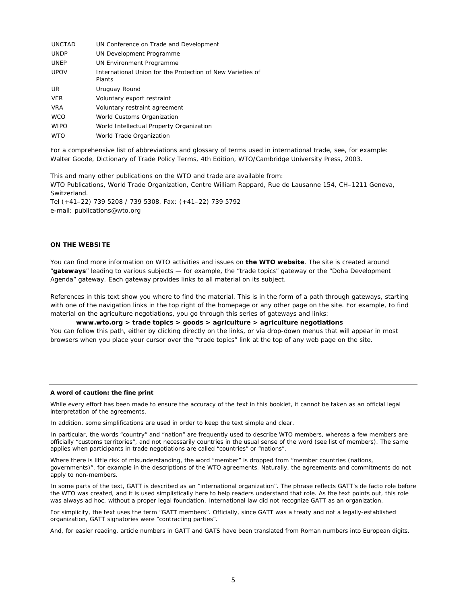| <b>UNCTAD</b> | UN Conference on Trade and Development                               |
|---------------|----------------------------------------------------------------------|
| <b>UNDP</b>   | UN Development Programme                                             |
| <b>UNEP</b>   | UN Environment Programme                                             |
| <b>UPOV</b>   | International Union for the Protection of New Varieties of<br>Plants |
| UR            | Uruguay Round                                                        |
| <b>VER</b>    | Voluntary export restraint                                           |
| <b>VRA</b>    | Voluntary restraint agreement                                        |
| <b>WCO</b>    | World Customs Organization                                           |
| <b>WIPO</b>   | World Intellectual Property Organization                             |
| <b>WTO</b>    | World Trade Organization                                             |

For a comprehensive list of abbreviations and glossary of terms used in international trade, see, for example: Walter Goode, *Dictionary of Trade Policy Terms*, 4th Edition, WTO/Cambridge University Press, 2003.

This and many other publications on the WTO and trade are available from: WTO Publications, World Trade Organization, Centre William Rappard, Rue de Lausanne 154, CH–1211 Geneva, Switzerland. Tel (+41–22) 739 5208 / 739 5308. Fax: (+41–22) 739 5792

e-mail: publications@wto.org

# **ON THE WEBSITE**

You can find more information on WTO activities and issues on **the WTO website**. The site is created around "**gateways**" leading to various subjects — for example, the "trade topics" gateway or the "Doha Development Agenda" gateway. Each gateway provides links to all material on its subject.

References in this text show you where to find the material. This is in the form of a path through gateways, starting with one of the navigation links in the top right of the homepage or any other page on the site. For example, to find material on the agriculture negotiations, you go through this series of gateways and links:

**www.wto.org > trade topics > goods > agriculture > agriculture negotiations** You can follow this path, either by clicking directly on the links, or via drop-down menus that will appear in most browsers when you place your cursor over the "trade topics" link at the top of any web page on the site.

#### **A word of caution: the fine print**

While every effort has been made to ensure the accuracy of the text in this booklet, it cannot be taken as an official legal interpretation of the agreements.

In addition, some simplifications are used in order to keep the text simple and clear.

In particular, the words "country" and "nation" are frequently used to describe WTO members, whereas a few members are officially "customs territories", and not necessarily countries in the usual sense of the word (see list of members). The same applies when participants in trade negotiations are called "countries" or "nations".

Where there is little risk of misunderstanding, the word "member" is dropped from "member countries (nations, governments)", for example in the descriptions of the WTO agreements. Naturally, the agreements and commitments do not apply to non-members.

In some parts of the text, GATT is described as an "international organization". The phrase reflects GATT's *de facto* role before the WTO was created, and it is used simplistically here to help readers understand that role. As the text points out, this role was always ad hoc, without a proper legal foundation. International law did not recognize GATT as an organization.

For simplicity, the text uses the term "GATT members". Officially, since GATT was a treaty and not a legally-established organization, GATT signatories were "contracting parties".

And, for easier reading, article numbers in GATT and GATS have been translated from Roman numbers into European digits.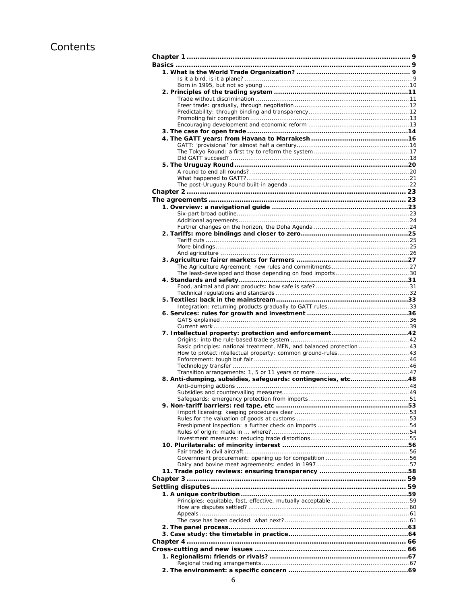# Contents

| Basic principles: national treatment, MFN, and balanced protection  43 |  |
|------------------------------------------------------------------------|--|
|                                                                        |  |
|                                                                        |  |
|                                                                        |  |
|                                                                        |  |
| 8. Anti-dumping, subsidies, safeguards: contingencies, etc48           |  |
|                                                                        |  |
|                                                                        |  |
|                                                                        |  |
|                                                                        |  |
|                                                                        |  |
|                                                                        |  |
|                                                                        |  |
|                                                                        |  |
|                                                                        |  |
|                                                                        |  |
|                                                                        |  |
|                                                                        |  |
|                                                                        |  |
|                                                                        |  |
|                                                                        |  |
|                                                                        |  |
|                                                                        |  |
|                                                                        |  |
|                                                                        |  |
|                                                                        |  |
|                                                                        |  |
|                                                                        |  |
|                                                                        |  |
|                                                                        |  |
|                                                                        |  |
|                                                                        |  |
|                                                                        |  |
|                                                                        |  |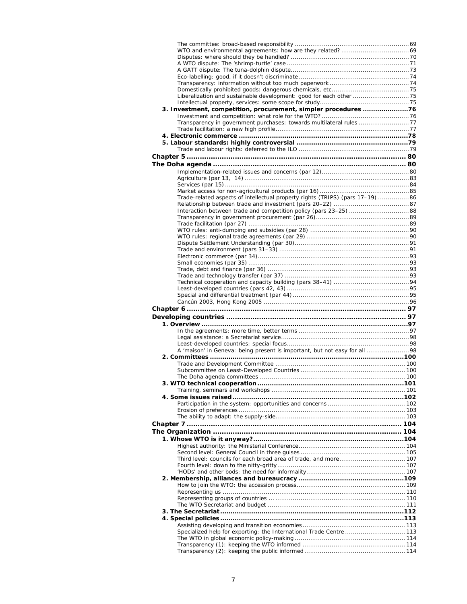| Liberalization and sustainable development: good for each other 75            |  |
|-------------------------------------------------------------------------------|--|
|                                                                               |  |
| 3. Investment, competition, procurement, simpler procedures 76                |  |
|                                                                               |  |
| Transparency in government purchases: towards multilateral rules 77           |  |
|                                                                               |  |
|                                                                               |  |
|                                                                               |  |
|                                                                               |  |
|                                                                               |  |
|                                                                               |  |
|                                                                               |  |
|                                                                               |  |
|                                                                               |  |
|                                                                               |  |
| Trade-related aspects of intellectual property rights (TRIPS) (pars 17-19) 86 |  |
|                                                                               |  |
|                                                                               |  |
|                                                                               |  |
|                                                                               |  |
|                                                                               |  |
|                                                                               |  |
|                                                                               |  |
|                                                                               |  |
|                                                                               |  |
|                                                                               |  |
|                                                                               |  |
|                                                                               |  |
|                                                                               |  |
|                                                                               |  |
|                                                                               |  |
|                                                                               |  |
|                                                                               |  |
|                                                                               |  |
|                                                                               |  |
| 1. Overview ………………………………………………………………………………………97                               |  |
|                                                                               |  |
|                                                                               |  |
|                                                                               |  |
| A 'maison' in Geneva: being present is important, but not easy for all 98     |  |
|                                                                               |  |
|                                                                               |  |
|                                                                               |  |
|                                                                               |  |
|                                                                               |  |
|                                                                               |  |
|                                                                               |  |
|                                                                               |  |
|                                                                               |  |
|                                                                               |  |
|                                                                               |  |
|                                                                               |  |
|                                                                               |  |
|                                                                               |  |
|                                                                               |  |
|                                                                               |  |
|                                                                               |  |
|                                                                               |  |
|                                                                               |  |
|                                                                               |  |
|                                                                               |  |
|                                                                               |  |
|                                                                               |  |
|                                                                               |  |
|                                                                               |  |
|                                                                               |  |
|                                                                               |  |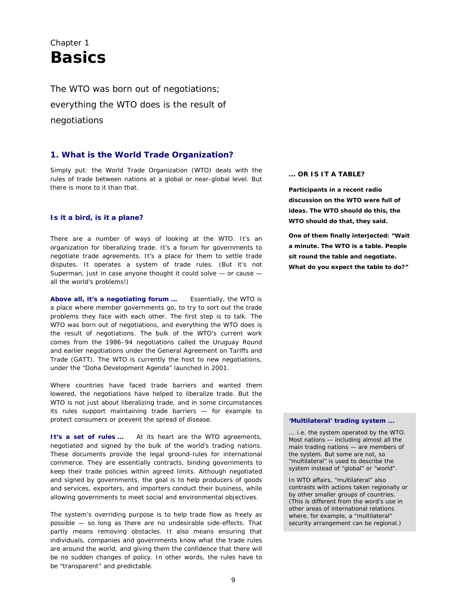# Chapter 1 **Basics**

The WTO was born out of negotiations; everything the WTO does is the result of negotiations

# **1. What is the World Trade Organization?**

Simply put: the World Trade Organization (WTO) deals with the rules of trade between nations at a global or near-global level. But there is more to it than that.

# **Is it a bird, is it a plane?**

There are a number of ways of looking at the WTO. It's an organization for liberalizing trade. It's a forum for governments to negotiate trade agreements. It's a place for them to settle trade disputes. It operates a system of trade rules. (But it's not Superman, just in case anyone thought it could solve — or cause all the world's problems!)

**Above all, it's a negotiating forum …** Essentially, the WTO is a place where member governments go, to try to sort out the trade problems they face with each other. The first step is to talk. The WTO was born out of negotiations, and everything the WTO does is the result of negotiations. The bulk of the WTO's current work comes from the 1986–94 negotiations called the Uruguay Round and earlier negotiations under the General Agreement on Tariffs and Trade (GATT). The WTO is currently the host to new negotiations, under the "Doha Development Agenda" launched in 2001.

Where countries have faced trade barriers and wanted them lowered, the negotiations have helped to liberalize trade. But the WTO is not just about liberalizing trade, and in some circumstances its rules support maintaining trade barriers — for example to protect consumers or prevent the spread of disease.

**It's a set of rules …** At its heart are the WTO agreements, negotiated and signed by the bulk of the world's trading nations. These documents provide the legal ground-rules for international commerce. They are essentially contracts, binding governments to keep their trade policies within agreed limits. Although negotiated and signed by governments, the goal is to help producers of goods and services, exporters, and importers conduct their business, while allowing governments to meet social and environmental objectives.

The system's overriding purpose is to help trade flow as freely as possible — so long as there are no undesirable side-effects. That partly means removing obstacles. It also means ensuring that individuals, companies and governments know what the trade rules are around the world, and giving them the confidence that there will be no sudden changes of policy. In other words, the rules have to be "transparent" and predictable.

#### **... OR IS IT A TABLE?**

**Participants in a recent radio discussion on the WTO were full of ideas. The WTO should do this, the WTO should do that, they said.** 

**One of them finally interjected: "Wait a minute. The WTO is a table. People sit round the table and negotiate. What do you expect the table to do?"**

#### **'Multilateral' trading system ...**

... i.e. the system operated by the WTO. Most nations — including almost all the main trading nations — are members of the system. But some are not, so "multilateral" is used to describe the system instead of "global" or "world".

In WTO affairs, "multilateral" also contrasts with actions taken regionally or by other smaller groups of countries. (This is different from the word's use in other areas of international relations where, for example, a "multilateral" security arrangement can be regional.)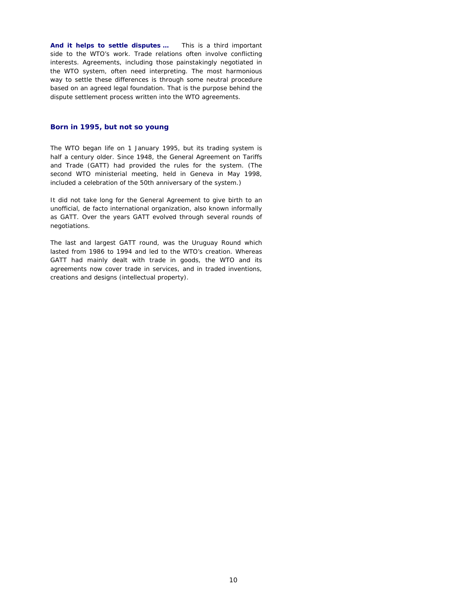**And it helps to settle disputes …** This is a third important side to the WTO's work. Trade relations often involve conflicting interests. Agreements, including those painstakingly negotiated in the WTO system, often need interpreting. The most harmonious way to settle these differences is through some neutral procedure based on an agreed legal foundation. That is the purpose behind the dispute settlement process written into the WTO agreements.

#### **Born in 1995, but not so young**

The WTO began life on 1 January 1995, but its trading system is half a century older. Since 1948, the General Agreement on Tariffs and Trade (GATT) had provided the rules for the system. (The second WTO ministerial meeting, held in Geneva in May 1998, included a celebration of the 50th anniversary of the system.)

It did not take long for the General Agreement to give birth to an unofficial, *de facto* international organization, also known informally as GATT. Over the years GATT evolved through several rounds of negotiations.

The last and largest GATT round, was the Uruguay Round which lasted from 1986 to 1994 and led to the WTO's creation. Whereas GATT had mainly dealt with trade in goods, the WTO and its agreements now cover trade in services, and in traded inventions, creations and designs (intellectual property).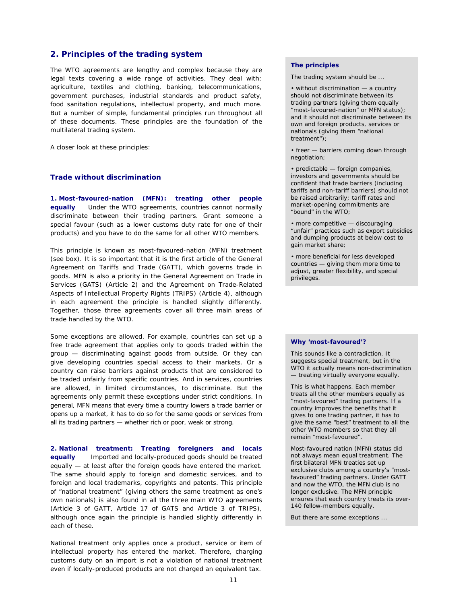# **2. Principles of the trading system**

The WTO agreements are lengthy and complex because they are legal texts covering a wide range of activities. They deal with: agriculture, textiles and clothing, banking, telecommunications, government purchases, industrial standards and product safety, food sanitation regulations, intellectual property, and much more. But a number of simple, fundamental principles run throughout all of these documents. These principles are the foundation of the multilateral trading system.

A closer look at these principles:

#### **Trade without discrimination**

**1. Most-favoured-nation (MFN): treating other people equally** Under the WTO agreements, countries cannot normally discriminate between their trading partners. Grant someone a special favour (such as a lower customs duty rate for one of their products) and you have to do the same for all other WTO members.

This principle is known as most-favoured-nation (MFN) treatment (*see box*). It is so important that it is the first article of the General Agreement on Tariffs and Trade (GATT), which governs trade in goods. MFN is also a priority in the General Agreement on Trade in Services (GATS) (Article 2) and the Agreement on Trade-Related Aspects of Intellectual Property Rights (TRIPS) (Article 4), although in each agreement the principle is handled slightly differently. Together, those three agreements cover all three main areas of trade handled by the WTO.

Some exceptions are allowed. For example, countries can set up a free trade agreement that applies only to goods traded within the group — discriminating against goods from outside. Or they can give developing countries special access to their markets. Or a country can raise barriers against products that are considered to be traded unfairly from specific countries. And in services, countries are allowed, in limited circumstances, to discriminate. But the agreements only permit these exceptions under strict conditions. In general, MFN means that every time a country lowers a trade barrier or opens up a market, it has to do so for the same goods or services from all its trading partners — whether rich or poor, weak or strong.

**2. National treatment: Treating foreigners and locals equally** Imported and locally-produced goods should be treated equally — at least after the foreign goods have entered the market. The same should apply to foreign and domestic services, and to foreign and local trademarks, copyrights and patents. This principle of "national treatment" (giving others the same treatment as one's own nationals) is also found in all the three main WTO agreements (Article 3 of GATT, Article 17 of GATS and Article 3 of TRIPS), although once again the principle is handled slightly differently in each of these.

National treatment only applies once a product, service or item of intellectual property has entered the market. Therefore, charging customs duty on an import is not a violation of national treatment even if locally-produced products are not charged an equivalent tax.

#### **The principles**

The trading system should be ...

• without discrimination — a country should not discriminate between its trading partners (giving them equally "most-favoured-nation" or MFN status); and it should not discriminate between its own and foreign products, services or nationals (giving them "national treatment");

• freer — barriers coming down through negotiation;

• predictable — foreign companies, investors and governments should be confident that trade barriers (including tariffs and non-tariff barriers) should not be raised arbitrarily; tariff rates and market-opening commitments are "bound" in the WTO;

• more competitive - discouraging "unfair" practices such as export subsidies and dumping products at below cost to gain market share;

• more beneficial for less developed countries — giving them more time to adjust, greater flexibility, and special privileges.

#### **Why 'most-favoured'?**

This sounds like a contradiction. It suggests special treatment, but in the WTO it actually means non-discrimination — treating virtually everyone equally.

This is what happens. Each member treats all the other members equally as "most-favoured" trading partners. If a country improves the benefits that it gives to one trading partner, it has to give the same "best" treatment to all the other WTO members so that they all remain "most-favoured".

Most-favoured nation (MFN) status did not always mean equal treatment. The first bilateral MFN treaties set up exclusive clubs among a country's "mostfavoured" trading partners. Under GATT and now the WTO, the MFN club is no longer exclusive. The MFN principle ensures that each country treats its over-140 fellow-members equally.

But there are some exceptions ...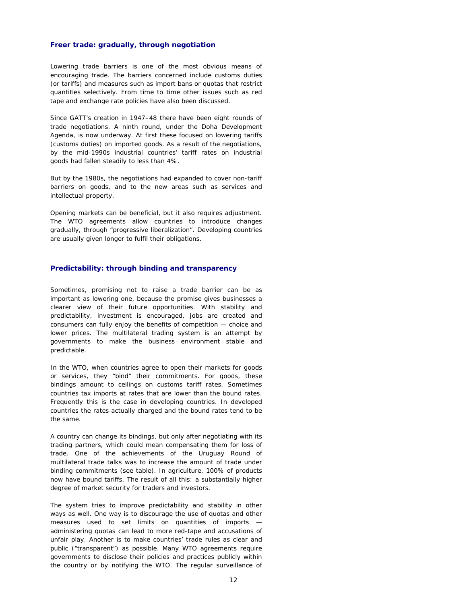#### **Freer trade: gradually, through negotiation**

Lowering trade barriers is one of the most obvious means of encouraging trade. The barriers concerned include customs duties (or tariffs) and measures such as import bans or quotas that restrict quantities selectively. From time to time other issues such as red tape and exchange rate policies have also been discussed.

Since GATT's creation in 1947–48 there have been eight rounds of trade negotiations. A ninth round, under the Doha Development Agenda, is now underway. At first these focused on lowering tariffs (customs duties) on imported goods. As a result of the negotiations, by the mid-1990s industrial countries' tariff rates on industrial goods had fallen steadily to less than 4%.

But by the 1980s, the negotiations had expanded to cover non-tariff barriers on goods, and to the new areas such as services and intellectual property.

Opening markets can be beneficial, but it also requires adjustment. The WTO agreements allow countries to introduce changes gradually, through "progressive liberalization". Developing countries are usually given longer to fulfil their obligations.

# **Predictability: through binding and transparency**

Sometimes, promising not to raise a trade barrier can be as important as lowering one, because the promise gives businesses a clearer view of their future opportunities. With stability and predictability, investment is encouraged, jobs are created and consumers can fully enjoy the benefits of competition — choice and lower prices. The multilateral trading system is an attempt by governments to make the business environment stable and predictable.

In the WTO, when countries agree to open their markets for goods or services, they "bind" their commitments. For goods, these bindings amount to ceilings on customs tariff rates. Sometimes countries tax imports at rates that are lower than the bound rates. Frequently this is the case in developing countries. In developed countries the rates actually charged and the bound rates tend to be the same.

A country can change its bindings, but only after negotiating with its trading partners, which could mean compensating them for loss of trade. One of the achievements of the Uruguay Round of multilateral trade talks was to increase the amount of trade under binding commitments (*see table*). In agriculture, 100% of products now have bound tariffs. The result of all this: a substantially higher degree of market security for traders and investors.

The system tries to improve predictability and stability in other ways as well. One way is to discourage the use of quotas and other measures used to set limits on quantities of imports administering quotas can lead to more red-tape and accusations of unfair play. Another is to make countries' trade rules as clear and public ("transparent") as possible. Many WTO agreements require governments to disclose their policies and practices publicly within the country or by notifying the WTO. The regular surveillance of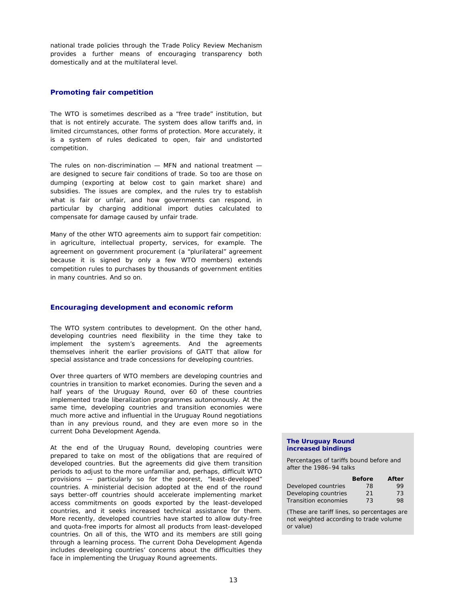national trade policies through the Trade Policy Review Mechanism provides a further means of encouraging transparency both domestically and at the multilateral level.

#### **Promoting fair competition**

The WTO is sometimes described as a "free trade" institution, but that is not entirely accurate. The system does allow tariffs and, in limited circumstances, other forms of protection. More accurately, it is a system of rules dedicated to open, fair and undistorted competition.

The rules on non-discrimination — MFN and national treatment are designed to secure fair conditions of trade. So too are those on dumping (exporting at below cost to gain market share) and subsidies. The issues are complex, and the rules try to establish what is fair or unfair, and how governments can respond, in particular by charging additional import duties calculated to compensate for damage caused by unfair trade.

Many of the other WTO agreements aim to support fair competition: in agriculture, intellectual property, services, for example. The agreement on government procurement (a "plurilateral" agreement because it is signed by only a few WTO members) extends competition rules to purchases by thousands of government entities in many countries. And so on.

#### **Encouraging development and economic reform**

The WTO system contributes to development. On the other hand, developing countries need flexibility in the time they take to implement the system's agreements. And the agreements themselves inherit the earlier provisions of GATT that allow for special assistance and trade concessions for developing countries.

Over three quarters of WTO members are developing countries and countries in transition to market economies. During the seven and a half years of the Uruguay Round, over 60 of these countries implemented trade liberalization programmes autonomously. At the same time, developing countries and transition economies were much more active and influential in the Uruguay Round negotiations than in any previous round, and they are even more so in the current Doha Development Agenda.

At the end of the Uruguay Round, developing countries were prepared to take on most of the obligations that are required of developed countries. But the agreements did give them transition periods to adjust to the more unfamiliar and, perhaps, difficult WTO provisions — particularly so for the poorest, "least-developed" countries. A ministerial decision adopted at the end of the round says better-off countries should accelerate implementing market access commitments on goods exported by the least-developed countries, and it seeks increased technical assistance for them. More recently, developed countries have started to allow duty-free and quota-free imports for almost all products from least-developed countries. On all of this, the WTO and its members are still going through a learning process. The current Doha Development Agenda includes developing countries' concerns about the difficulties they face in implementing the Uruguay Round agreements.

#### **The Uruguay Round increased bindings**

Percentages of tariffs bound before and after the 1986–94 talks

| <b>Before</b> | After |
|---------------|-------|
| 78            | 99    |
| 21            | 73    |
| 73            | 98    |
|               |       |

(These are tariff lines, so percentages are not weighted according to trade volume or value)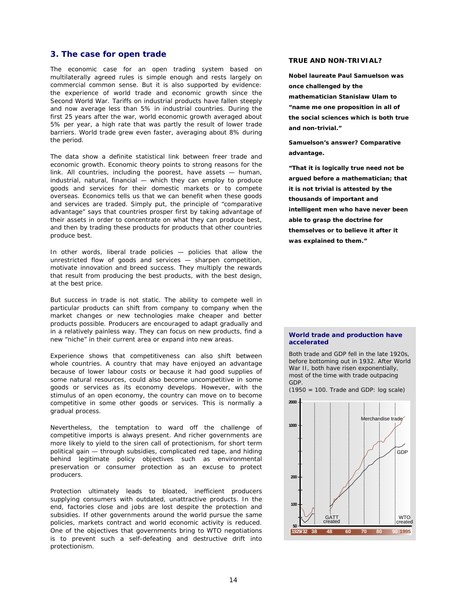# **3. The case for open trade**

The economic case for an open trading system based on multilaterally agreed rules is simple enough and rests largely on commercial common sense. But it is also supported by evidence: the experience of world trade and economic growth since the Second World War. Tariffs on industrial products have fallen steeply and now average less than 5% in industrial countries. During the first 25 years after the war, world economic growth averaged about 5% per year, a high rate that was partly the result of lower trade barriers. World trade grew even faster, averaging about 8% during the period.

The data show a definite statistical link between freer trade and economic growth. Economic theory points to strong reasons for the link. All countries, including the poorest, have assets — human, industrial, natural, financial — which they can employ to produce goods and services for their domestic markets or to compete overseas. Economics tells us that we can benefit when these goods and services are traded. Simply put, the principle of "comparative advantage" says that countries prosper first by taking advantage of their assets in order to concentrate on what they can produce best, and then by trading these products for products that other countries produce best.

In other words, liberal trade policies — policies that allow the unrestricted flow of goods and services — sharpen competition, motivate innovation and breed success. They multiply the rewards that result from producing the best products, with the best design, at the best price.

But success in trade is not static. The ability to compete well in particular products can shift from company to company when the market changes or new technologies make cheaper and better products possible. Producers are encouraged to adapt gradually and in a relatively painless way. They can focus on new products, find a new "niche" in their current area or expand into new areas.

Experience shows that competitiveness can also shift between whole countries. A country that may have enjoyed an advantage because of lower labour costs or because it had good supplies of some natural resources, could also become uncompetitive in some goods or services as its economy develops. However, with the stimulus of an open economy, the country can move on to become competitive in some other goods or services. This is normally a gradual process.

Nevertheless, the temptation to ward off the challenge of competitive imports is always present. And richer governments are more likely to yield to the siren call of protectionism, for short term political gain — through subsidies, complicated red tape, and hiding behind legitimate policy objectives such as environmental preservation or consumer protection as an excuse to protect producers.

Protection ultimately leads to bloated, inefficient producers supplying consumers with outdated, unattractive products. In the end, factories close and jobs are lost despite the protection and subsidies. If other governments around the world pursue the same policies, markets contract and world economic activity is reduced. One of the objectives that governments bring to WTO negotiations is to prevent such a self-defeating and destructive drift into protectionism.

#### **TRUE AND NON-TRIVIAL?**

**Nobel laureate Paul Samuelson was once challenged by the mathematician Stanislaw Ulam to "name me one proposition in all of the social sciences which is both true and non-trivial."** 

**Samuelson's answer? Comparative advantage.** 

**"That it is logically true need not be argued before a mathematician; that it is not trivial is attested by the thousands of important and intelligent men who have never been able to grasp the doctrine for themselves or to believe it after it was explained to them."** 

#### **World trade and production have accelerated**

Both trade and GDP fell in the late 1920s, before bottoming out in 1932. After World War II, both have risen exponentially, most of the time with trade outpacing GDP.



 $(1950 = 100$ . Trade and GDP: log scale)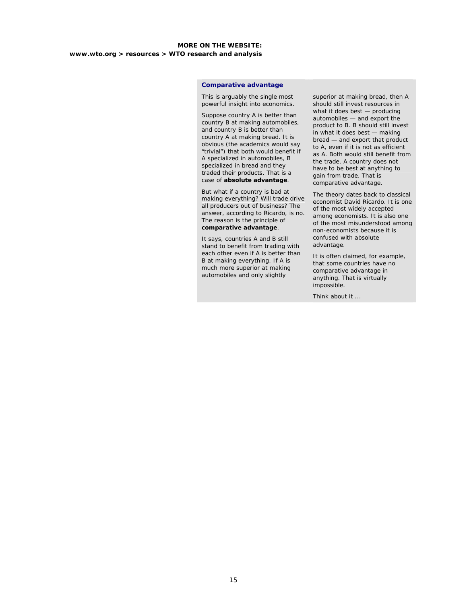#### **Comparative advantage**

This is arguably the single most powerful insight into economics.

Suppose country A is better than country B at making automobiles, and country B is better than country A at making bread. It is obvious (the academics would say "trivial") that both would benefit if A specialized in automobiles, B specialized in bread and they traded their products. That is a case of **absolute advantage**.

But what if a country is bad at making everything? Will trade drive all producers out of business? The answer, according to Ricardo, is no. The reason is the principle of **comparative advantage**.

It says, countries A and B still stand to benefit from trading with each other even if A is better than B at making everything. If A is much more superior at making automobiles and only slightly

superior at making bread, then A should still invest resources in what it does best — producing automobiles — and export the product to B. B should still invest in what it does best — making bread — and export that product to A, even if it is not as efficient as A. Both would still benefit from the trade. A country does not have to be best at anything to gain from trade. That is comparative advantage.

The theory dates back to classical economist David Ricardo. It is one of the most widely accepted among economists. It is also one of the most misunderstood among non-economists because it is confused with absolute advantage.

It is often claimed, for example, that some countries have no comparative advantage in anything. That is virtually impossible.

Think about it ...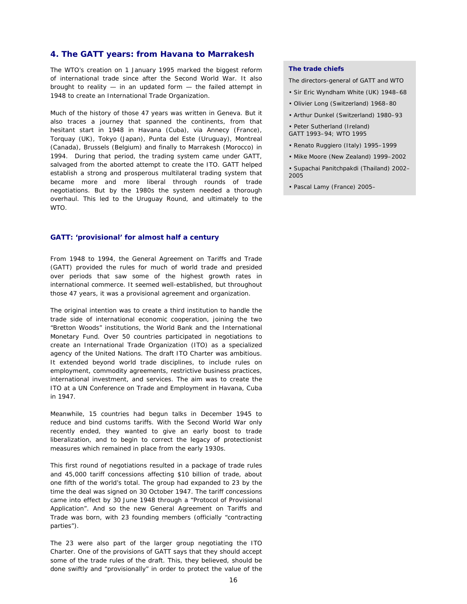# **4. The GATT years: from Havana to Marrakesh**

The WTO's creation on 1 January 1995 marked the biggest reform of international trade since after the Second World War. It also brought to reality  $-$  in an updated form  $-$  the failed attempt in 1948 to create an International Trade Organization.

Much of the history of those 47 years was written in Geneva. But it also traces a journey that spanned the continents, from that hesitant start in 1948 in Havana (Cuba), via Annecy (France), Torquay (UK), Tokyo (Japan), Punta del Este (Uruguay), Montreal (Canada), Brussels (Belgium) and finally to Marrakesh (Morocco) in 1994. During that period, the trading system came under GATT, salvaged from the aborted attempt to create the ITO. GATT helped establish a strong and prosperous multilateral trading system that became more and more liberal through rounds of trade negotiations. But by the 1980s the system needed a thorough overhaul. This led to the Uruguay Round, and ultimately to the WTO.

#### **GATT: 'provisional' for almost half a century**

From 1948 to 1994, the General Agreement on Tariffs and Trade (GATT) provided the rules for much of world trade and presided over periods that saw some of the highest growth rates in international commerce. It seemed well-established, but throughout those 47 years, it was a provisional agreement and organization.

The original intention was to create a third institution to handle the trade side of international economic cooperation, joining the two "Bretton Woods" institutions, the World Bank and the International Monetary Fund. Over 50 countries participated in negotiations to create an International Trade Organization (ITO) as a specialized agency of the United Nations. The draft ITO Charter was ambitious. It extended beyond world trade disciplines, to include rules on employment, commodity agreements, restrictive business practices, international investment, and services. The aim was to create the ITO at a UN Conference on Trade and Employment in Havana, Cuba in 1947.

Meanwhile, 15 countries had begun talks in December 1945 to reduce and bind customs tariffs. With the Second World War only recently ended, they wanted to give an early boost to trade liberalization, and to begin to correct the legacy of protectionist measures which remained in place from the early 1930s.

This first round of negotiations resulted in a package of trade rules and 45,000 tariff concessions affecting \$10 billion of trade, about one fifth of the world's total. The group had expanded to 23 by the time the deal was signed on 30 October 1947. The tariff concessions came into effect by 30 June 1948 through a "Protocol of Provisional Application". And so the new General Agreement on Tariffs and Trade was born, with 23 founding members (officially "contracting parties").

The 23 were also part of the larger group negotiating the ITO Charter. One of the provisions of GATT says that they should accept some of the trade rules of the draft. This, they believed, should be done swiftly and "provisionally" in order to protect the value of the

#### **The trade chiefs**

The directors-general of GATT and WTO

- Sir Eric Wyndham White (UK) 1948–68
- Olivier Long (Switzerland) 1968–80
- Arthur Dunkel (Switzerland) 1980–93
- Peter Sutherland (Ireland) GATT 1993–94; WTO 1995
- Renato Ruggiero (Italy) 1995–1999
- Mike Moore (New Zealand) 1999–2002
- Supachai Panitchpakdi (Thailand) 2002– 2005
- Pascal Lamy (France) 2005–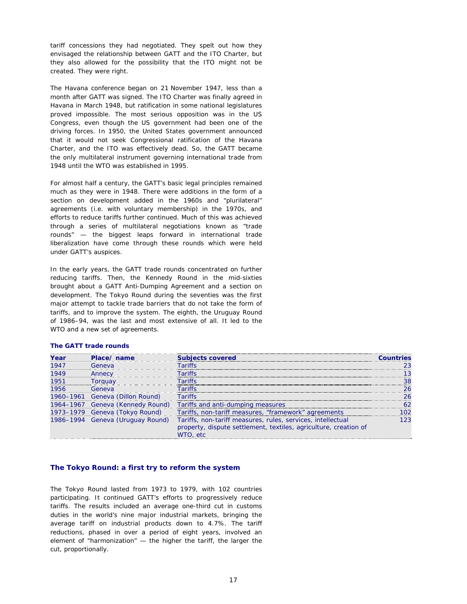tariff concessions they had negotiated. They spelt out how they envisaged the relationship between GATT and the ITO Charter, but they also allowed for the possibility that the ITO might not be created. They were right.

The Havana conference began on 21 November 1947, less than a month after GATT was signed. The ITO Charter was finally agreed in Havana in March 1948, but ratification in some national legislatures proved impossible. The most serious opposition was in the US Congress, even though the US government had been one of the driving forces. In 1950, the United States government announced that it would not seek Congressional ratification of the Havana Charter, and the ITO was effectively dead. So, the GATT became the only multilateral instrument governing international trade from 1948 until the WTO was established in 1995.

For almost half a century, the GATT's basic legal principles remained much as they were in 1948. There were additions in the form of a section on development added in the 1960s and "plurilateral" agreements (i.e. with voluntary membership) in the 1970s, and efforts to reduce tariffs further continued. Much of this was achieved through a series of multilateral negotiations known as "trade rounds" — the biggest leaps forward in international trade liberalization have come through these rounds which were held under GATT's auspices.

In the early years, the GATT trade rounds concentrated on further reducing tariffs. Then, the Kennedy Round in the mid-sixties brought about a GATT Anti-Dumping Agreement and a section on development. The Tokyo Round during the seventies was the first major attempt to tackle trade barriers that do not take the form of tariffs, and to improve the system. The eighth, the Uruguay Round of 1986–94, was the last and most extensive of all. It led to the WTO and a new set of agreements.

#### **The GATT trade rounds**

| Year | Place/ name                      | <b>Subjects covered</b>                                                      | Countries |
|------|----------------------------------|------------------------------------------------------------------------------|-----------|
| 1947 | Geneva                           | <b>Tariffs</b>                                                               | 23        |
| 1949 | Annecy                           | <b>Tariffs</b>                                                               | 13        |
| 1951 | Torquay                          | <b>Tariffs</b>                                                               | 38        |
| 1956 | Geneva                           | <b>Tariffs</b>                                                               | 26        |
|      | 1960-1961 Geneva (Dillon Round)  | <b>Tariffs</b>                                                               | 26        |
|      | 1964–1967 Geneva (Kennedy Round) | Tariffs and anti-dumping measures                                            | 62        |
|      | 1973–1979 Geneva (Tokyo Round)   | Tariffs, non-tariff measures, "framework" agreements                         | 102       |
|      | 1986–1994 Geneva (Uruguay Round) | Tariffs, non-tariff measures, rules, services, intellectual                  | 123       |
|      |                                  | property, dispute settlement, textiles, agriculture, creation of<br>WTO, etc |           |

#### **The Tokyo Round: a first try to reform the system**

The Tokyo Round lasted from 1973 to 1979, with 102 countries participating. It continued GATT's efforts to progressively reduce tariffs. The results included an average one-third cut in customs duties in the world's nine major industrial markets, bringing the average tariff on industrial products down to 4.7%. The tariff reductions, phased in over a period of eight years, involved an element of "harmonization" — the higher the tariff, the larger the cut, proportionally.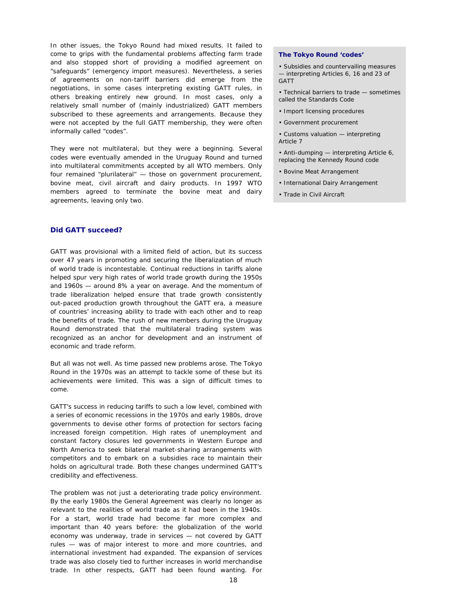In other issues, the Tokyo Round had mixed results. It failed to come to grips with the fundamental problems affecting farm trade and also stopped short of providing a modified agreement on "safeguards" (emergency import measures). Nevertheless, a series of agreements on non-tariff barriers did emerge from the negotiations, in some cases interpreting existing GATT rules, in others breaking entirely new ground. In most cases, only a relatively small number of (mainly industrialized) GATT members subscribed to these agreements and arrangements. Because they were not accepted by the full GATT membership, they were often informally called "codes".

They were not multilateral, but they were a beginning. Several codes were eventually amended in the Uruguay Round and turned into multilateral commitments accepted by all WTO members. Only four remained "plurilateral" — those on government procurement, bovine meat, civil aircraft and dairy products. In 1997 WTO members agreed to terminate the bovine meat and dairy agreements, leaving only two.

# **Did GATT succeed?**

GATT was provisional with a limited field of action, but its success over 47 years in promoting and securing the liberalization of much of world trade is incontestable. Continual reductions in tariffs alone helped spur very high rates of world trade growth during the 1950s and 1960s — around 8% a year on average. And the momentum of trade liberalization helped ensure that trade growth consistently out-paced production growth throughout the GATT era, a measure of countries' increasing ability to trade with each other and to reap the benefits of trade. The rush of new members during the Uruguay Round demonstrated that the multilateral trading system was recognized as an anchor for development and an instrument of economic and trade reform.

But all was not well. As time passed new problems arose. The Tokyo Round in the 1970s was an attempt to tackle some of these but its achievements were limited. This was a sign of difficult times to come.

GATT's success in reducing tariffs to such a low level, combined with a series of economic recessions in the 1970s and early 1980s, drove governments to devise other forms of protection for sectors facing increased foreign competition. High rates of unemployment and constant factory closures led governments in Western Europe and North America to seek bilateral market-sharing arrangements with competitors and to embark on a subsidies race to maintain their holds on agricultural trade. Both these changes undermined GATT's credibility and effectiveness.

The problem was not just a deteriorating trade policy environment. By the early 1980s the General Agreement was clearly no longer as relevant to the realities of world trade as it had been in the 1940s. For a start, world trade had become far more complex and important than 40 years before: the globalization of the world economy was underway, trade in services — not covered by GATT rules — was of major interest to more and more countries, and international investment had expanded. The expansion of services trade was also closely tied to further increases in world merchandise trade. In other respects, GATT had been found wanting. For

#### **The Tokyo Round 'codes'**

- Subsidies and countervailing measures — interpreting Articles 6, 16 and 23 of **GATT**
- Technical barriers to trade sometimes called the Standards Code
- Import licensing procedures
- Government procurement
- Customs valuation interpreting Article 7

• Anti-dumping — interpreting Article 6, replacing the Kennedy Round code

- Bovine Meat Arrangement
- International Dairy Arrangement
- Trade in Civil Aircraft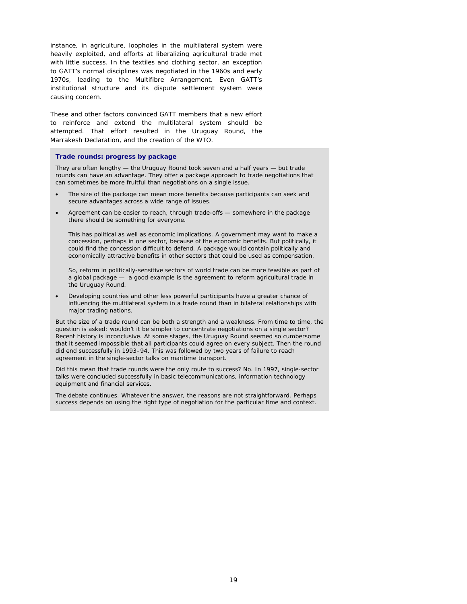instance, in agriculture, loopholes in the multilateral system were heavily exploited, and efforts at liberalizing agricultural trade met with little success. In the textiles and clothing sector, an exception to GATT's normal disciplines was negotiated in the 1960s and early 1970s, leading to the Multifibre Arrangement. Even GATT's institutional structure and its dispute settlement system were causing concern.

These and other factors convinced GATT members that a new effort to reinforce and extend the multilateral system should be attempted. That effort resulted in the Uruguay Round, the Marrakesh Declaration, and the creation of the WTO.

#### **Trade rounds: progress by package**

They are often lengthy — the Uruguay Round took seven and a half years — but trade rounds can have an advantage. They offer a package approach to trade negotiations that can sometimes be more fruitful than negotiations on a single issue.

- The size of the package can mean more benefits because participants can seek and secure advantages across a wide range of issues.
- Agreement can be easier to reach, through trade-offs somewhere in the package there should be something for everyone.

This has political as well as economic implications. A government may want to make a concession, perhaps in one sector, because of the economic benefits. But politically, it could find the concession difficult to defend. A package would contain politically and economically attractive benefits in other sectors that could be used as compensation.

So, reform in politically-sensitive sectors of world trade can be more feasible as part of a global package — a good example is the agreement to reform agricultural trade in the Uruguay Round.

• Developing countries and other less powerful participants have a greater chance of influencing the multilateral system in a trade round than in bilateral relationships with major trading nations.

But the size of a trade round can be both a strength and a weakness. From time to time, the question is asked: wouldn't it be simpler to concentrate negotiations on a single sector? Recent history is inconclusive. At some stages, the Uruguay Round seemed so cumbersome that it seemed impossible that all participants could agree on every subject. Then the round did end successfully in 1993–94. This was followed by two years of failure to reach agreement in the single-sector talks on maritime transport.

Did this mean that trade rounds were the only route to success? No. In 1997, single-sector talks were concluded successfully in basic telecommunications, information technology equipment and financial services.

The debate continues. Whatever the answer, the reasons are not straightforward. Perhaps success depends on using the right type of negotiation for the particular time and context.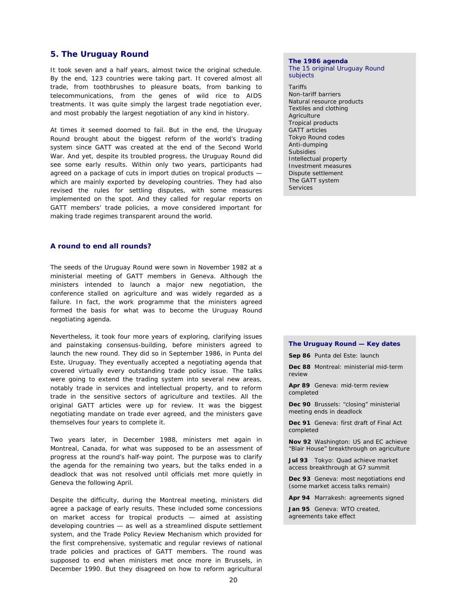# **5. The Uruguay Round**

It took seven and a half years, almost twice the original schedule. By the end, 123 countries were taking part. It covered almost all trade, from toothbrushes to pleasure boats, from banking to telecommunications, from the genes of wild rice to AIDS treatments. It was quite simply the largest trade negotiation ever, and most probably the largest negotiation of any kind in history.

At times it seemed doomed to fail. But in the end, the Uruguay Round brought about the biggest reform of the world's trading system since GATT was created at the end of the Second World War. And yet, despite its troubled progress, the Uruguay Round did see some early results. Within only two years, participants had agreed on a package of cuts in import duties on tropical products which are mainly exported by developing countries. They had also revised the rules for settling disputes, with some measures implemented on the spot. And they called for regular reports on GATT members' trade policies, a move considered important for making trade regimes transparent around the world.

# **A round to end all rounds?**

The seeds of the Uruguay Round were sown in November 1982 at a ministerial meeting of GATT members in Geneva. Although the ministers intended to launch a major new negotiation, the conference stalled on agriculture and was widely regarded as a failure. In fact, the work programme that the ministers agreed formed the basis for what was to become the Uruguay Round negotiating agenda.

Nevertheless, it took four more years of exploring, clarifying issues and painstaking consensus-building, before ministers agreed to launch the new round. They did so in September 1986, in Punta del Este, Uruguay. They eventually accepted a negotiating agenda that covered virtually every outstanding trade policy issue. The talks were going to extend the trading system into several new areas, notably trade in services and intellectual property, and to reform trade in the sensitive sectors of agriculture and textiles. All the original GATT articles were up for review. It was the biggest negotiating mandate on trade ever agreed, and the ministers gave themselves four years to complete it.

Two years later, in December 1988, ministers met again in Montreal, Canada, for what was supposed to be an assessment of progress at the round's half-way point. The purpose was to clarify the agenda for the remaining two years, but the talks ended in a deadlock that was not resolved until officials met more quietly in Geneva the following April.

Despite the difficulty, during the Montreal meeting, ministers did agree a package of early results. These included some concessions on market access for tropical products — aimed at assisting developing countries — as well as a streamlined dispute settlement system, and the Trade Policy Review Mechanism which provided for the first comprehensive, systematic and regular reviews of national trade policies and practices of GATT members. The round was supposed to end when ministers met once more in Brussels, in December 1990. But they disagreed on how to reform agricultural

#### **The 1986 agenda**  The 15 original Uruguay Round subjects

Tariffs Non-tariff barriers Natural resource products Textiles and clothing Agriculture Tropical products GATT articles Tokyo Round codes Anti-dumping **Subsidies** Intellectual property Investment measures Dispute settlement The GATT system Services

#### **The Uruguay Round — Key dates**

**Sep 86** Punta del Este: launch

**Dec 88** Montreal: ministerial mid-term review

**Apr 89** Geneva: mid-term review completed

**Dec 90** Brussels: "closing" ministerial meeting ends in deadlock

**Dec 91** Geneva: first draft of Final Act completed

**Nov 92** Washington: US and EC achieve "Blair House" breakthrough on agriculture

**Jul 93** Tokyo: Quad achieve market access breakthrough at G7 summit

Dec 93 Geneva: most negotiations end (some market access talks remain)

**Apr 94** Marrakesh: agreements signed

Jan 95 Geneva: WTO created, agreements take effect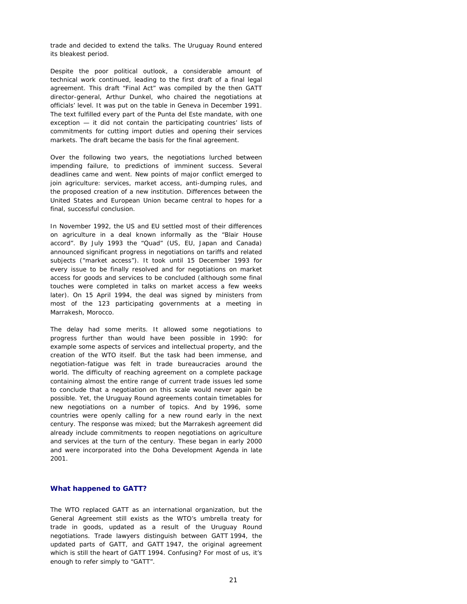trade and decided to extend the talks. The Uruguay Round entered its bleakest period.

Despite the poor political outlook, a considerable amount of technical work continued, leading to the first draft of a final legal agreement. This draft "Final Act" was compiled by the then GATT director-general, Arthur Dunkel, who chaired the negotiations at officials' level. It was put on the table in Geneva in December 1991. The text fulfilled every part of the Punta del Este mandate, with one exception — it did not contain the participating countries' lists of commitments for cutting import duties and opening their services markets. The draft became the basis for the final agreement.

Over the following two years, the negotiations lurched between impending failure, to predictions of imminent success. Several deadlines came and went. New points of major conflict emerged to join agriculture: services, market access, anti-dumping rules, and the proposed creation of a new institution. Differences between the United States and European Union became central to hopes for a final, successful conclusion.

In November 1992, the US and EU settled most of their differences on agriculture in a deal known informally as the "Blair House accord". By July 1993 the "Quad" (US, EU, Japan and Canada) announced significant progress in negotiations on tariffs and related subjects ("market access"). It took until 15 December 1993 for every issue to be finally resolved and for negotiations on market access for goods and services to be concluded (although some final touches were completed in talks on market access a few weeks later). On 15 April 1994, the deal was signed by ministers from most of the 123 participating governments at a meeting in Marrakesh, Morocco.

The delay had some merits. It allowed some negotiations to progress further than would have been possible in 1990: for example some aspects of services and intellectual property, and the creation of the WTO itself. But the task had been immense, and negotiation-fatigue was felt in trade bureaucracies around the world. The difficulty of reaching agreement on a complete package containing almost the entire range of current trade issues led some to conclude that a negotiation on this scale would never again be possible. Yet, the Uruguay Round agreements contain timetables for new negotiations on a number of topics. And by 1996, some countries were openly calling for a new round early in the next century. The response was mixed; but the Marrakesh agreement did already include commitments to reopen negotiations on agriculture and services at the turn of the century. These began in early 2000 and were incorporated into the Doha Development Agenda in late 2001.

#### **What happened to GATT?**

The WTO replaced GATT as an international organization, but the General Agreement still exists as the WTO's umbrella treaty for trade in goods, updated as a result of the Uruguay Round negotiations. Trade lawyers distinguish between GATT 1994, the updated parts of GATT, and GATT 1947, the original agreement which is still the heart of GATT 1994. Confusing? For most of us, it's enough to refer simply to "GATT".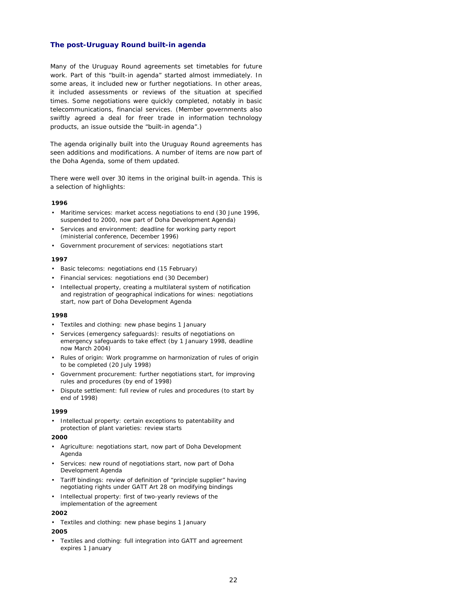#### **The post-Uruguay Round built-in agenda**

Many of the Uruguay Round agreements set timetables for future work. Part of this "built-in agenda" started almost immediately. In some areas, it included new or further negotiations. In other areas, it included assessments or reviews of the situation at specified times. Some negotiations were quickly completed, notably in basic telecommunications, financial services. (Member governments also swiftly agreed a deal for freer trade in information technology products, an issue outside the "built-in agenda".)

The agenda originally built into the Uruguay Round agreements has seen additions and modifications. A number of items are now part of the Doha Agenda, some of them updated.

There were well over 30 items in the original built-in agenda. This is a selection of highlights:

#### **1996**

- Maritime services: market access negotiations to end (30 June 1996, suspended to 2000, now part of Doha Development Agenda)
- Services and environment: deadline for working party report (ministerial conference, December 1996)
- Government procurement of services: negotiations start

#### **1997**

- Basic telecoms: negotiations end (15 February)
- Financial services: negotiations end (30 December)
- Intellectual property, creating a multilateral system of notification and registration of geographical indications for wines: negotiations start, now part of Doha Development Agenda

#### **1998**

- Textiles and clothing: new phase begins 1 January
- Services (emergency safeguards): results of negotiations on emergency safeguards to take effect (by 1 January 1998, deadline now March 2004)
- Rules of origin: Work programme on harmonization of rules of origin to be completed (20 July 1998)
- Government procurement: further negotiations start, for improving rules and procedures (by end of 1998)
- Dispute settlement: full review of rules and procedures (to start by end of 1998)

#### **1999**

• Intellectual property: certain exceptions to patentability and protection of plant varieties: review starts

#### **2000**

- Agriculture: negotiations start, now part of Doha Development Agenda
- Services: new round of negotiations start, now part of Doha Development Agenda
- Tariff bindings: review of definition of "principle supplier" having negotiating rights under GATT Art 28 on modifying bindings
- Intellectual property: first of two-yearly reviews of the implementation of the agreement

#### **2002**

• Textiles and clothing: new phase begins 1 January

#### **2005**

• Textiles and clothing: full integration into GATT and agreement expires 1 January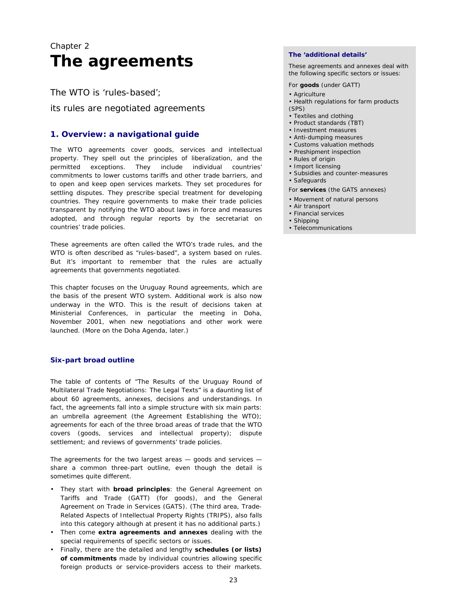# Chapter 2 **The agreements**

The WTO is 'rules-based';

its rules are negotiated agreements

# **1. Overview: a navigational guide**

The WTO agreements cover goods, services and intellectual property. They spell out the principles of liberalization, and the permitted exceptions. They include individual countries' commitments to lower customs tariffs and other trade barriers, and to open and keep open services markets. They set procedures for settling disputes. They prescribe special treatment for developing countries. They require governments to make their trade policies transparent by notifying the WTO about laws in force and measures adopted, and through regular reports by the secretariat on countries' trade policies.

These agreements are often called the WTO's trade rules, and the WTO is often described as "rules-based", a system based on rules. But it's important to remember that the rules are actually agreements that governments negotiated.

This chapter focuses on the Uruguay Round agreements, which are the basis of the present WTO system. Additional work is also now underway in the WTO. This is the result of decisions taken at Ministerial Conferences, in particular the meeting in Doha, November 2001, when new negotiations and other work were launched. (More on the Doha Agenda, later.)

# **Six-part broad outline**

The table of contents of "The Results of the Uruguay Round of Multilateral Trade Negotiations: The Legal Texts" is a daunting list of about 60 agreements, annexes, decisions and understandings. In fact, the agreements fall into a simple structure with six main parts: an umbrella agreement (the Agreement Establishing the WTO); agreements for each of the three broad areas of trade that the WTO covers (goods, services and intellectual property); dispute settlement; and reviews of governments' trade policies.

The agreements for the two largest areas — goods and services share a common three-part outline, even though the detail is sometimes quite different.

- They start with **broad principles**: the General Agreement on Tariffs and Trade (GATT) (for goods), and the General Agreement on Trade in Services (GATS). (The third area, Trade-Related Aspects of Intellectual Property Rights (TRIPS), also falls into this category although at present it has no additional parts.)
- Then come **extra agreements and annexes** dealing with the special requirements of specific sectors or issues.
- Finally, there are the detailed and lengthy **schedules (or lists) of commitments** made by individual countries allowing specific foreign products or service-providers access to their markets.

# **The 'additional details'**

These agreements and annexes deal with the following specific sectors or issues:

For **goods** (under GATT)

- Agriculture
- Health regulations for farm products (SPS)
- Textiles and clothing
- Product standards (TBT)
- Investment measures
- Anti-dumping measures
- Customs valuation methods
- Preshipment inspection
- Rules of origin
- Import licensing
- Subsidies and counter-measures
- Safeguards

For **services** (the GATS annexes)

- Movement of natural persons
- Air transport
- Financial services
- Shipping
- Telecommunications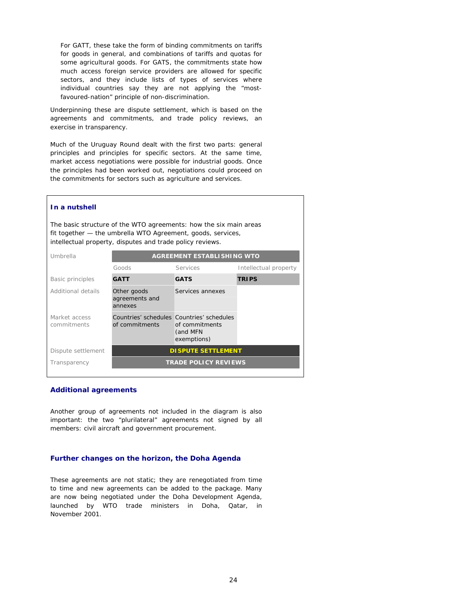For GATT, these take the form of binding commitments on tariffs for goods in general, and combinations of tariffs and quotas for some agricultural goods. For GATS, the commitments state how much access foreign service providers are allowed for specific sectors, and they include lists of types of services where individual countries say they are not applying the "mostfavoured-nation" principle of non-discrimination.

Underpinning these are dispute settlement, which is based on the agreements and commitments, and trade policy reviews, an exercise in transparency.

Much of the Uruguay Round dealt with the first two parts: general principles and principles for specific sectors. At the same time, market access negotiations were possible for industrial goods. Once the principles had been worked out, negotiations could proceed on the commitments for sectors such as agriculture and services.

#### **In a nutshell**

The basic structure of the WTO agreements: how the six main areas fit together — the umbrella WTO Agreement, goods, services, intellectual property, disputes and trade policy reviews.

| Umbrella                     | <b>AGREEMENT ESTABLISHING WTO</b>                           |                                           |                       |
|------------------------------|-------------------------------------------------------------|-------------------------------------------|-----------------------|
|                              | Goods                                                       | Services                                  | Intellectual property |
| <b>Basic principles</b>      | <b>GATT</b>                                                 | <b>GATS</b>                               | <b>TRIPS</b>          |
| Additional details           | Other goods<br>agreements and<br>annexes                    | Services annexes                          |                       |
| Market access<br>commitments | Countries' schedules Countries' schedules<br>of commitments | of commitments<br>(and MFN<br>exemptions) |                       |
| Dispute settlement           | <b>DI SPUTE SETTLEMENT</b>                                  |                                           |                       |
| Transparency                 | <b>TRADE POLICY REVIEWS</b>                                 |                                           |                       |

#### **Additional agreements**

Another group of agreements not included in the diagram is also important: the two "plurilateral" agreements not signed by all members: civil aircraft and government procurement.

#### **Further changes on the horizon, the Doha Agenda**

These agreements are not static; they are renegotiated from time to time and new agreements can be added to the package. Many are now being negotiated under the Doha Development Agenda, launched by WTO trade ministers in Doha, Qatar, in November 2001.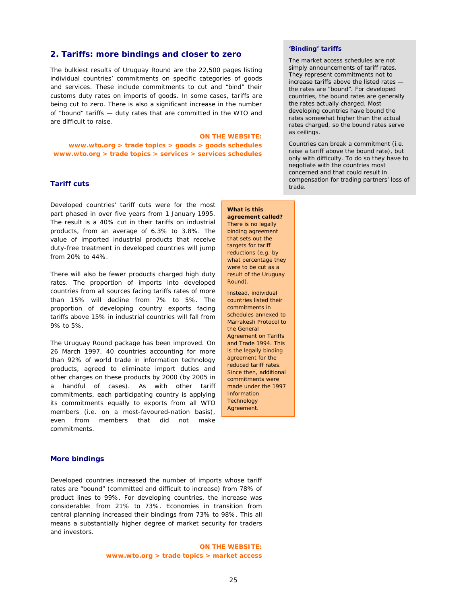# **2. Tariffs: more bindings and closer to zero**

The bulkiest results of Uruguay Round are the 22,500 pages listing individual countries' commitments on specific categories of goods and services. These include commitments to cut and "bind" their customs duty rates on imports of goods. In some cases, tariffs are being cut to zero. There is also a significant increase in the number of "bound" tariffs — duty rates that are committed in the WTO and are difficult to raise.

#### **ON THE WEBSITE:**

**www.wto.org > trade topics > goods > goods schedules www.wto.org > trade topics > services > services schedules** 

#### **Tariff cuts**

Developed countries' tariff cuts were for the most part phased in over five years from 1 January 1995. The result is a 40% cut in their tariffs on industrial products, from an average of 6.3% to 3.8%. The value of imported industrial products that receive duty-free treatment in developed countries will jump from 20% to 44%.

There will also be fewer products charged high duty rates. The proportion of imports into developed countries from all sources facing tariffs rates of more than 15% will decline from 7% to 5%. The proportion of developing country exports facing tariffs above 15% in industrial countries will fall from 9% to 5%.

The Uruguay Round package has been improved. On 26 March 1997, 40 countries accounting for more than 92% of world trade in information technology products, agreed to eliminate import duties and other charges on these products by 2000 (by 2005 in a handful of cases). As with other tariff commitments, each participating country is applying its commitments equally to exports from all WTO members (i.e. on a most-favoured-nation basis), even from members that did not make commitments.

#### **agreement called?** There is no legally binding agreement that sets out the targets for tariff reductions (e.g. by what percentage they were to be cut as a result of the Uruguay Round).

**What is this** 

Instead, individual countries listed their commitments in schedules annexed to Marrakesh Protocol to the General Agreement on Tariffs and Trade 1994. This is the legally binding agreement for the reduced tariff rates. Since then, additional commitments were made under the 1997 Information **Technology** Agreement.

#### **More bindings**

Developed countries increased the number of imports whose tariff rates are "bound" (committed and difficult to increase) from 78% of product lines to 99%. For developing countries, the increase was considerable: from 21% to 73%. Economies in transition from central planning increased their bindings from 73% to 98%. This all means a substantially higher degree of market security for traders and investors.

> **ON THE WEBSITE: www.wto.org > trade topics > market access**

# **'Binding' tariffs**

The market access schedules are not simply announcements of tariff rates. They represent commitments not to increase tariffs above the listed rates the rates are "bound". For developed countries, the bound rates are generally the rates actually charged. Most developing countries have bound the rates somewhat higher than the actual rates charged, so the bound rates serve as ceilings.

Countries can break a commitment (i.e. raise a tariff above the bound rate), but only with difficulty. To do so they have to negotiate with the countries most concerned and that could result in compensation for trading partners' loss of trade.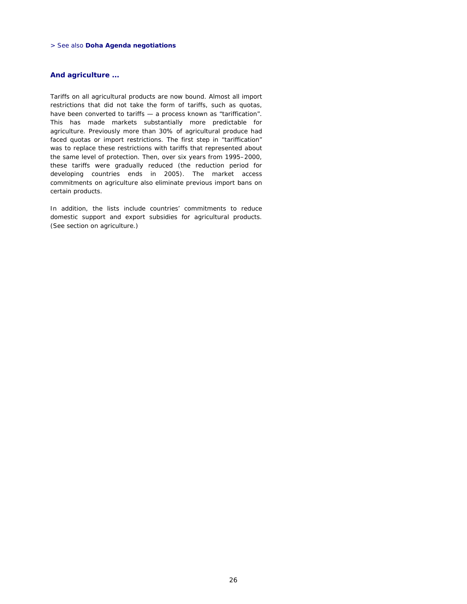#### > See also **Doha Agenda negotiations**

# **And agriculture ...**

Tariffs on all agricultural products are now bound. Almost all import restrictions that did not take the form of tariffs, such as quotas, have been converted to tariffs — a process known as "tariffication". This has made markets substantially more predictable for agriculture. Previously more than 30% of agricultural produce had faced quotas or import restrictions. The first step in "tariffication" was to replace these restrictions with tariffs that represented about the same level of protection. Then, over six years from 1995–2000, these tariffs were gradually reduced (the reduction period for developing countries ends in 2005). The market access commitments on agriculture also eliminate previous import bans on certain products.

In addition, the lists include countries' commitments to reduce domestic support and export subsidies for agricultural products. (*See section on agriculture.*)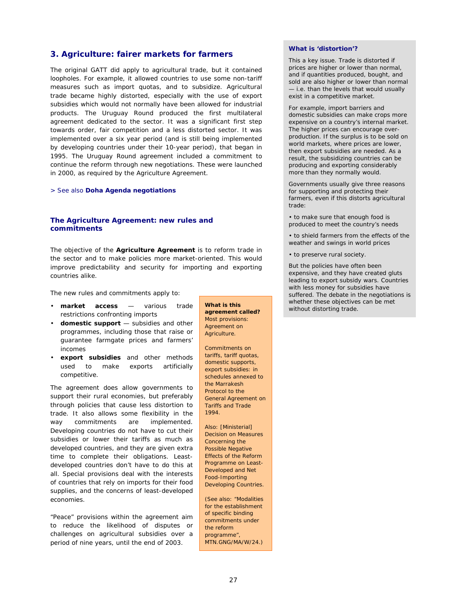# **3. Agriculture: fairer markets for farmers**

The original GATT did apply to agricultural trade, but it contained loopholes. For example, it allowed countries to use some non-tariff measures such as import quotas, and to subsidize. Agricultural trade became highly distorted, especially with the use of export subsidies which would not normally have been allowed for industrial products. The Uruguay Round produced the first multilateral agreement dedicated to the sector. It was a significant first step towards order, fair competition and a less distorted sector. It was implemented over a six year period (and is still being implemented by developing countries under their 10-year period), that began in 1995. The Uruguay Round agreement included a commitment to continue the reform through new negotiations. These were launched in 2000, as required by the Agriculture Agreement.

> See also **Doha Agenda negotiations**

# **The Agriculture Agreement: new rules and commitments**

The objective of the **Agriculture Agreement** is to reform trade in the sector and to make policies more market-oriented. This would improve predictability and security for importing and exporting countries alike.

The new rules and commitments apply to:

- **market access** various trade restrictions confronting imports
- **domestic support** subsidies and other programmes, including those that raise or guarantee farmgate prices and farmers' incomes
- **export subsidies** and other methods used to make exports artificially competitive.

The agreement does allow governments to support their rural economies, but preferably through policies that cause less distortion to trade. It also allows some flexibility in the way commitments are implemented. Developing countries do not have to cut their subsidies or lower their tariffs as much as developed countries, and they are given extra time to complete their obligations. Leastdeveloped countries don't have to do this at all. Special provisions deal with the interests of countries that rely on imports for their food supplies, and the concerns of least-developed economies.

"Peace" provisions within the agreement aim to reduce the likelihood of disputes or challenges on agricultural subsidies over a period of nine years, until the end of 2003.

**What is this agreement called?** Most provisions: Agreement on Agriculture.

Commitments on tariffs, tariff quotas, domestic supports, export subsidies: in schedules annexed to the Marrakesh Protocol to the General Agreement on Tariffs and Trade 1994.

Also: [Ministerial] Decision on Measures Concerning the Possible Negative Effects of the Reform Programme on Least-Developed and Net Food-Importing Developing Countries.

(See also: "Modalities for the establishment of specific binding commitments under the reform programme", MTN.GNG/MA/W/24.)

#### **What is 'distortion'?**

This a key issue. Trade is distorted if prices are higher or lower than normal, and if quantities produced, bought, and sold are also higher or lower than normal — i.e. than the levels that would usually exist in a competitive market.

For example, import barriers and domestic subsidies can make crops more expensive on a country's internal market. The higher prices can encourage overproduction. If the surplus is to be sold on world markets, where prices are lower, then export subsidies are needed. As a result, the subsidizing countries can be producing and exporting considerably more than they normally would.

Governments usually give three reasons for supporting and protecting their farmers, even if this distorts agricultural trade:

• to make sure that enough food is produced to meet the country's needs

• to shield farmers from the effects of the weather and swings in world prices

• to preserve rural society.

But the policies have often been expensive, and they have created gluts leading to export subsidy wars. Countries with less money for subsidies have suffered. The debate in the negotiations is whether these objectives can be met without distorting trade.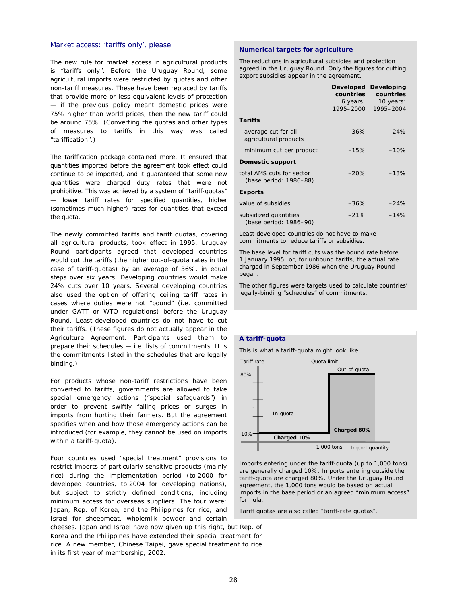# Market access: 'tariffs only', please

The new rule for market access in agricultural products is "tariffs only". Before the Uruguay Round, some agricultural imports were restricted by quotas and other non-tariff measures. These have been replaced by tariffs that provide more-or-less equivalent levels of protection — if the previous policy meant domestic prices were 75% higher than world prices, then the new tariff could be around 75%. (Converting the quotas and other types of measures to tariffs in this way was called "tariffication".)

The tariffication package contained more. It ensured that quantities imported before the agreement took effect could continue to be imported, and it guaranteed that some new quantities were charged duty rates that were not prohibitive. This was achieved by a system of "tariff-quotas" — lower tariff rates for specified quantities, higher (sometimes much higher) rates for quantities that exceed the quota.

The newly committed tariffs and tariff quotas, covering all agricultural products, took effect in 1995. Uruguay Round participants agreed that developed countries would cut the tariffs (the higher out-of-quota rates in the case of tariff-quotas) by an average of 36%, in equal steps over six years. Developing countries would make 24% cuts over 10 years. Several developing countries also used the option of offering ceiling tariff rates in cases where duties were not "bound" (i.e. committed under GATT or WTO regulations) before the Uruguay Round. Least-developed countries do not have to cut their tariffs. (These figures do not actually appear in the Agriculture Agreement. Participants used them to prepare their schedules — i.e. lists of commitments. It is the commitments listed in the schedules that are legally binding.)

For products whose non-tariff restrictions have been converted to tariffs, governments are allowed to take special emergency actions ("special safeguards") in order to prevent swiftly falling prices or surges in imports from hurting their farmers. But the agreement specifies when and how those emergency actions can be introduced (for example, they cannot be used on imports within a tariff-quota).

Four countries used "special treatment" provisions to restrict imports of particularly sensitive products (mainly rice) during the implementation period (to 2000 for developed countries, to 2004 for developing nations), but subject to strictly defined conditions, including minimum access for overseas suppliers. The four were: Japan, Rep. of Korea, and the Philippines for rice; and Israel for sheepmeat, wholemilk powder and certain

cheeses. Japan and Israel have now given up this right, but Rep. of Korea and the Philippines have extended their special treatment for rice. A new member, Chinese Taipei, gave special treatment to rice in its first year of membership, 2002.

#### **Numerical targets for agriculture**

The reductions in agricultural subsidies and protection agreed in the Uruguay Round. Only the figures for cutting export subsidies appear in the agreement.

|                                                     | countries<br>6 years:<br>1995-2000 | Developed Developing<br>countries<br>10 years:<br>1995-2004 |
|-----------------------------------------------------|------------------------------------|-------------------------------------------------------------|
| <b>Tariffs</b>                                      |                                    |                                                             |
| average cut for all<br>agricultural products        | $-36%$                             | $-24%$                                                      |
| minimum cut per product                             | $-15%$                             | $-10%$                                                      |
| Domestic support                                    |                                    |                                                             |
| total AMS cuts for sector<br>(base period: 1986-88) | $-20%$                             | $-13%$                                                      |
| <b>Exports</b>                                      |                                    |                                                             |
| value of subsidies                                  | $-36%$                             | $-24%$                                                      |
| subsidized quantities<br>(base period: 1986–90)     | $-21%$                             | $-14%$                                                      |

Least developed countries do not have to make commitments to reduce tariffs or subsidies.

The base level for tariff cuts was the bound rate before 1 January 1995; or, for unbound tariffs, the actual rate charged in September 1986 when the Uruguay Round began.

The other figures were targets used to calculate countries' legally-binding "schedules" of commitments.

## **A tariff-quota**

This is what a tariff-quota might look like



Imports entering under the tariff-quota (up to 1,000 tons) are generally charged 10%. Imports entering outside the tariff-quota are charged 80%. Under the Uruguay Round agreement, the 1,000 tons would be based on actual imports in the base period or an agreed "minimum access" formula.

Tariff quotas are also called "tariff-rate quotas".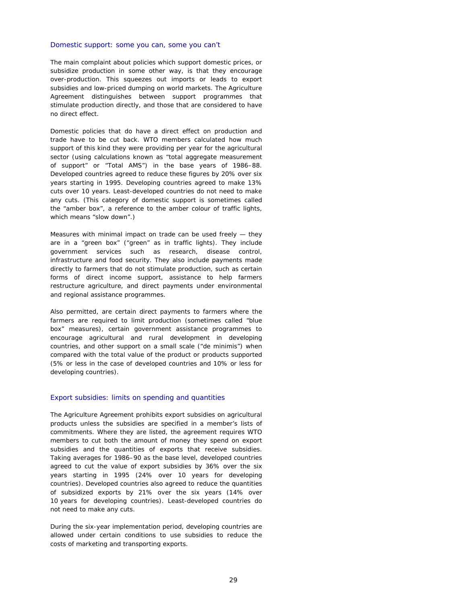#### Domestic support: some you can, some you can't

The main complaint about policies which support domestic prices, or subsidize production in some other way, is that they encourage over-production. This squeezes out imports or leads to export subsidies and low-priced dumping on world markets. The Agriculture Agreement distinguishes between support programmes that stimulate production directly, and those that are considered to have no direct effect.

Domestic policies that do have a direct effect on production and trade have to be cut back. WTO members calculated how much support of this kind they were providing per year for the agricultural sector (using calculations known as "total aggregate measurement of support" or "Total AMS") in the base years of 1986–88. Developed countries agreed to reduce these figures by 20% over six years starting in 1995. Developing countries agreed to make 13% cuts over 10 years. Least-developed countries do not need to make any cuts. (This category of domestic support is sometimes called the "amber box", a reference to the amber colour of traffic lights, which means "slow down".)

Measures with minimal impact on trade can be used freely — they are in a "green box" ("green" as in traffic lights). They include government services such as research, disease control, infrastructure and food security. They also include payments made directly to farmers that do not stimulate production, such as certain forms of direct income support, assistance to help farmers restructure agriculture, and direct payments under environmental and regional assistance programmes.

Also permitted, are certain direct payments to farmers where the farmers are required to limit production (sometimes called "blue box" measures), certain government assistance programmes to encourage agricultural and rural development in developing countries, and other support on a small scale ("de minimis") when compared with the total value of the product or products supported (5% or less in the case of developed countries and 10% or less for developing countries).

#### Export subsidies: limits on spending and quantities

The Agriculture Agreement prohibits export subsidies on agricultural products unless the subsidies are specified in a member's lists of commitments. Where they are listed, the agreement requires WTO members to cut both the amount of money they spend on export subsidies and the quantities of exports that receive subsidies. Taking averages for 1986–90 as the base level, developed countries agreed to cut the value of export subsidies by 36% over the six years starting in 1995 (24% over 10 years for developing countries). Developed countries also agreed to reduce the quantities of subsidized exports by 21% over the six years (14% over 10 years for developing countries). Least-developed countries do not need to make any cuts.

During the six-year implementation period, developing countries are allowed under certain conditions to use subsidies to reduce the costs of marketing and transporting exports.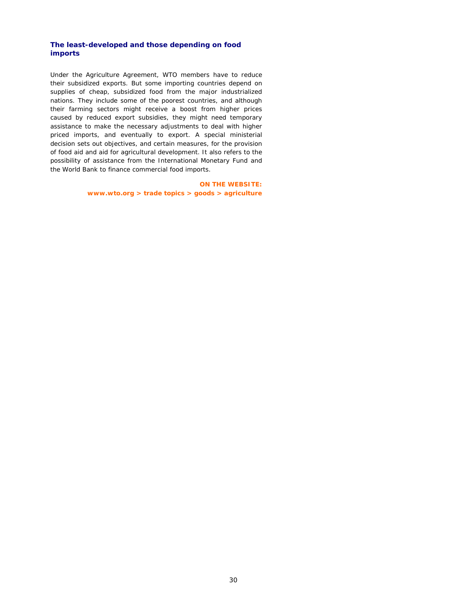# **The least-developed and those depending on food imports**

Under the Agriculture Agreement, WTO members have to reduce their subsidized exports. But some importing countries depend on supplies of cheap, subsidized food from the major industrialized nations. They include some of the poorest countries, and although their farming sectors might receive a boost from higher prices caused by reduced export subsidies, they might need temporary assistance to make the necessary adjustments to deal with higher priced imports, and eventually to export. A special ministerial decision sets out objectives, and certain measures, for the provision of food aid and aid for agricultural development. It also refers to the possibility of assistance from the International Monetary Fund and the World Bank to finance commercial food imports.

> **ON THE WEBSITE: www.wto.org > trade topics > goods > agriculture**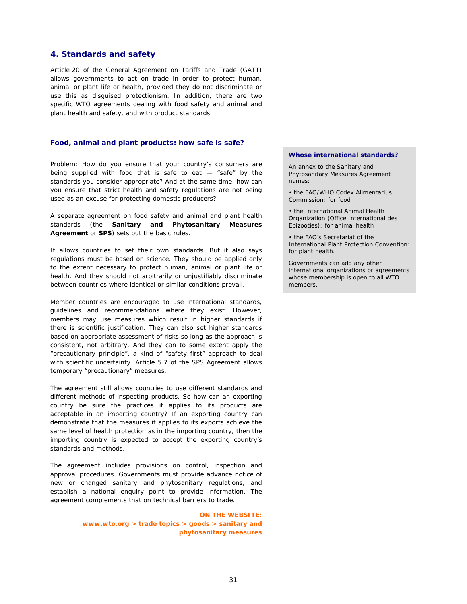# **4. Standards and safety**

Article 20 of the General Agreement on Tariffs and Trade (GATT) allows governments to act on trade in order to protect human, animal or plant life or health, provided they do not discriminate or use this as disguised protectionism. In addition, there are two specific WTO agreements dealing with food safety and animal and plant health and safety, and with product standards.

#### **Food, animal and plant products: how safe is safe?**

Problem: How do you ensure that your country's consumers are being supplied with food that is safe to eat — "safe" by the standards you consider appropriate? And at the same time, how can you ensure that strict health and safety regulations are not being used as an excuse for protecting domestic producers?

A separate agreement on food safety and animal and plant health standards (the **Sanitary and Phytosanitary Measures Agreement** or **SPS**) sets out the basic rules.

It allows countries to set their own standards. But it also says regulations must be based on science. They should be applied only to the extent necessary to protect human, animal or plant life or health. And they should not arbitrarily or unjustifiably discriminate between countries where identical or similar conditions prevail.

Member countries are encouraged to use international standards, guidelines and recommendations where they exist. However, members may use measures which result in higher standards if there is scientific justification. They can also set higher standards based on appropriate assessment of risks so long as the approach is consistent, not arbitrary. And they can to some extent apply the "precautionary principle", a kind of "safety first" approach to deal with scientific uncertainty. Article 5.7 of the SPS Agreement allows temporary "precautionary" measures.

The agreement still allows countries to use different standards and different methods of inspecting products. So how can an exporting country be sure the practices it applies to its products are acceptable in an importing country? If an exporting country can demonstrate that the measures it applies to its exports achieve the same level of health protection as in the importing country, then the importing country is expected to accept the exporting country's standards and methods.

The agreement includes provisions on control, inspection and approval procedures. Governments must provide advance notice of new or changed sanitary and phytosanitary regulations, and establish a national enquiry point to provide information. The agreement complements that on technical barriers to trade.

#### **ON THE WEBSITE:**

**www.wto.org > trade topics > goods > sanitary and phytosanitary measures** 

#### **Whose international standards?**

An annex to the Sanitary and Phytosanitary Measures Agreement names:

• the FAO/WHO Codex Alimentarius Commission: for food

• the International Animal Health Organization (Office International des Epizooties): for animal health

• the FAO's Secretariat of the International Plant Protection Convention: for plant health.

Governments can add any other international organizations or agreements whose membership is open to all WTO members.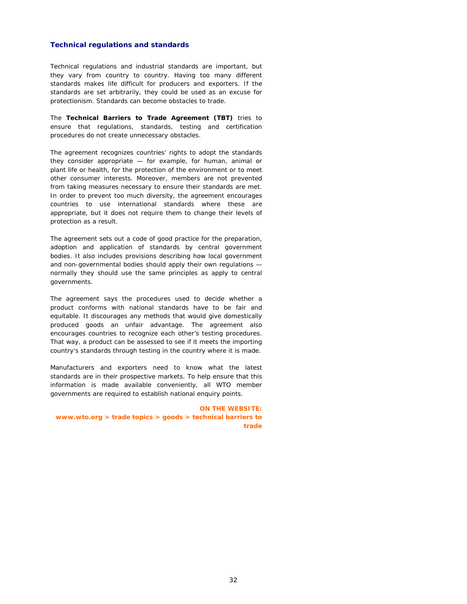#### **Technical regulations and standards**

Technical regulations and industrial standards are important, but they vary from country to country. Having too many different standards makes life difficult for producers and exporters. If the standards are set arbitrarily, they could be used as an excuse for protectionism. Standards can become obstacles to trade.

The **Technical Barriers to Trade Agreement (TBT)** tries to ensure that regulations, standards, testing and certification procedures do not create unnecessary obstacles.

The agreement recognizes countries' rights to adopt the standards they consider appropriate — for example, for human, animal or plant life or health, for the protection of the environment or to meet other consumer interests. Moreover, members are not prevented from taking measures necessary to ensure their standards are met. In order to prevent too much diversity, the agreement encourages countries to use international standards where these are appropriate, but it does not require them to change their levels of protection as a result.

The agreement sets out a code of good practice for the preparation, adoption and application of standards by central government bodies. It also includes provisions describing how local government and non-governmental bodies should apply their own regulations normally they should use the same principles as apply to central governments.

The agreement says the procedures used to decide whether a product conforms with national standards have to be fair and equitable. It discourages any methods that would give domestically produced goods an unfair advantage. The agreement also encourages countries to recognize each other's testing procedures. That way, a product can be assessed to see if it meets the importing country's standards through testing in the country where it is made.

Manufacturers and exporters need to know what the latest standards are in their prospective markets. To help ensure that this information is made available conveniently, all WTO member governments are required to establish national enquiry points.

#### **ON THE WEBSITE:**

**www.wto.org > trade topics > goods > technical barriers to trade**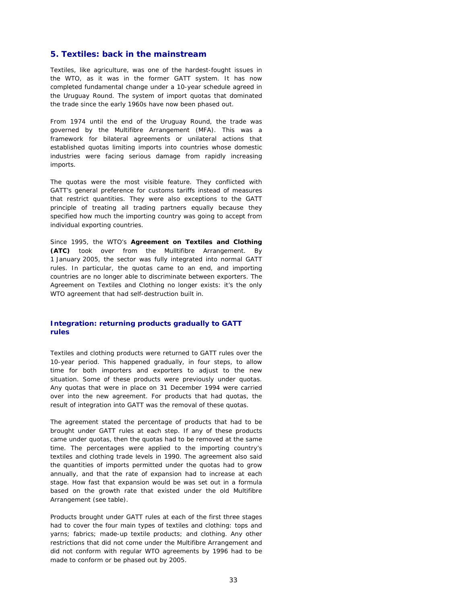# **5. Textiles: back in the mainstream**

Textiles, like agriculture, was one of the hardest-fought issues in the WTO, as it was in the former GATT system. It has now completed fundamental change under a 10-year schedule agreed in the Uruguay Round. The system of import quotas that dominated the trade since the early 1960s have now been phased out.

From 1974 until the end of the Uruguay Round, the trade was governed by the Multifibre Arrangement (MFA). This was a framework for bilateral agreements or unilateral actions that established quotas limiting imports into countries whose domestic industries were facing serious damage from rapidly increasing imports.

The quotas were the most visible feature. They conflicted with GATT's general preference for customs tariffs instead of measures that restrict quantities. They were also exceptions to the GATT principle of treating all trading partners equally because they specified how much the importing country was going to accept from individual exporting countries.

Since 1995, the WTO's **Agreement on Textiles and Clothing (ATC)** took over from the Mulltifibre Arrangement. By 1 January 2005, the sector was fully integrated into normal GATT rules. In particular, the quotas came to an end, and importing countries are no longer able to discriminate between exporters. The Agreement on Textiles and Clothing no longer exists: it's the only WTO agreement that had self-destruction built in.

# **Integration: returning products gradually to GATT rules**

Textiles and clothing products were returned to GATT rules over the 10-year period. This happened gradually, in four steps, to allow time for both importers and exporters to adjust to the new situation. Some of these products were previously under quotas. Any quotas that were in place on 31 December 1994 were carried over into the new agreement. For products that had quotas, the result of integration into GATT was the removal of these quotas.

The agreement stated the percentage of products that had to be brought under GATT rules at each step. If any of these products came under quotas, then the quotas had to be removed at the same time. The percentages were applied to the importing country's textiles and clothing trade levels in 1990. The agreement also said the quantities of imports permitted under the quotas had to grow annually, and that the rate of expansion had to increase at each stage. How fast that expansion would be was set out in a formula based on the growth rate that existed under the old Multifibre Arrangement (*see table*).

Products brought under GATT rules at each of the first three stages had to cover the four main types of textiles and clothing: tops and yarns; fabrics; made-up textile products; and clothing. Any other restrictions that did not come under the Multifibre Arrangement and did not conform with regular WTO agreements by 1996 had to be made to conform or be phased out by 2005.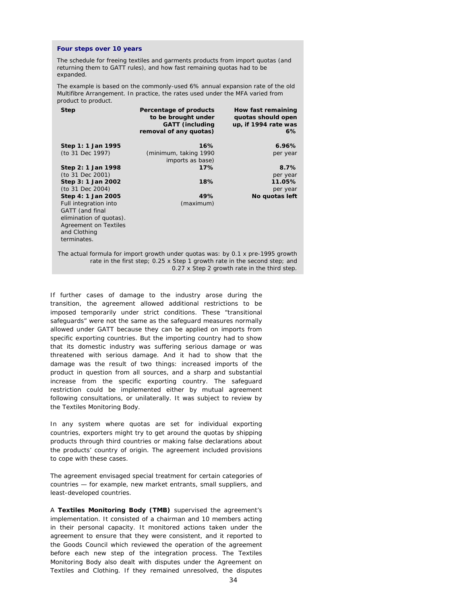#### **Four steps over 10 years**

The schedule for freeing textiles and garments products from import quotas (and returning them to GATT rules), and how fast remaining quotas had to be expanded.

The example is based on the commonly-used 6% annual expansion rate of the old Multifibre Arrangement. In practice, the rates used under the MFA varied from product to product.

| <b>Step</b>                                                                                                                                                                                                  | Percentage of products<br>to be brought under<br><b>GATT</b> (including<br>removal of any quotas) | How fast remaining<br>quotas should open<br>up, if 1994 rate was<br>6% |  |
|--------------------------------------------------------------------------------------------------------------------------------------------------------------------------------------------------------------|---------------------------------------------------------------------------------------------------|------------------------------------------------------------------------|--|
| Step 1: 1 Jan 1995                                                                                                                                                                                           | 16%                                                                                               | 6.96%                                                                  |  |
| (to 31 Dec 1997)                                                                                                                                                                                             | (minimum, taking 1990)                                                                            | per year                                                               |  |
|                                                                                                                                                                                                              | imports as base)                                                                                  |                                                                        |  |
| Step 2: 1 Jan 1998                                                                                                                                                                                           | 17%                                                                                               | 8.7%                                                                   |  |
| (to 31 Dec 2001)                                                                                                                                                                                             |                                                                                                   | per year                                                               |  |
| Step 3: 1 Jan 2002                                                                                                                                                                                           | 18%                                                                                               | 11.05%                                                                 |  |
| (to 31 Dec 2004)                                                                                                                                                                                             |                                                                                                   | per year                                                               |  |
| Step 4: 1 Jan 2005                                                                                                                                                                                           | 49%                                                                                               | No quotas left                                                         |  |
| Full integration into<br>GATT (and final<br>elimination of quotas).<br><b>Agreement on Textiles</b><br>and Clothing<br>terminates.                                                                           | (maximum)                                                                                         |                                                                        |  |
| The actual formula for import growth under quotas was: by 0.1 x pre-1995 growth<br>rate in the first step; 0.25 x Step 1 growth rate in the second step; and<br>0.27 x Step 2 growth rate in the third step. |                                                                                                   |                                                                        |  |

If further cases of damage to the industry arose during the transition, the agreement allowed additional restrictions to be imposed temporarily under strict conditions. These "transitional safeguards" were not the same as the safeguard measures normally allowed under GATT because they can be applied on imports from specific exporting countries. But the importing country had to show that its domestic industry was suffering serious damage or was threatened with serious damage. And it had to show that the damage was the result of two things: increased imports of the product in question from all sources, and a sharp and substantial increase from the specific exporting country. The safeguard restriction could be implemented either by mutual agreement following consultations, or unilaterally. It was subject to review by the Textiles Monitoring Body*.* 

In any system where quotas are set for individual exporting countries, exporters might try to get around the quotas by shipping products through third countries or making false declarations about the products' country of origin. The agreement included provisions to cope with these cases.

The agreement envisaged special treatment for certain categories of countries — for example, new market entrants, small suppliers, and least-developed countries.

A **Textiles Monitoring Body (TMB)** supervised the agreement's implementation. It consisted of a chairman and 10 members acting in their personal capacity. It monitored actions taken under the agreement to ensure that they were consistent, and it reported to the Goods Council which reviewed the operation of the agreement before each new step of the integration process. The Textiles Monitoring Body also dealt with disputes under the Agreement on Textiles and Clothing. If they remained unresolved, the disputes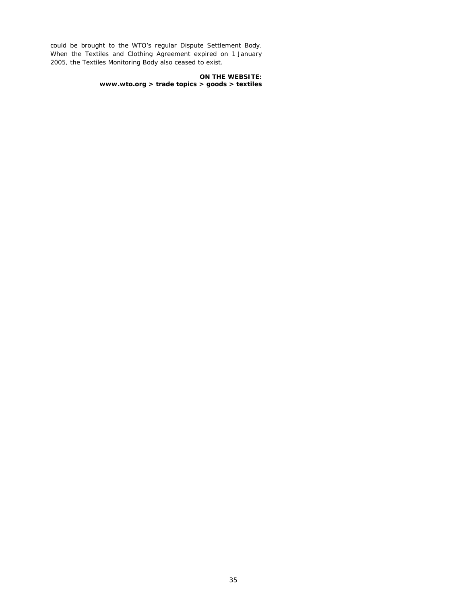could be brought to the WTO's regular Dispute Settlement Body. When the Textiles and Clothing Agreement expired on 1 January 2005, the Textiles Monitoring Body also ceased to exist.

> **ON THE WEBSITE: www.wto.org > trade topics > goods > textiles**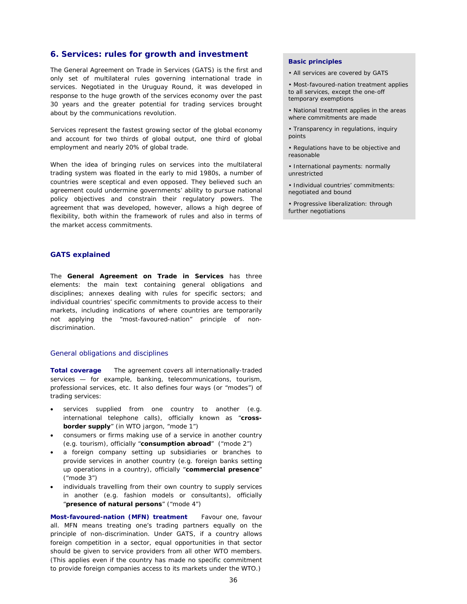# **6. Services: rules for growth and investment**

The General Agreement on Trade in Services (GATS) is the first and only set of multilateral rules governing international trade in services. Negotiated in the Uruguay Round, it was developed in response to the huge growth of the services economy over the past 30 years and the greater potential for trading services brought about by the communications revolution.

Services represent the fastest growing sector of the global economy and account for two thirds of global output, one third of global employment and nearly 20% of global trade.

When the idea of bringing rules on services into the multilateral trading system was floated in the early to mid 1980s, a number of countries were sceptical and even opposed. They believed such an agreement could undermine governments' ability to pursue national policy objectives and constrain their regulatory powers. The agreement that was developed, however, allows a high degree of flexibility, both within the framework of rules and also in terms of the market access commitments.

#### **GATS explained**

The **General Agreement on Trade in Services** has three elements: the main text containing general obligations and disciplines; annexes dealing with rules for specific sectors; and individual countries' specific commitments to provide access to their markets, including indications of where countries are temporarily not applying the "most-favoured-nation" principle of nondiscrimination.

#### General obligations and disciplines

**Total coverage** The agreement covers all internationally-traded services — for example, banking, telecommunications, tourism, professional services, etc. It also defines four ways (or "modes") of trading services:

- services supplied from one country to another (e.g. international telephone calls), officially known as "**crossborder supply**" (in WTO jargon, "mode 1")
- consumers or firms making use of a service in another country (e.g. tourism), officially "**consumption abroad**" ("mode 2")
- a foreign company setting up subsidiaries or branches to provide services in another country (e.g. foreign banks setting up operations in a country), officially "**commercial presence**" ("mode 3")
- individuals travelling from their own country to supply services in another (e.g. fashion models or consultants), officially "**presence of natural persons**" ("mode 4")

**Most-favoured-nation (MFN) treatment** Favour one, favour all. MFN means treating one's trading partners equally on the principle of non-discrimination. Under GATS, if a country allows foreign competition in a sector, equal opportunities in that sector should be given to service providers from all other WTO members. (This applies even if the country has made no specific commitment to provide foreign companies access to its markets under the WTO.)

#### **Basic principles**

• All services are covered by GATS

• Most-favoured-nation treatment applies to all services, except the one-off temporary exemptions

- National treatment applies in the areas where commitments are made
- Transparency in regulations, inquiry points
- Regulations have to be objective and reasonable
- International payments: normally unrestricted
- Individual countries' commitments: negotiated and bound
- Progressive liberalization: through further negotiations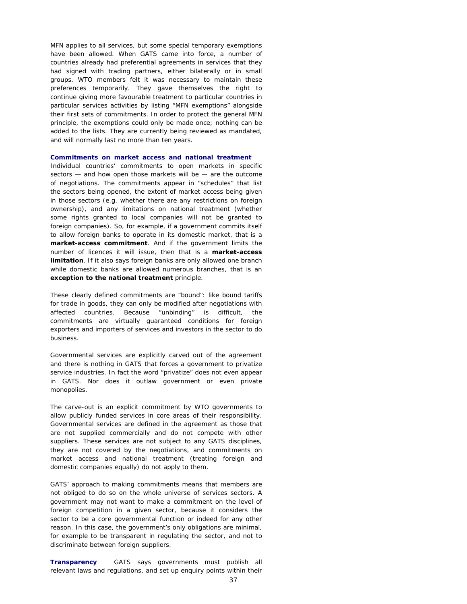MFN applies to all services, but some special temporary exemptions have been allowed. When GATS came into force, a number of countries already had preferential agreements in services that they had signed with trading partners, either bilaterally or in small groups. WTO members felt it was necessary to maintain these preferences temporarily. They gave themselves the right to continue giving more favourable treatment to particular countries in particular services activities by listing "MFN exemptions" alongside their first sets of commitments. In order to protect the general MFN principle, the exemptions could only be made once; nothing can be added to the lists. They are currently being reviewed as mandated, and will normally last no more than ten years.

## **Commitments on market access and national treatment**

Individual countries' commitments to open markets in specific sectors — and how open those markets will be — are the outcome of negotiations. The commitments appear in "schedules" that list the sectors being opened, the extent of market access being given in those sectors (e.g. whether there are any restrictions on foreign ownership), and any limitations on national treatment (whether some rights granted to local companies will not be granted to foreign companies). So, for example, if a government commits itself to allow foreign banks to operate in its domestic market, that is a **market-access commitment**. And if the government limits the number of licences it will issue, then that is a **market-access limitation**. If it also says foreign banks are only allowed one branch while domestic banks are allowed numerous branches, that is an **exception to the national treatment** principle.

These clearly defined commitments are "bound": like bound tariffs for trade in goods, they can only be modified after negotiations with affected countries. Because "unbinding" is difficult, the commitments are virtually guaranteed conditions for foreign exporters and importers of services and investors in the sector to do business.

Governmental services are explicitly carved out of the agreement and there is nothing in GATS that forces a government to privatize service industries. In fact the word "privatize" does not even appear in GATS. Nor does it outlaw government or even private monopolies.

The carve-out is an explicit commitment by WTO governments to allow publicly funded services in core areas of their responsibility. Governmental services are defined in the agreement as those that are not supplied commercially and do not compete with other suppliers. These services are not subject to any GATS disciplines, they are not covered by the negotiations, and commitments on market access and national treatment (treating foreign and domestic companies equally) do not apply to them.

GATS' approach to making commitments means that members are not obliged to do so on the whole universe of services sectors. A government may not want to make a commitment on the level of foreign competition in a given sector, because it considers the sector to be a core governmental function or indeed for any other reason. In this case, the government's only obligations are minimal, for example to be transparent in regulating the sector, and not to discriminate between foreign suppliers.

**Transparency** GATS says governments must publish all relevant laws and regulations, and set up enquiry points within their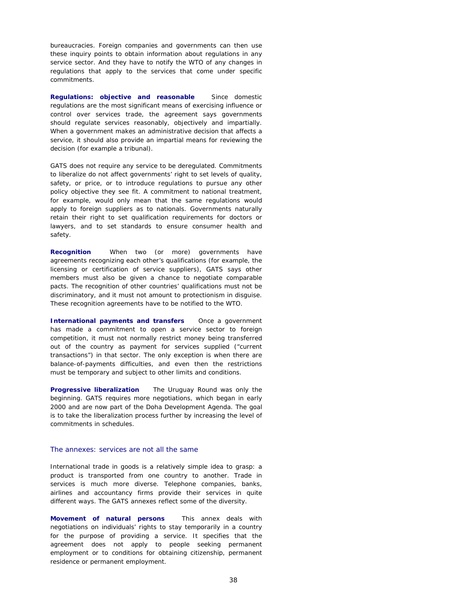bureaucracies. Foreign companies and governments can then use these inquiry points to obtain information about regulations in any service sector. And they have to notify the WTO of any changes in regulations that apply to the services that come under specific commitments.

**Regulations: objective and reasonable** Since domestic regulations are the most significant means of exercising influence or control over services trade, the agreement says governments should regulate services reasonably, objectively and impartially. When a government makes an administrative decision that affects a service, it should also provide an impartial means for reviewing the decision (for example a tribunal).

GATS does not require any service to be deregulated. Commitments to liberalize do not affect governments' right to set levels of quality, safety, or price, or to introduce regulations to pursue any other policy objective they see fit. A commitment to national treatment, for example, would only mean that the same regulations would apply to foreign suppliers as to nationals. Governments naturally retain their right to set qualification requirements for doctors or lawyers, and to set standards to ensure consumer health and safety.

**Recognition** When two (or more) governments have agreements recognizing each other's qualifications (for example, the licensing or certification of service suppliers), GATS says other members must also be given a chance to negotiate comparable pacts. The recognition of other countries' qualifications must not be discriminatory, and it must not amount to protectionism in disguise. These recognition agreements have to be notified to the WTO.

**International payments and transfers** Once a government has made a commitment to open a service sector to foreign competition, it must not normally restrict money being transferred out of the country as payment for services supplied ("current transactions") in that sector. The only exception is when there are balance-of-payments difficulties, and even then the restrictions must be temporary and subject to other limits and conditions.

**Progressive liberalization** The Uruguay Round was only the beginning. GATS requires more negotiations, which began in early 2000 and are now part of the Doha Development Agenda. The goal is to take the liberalization process further by increasing the level of commitments in schedules.

#### The annexes: services are not all the same

International trade in goods is a relatively simple idea to grasp: a product is transported from one country to another. Trade in services is much more diverse. Telephone companies, banks, airlines and accountancy firms provide their services in quite different ways. The GATS annexes reflect some of the diversity.

**Movement of natural persons** This annex deals with negotiations on individuals' rights to stay temporarily in a country for the purpose of providing a service. It specifies that the agreement does not apply to people seeking permanent employment or to conditions for obtaining citizenship, permanent residence or permanent employment.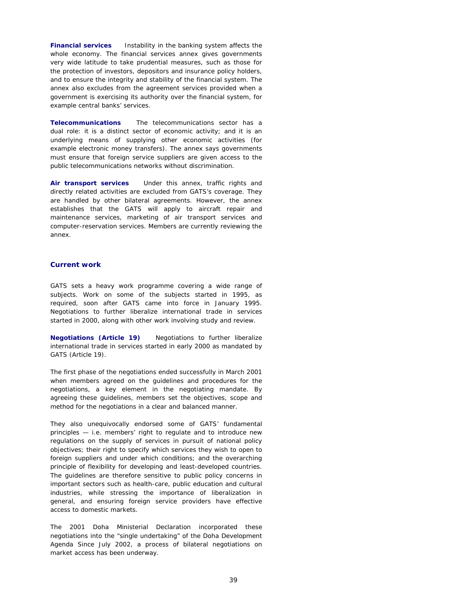**Financial services** Instability in the banking system affects the whole economy. The financial services annex gives governments very wide latitude to take prudential measures, such as those for the protection of investors, depositors and insurance policy holders, and to ensure the integrity and stability of the financial system. The annex also excludes from the agreement services provided when a government is exercising its authority over the financial system, for example central banks' services.

**Telecommunications** The telecommunications sector has a dual role: it is a distinct sector of economic activity; and it is an underlying means of supplying other economic activities (for example electronic money transfers). The annex says governments must ensure that foreign service suppliers are given access to the public telecommunications networks without discrimination.

**Air transport services** Under this annex, traffic rights and directly related activities are excluded from GATS's coverage. They are handled by other bilateral agreements. However, the annex establishes that the GATS will apply to aircraft repair and maintenance services, marketing of air transport services and computer-reservation services. Members are currently reviewing the annex.

# **Current work**

GATS sets a heavy work programme covering a wide range of subjects. Work on some of the subjects started in 1995, as required, soon after GATS came into force in January 1995. Negotiations to further liberalize international trade in services started in 2000, along with other work involving study and review.

**Negotiations (Article 19)** Negotiations to further liberalize international trade in services started in early 2000 as mandated by GATS (Article 19).

The first phase of the negotiations ended successfully in March 2001 when members agreed on the guidelines and procedures for the negotiations, a key element in the negotiating mandate. By agreeing these guidelines, members set the objectives, scope and method for the negotiations in a clear and balanced manner.

They also unequivocally endorsed some of GATS' fundamental principles — i.e. members' right to regulate and to introduce new regulations on the supply of services in pursuit of national policy objectives; their right to specify which services they wish to open to foreign suppliers and under which conditions; and the overarching principle of flexibility for developing and least-developed countries. The guidelines are therefore sensitive to public policy concerns in important sectors such as health-care, public education and cultural industries, while stressing the importance of liberalization in general, and ensuring foreign service providers have effective access to domestic markets.

The 2001 Doha Ministerial Declaration incorporated these negotiations into the "single undertaking" of the Doha Development Agenda Since July 2002, a process of bilateral negotiations on market access has been underway.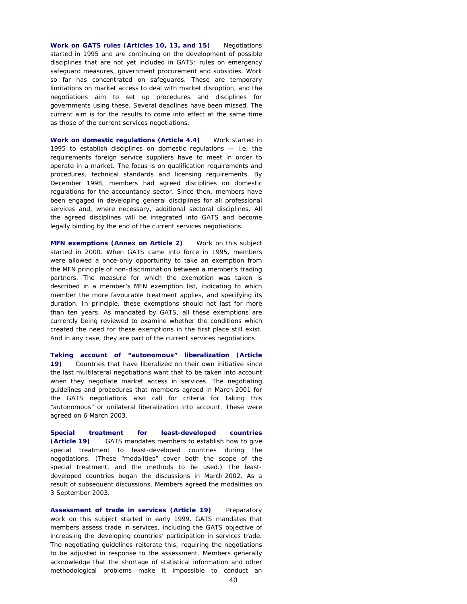**Work on GATS rules (Articles 10, 13, and 15)** Negotiations started in 1995 and are continuing on the development of possible disciplines that are not yet included in GATS: rules on emergency safeguard measures, government procurement and subsidies. Work so far has concentrated on safeguards. These are temporary limitations on market access to deal with market disruption, and the negotiations aim to set up procedures and disciplines for governments using these. Several deadlines have been missed. The current aim is for the results to come into effect at the same time as those of the current services negotiations.

**Work on domestic regulations (Article 4.4)** Work started in 1995 to establish disciplines on domestic regulations — i.e. the requirements foreign service suppliers have to meet in order to operate in a market. The focus is on qualification requirements and procedures, technical standards and licensing requirements. By December 1998, members had agreed disciplines on domestic regulations for the accountancy sector. Since then, members have been engaged in developing general disciplines for all professional services and, where necessary, additional sectoral disciplines. All the agreed disciplines will be integrated into GATS and become legally binding by the end of the current services negotiations.

**MFN exemptions (Annex on Article 2)** Work on this subject started in 2000. When GATS came into force in 1995, members were allowed a once-only opportunity to take an exemption from the MFN principle of non-discrimination between a member's trading partners. The measure for which the exemption was taken is described in a member's MFN exemption list, indicating to which member the more favourable treatment applies, and specifying its duration. In principle, these exemptions should not last for more than ten years. As mandated by GATS, all these exemptions are currently being reviewed to examine whether the conditions which created the need for these exemptions in the first place still exist. And in any case, they are part of the current services negotiations.

**Taking account of "autonomous" liberalization (Article**  19) Countries that have liberalized on their own initiative since the last multilateral negotiations want that to be taken into account when they negotiate market access in services. The negotiating guidelines and procedures that members agreed in March 2001 for the GATS negotiations also call for criteria for taking this "autonomous" or unilateral liberalization into account. These were agreed on 6 March 2003.

**Special treatment for least-developed countries (Article 19)** GATS mandates members to establish how to give special treatment to least-developed countries during the negotiations. (These "modalities" cover both the scope of the special treatment, and the methods to be used.) The leastdeveloped countries began the discussions in March 2002. As a result of subsequent discussions, Members agreed the modalities on 3 September 2003.

Assessment of trade in services (Article 19) Preparatory work on this subject started in early 1999. GATS mandates that members assess trade in services, including the GATS objective of increasing the developing countries' participation in services trade. The negotiating guidelines reiterate this, requiring the negotiations to be adjusted in response to the assessment. Members generally acknowledge that the shortage of statistical information and other methodological problems make it impossible to conduct an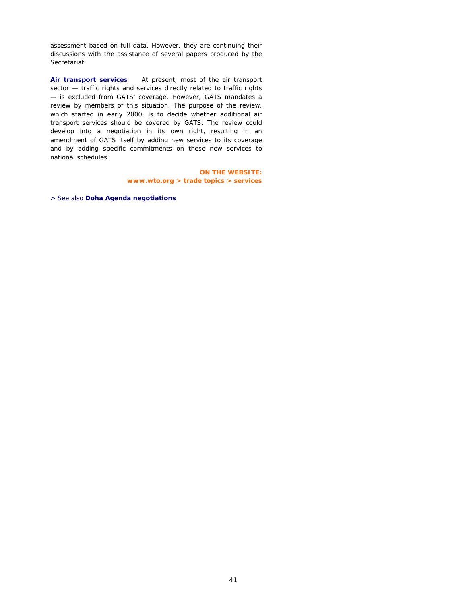assessment based on full data. However, they are continuing their discussions with the assistance of several papers produced by the Secretariat.

**Air transport services** At present, most of the air transport sector — traffic rights and services directly related to traffic rights — is excluded from GATS' coverage. However, GATS mandates a review by members of this situation. The purpose of the review, which started in early 2000, is to decide whether additional air transport services should be covered by GATS. The review could develop into a negotiation in its own right, resulting in an amendment of GATS itself by adding new services to its coverage and by adding specific commitments on these new services to national schedules.

# **ON THE WEBSITE:**

#### **www.wto.org > trade topics > services**

> See also **Doha Agenda negotiations**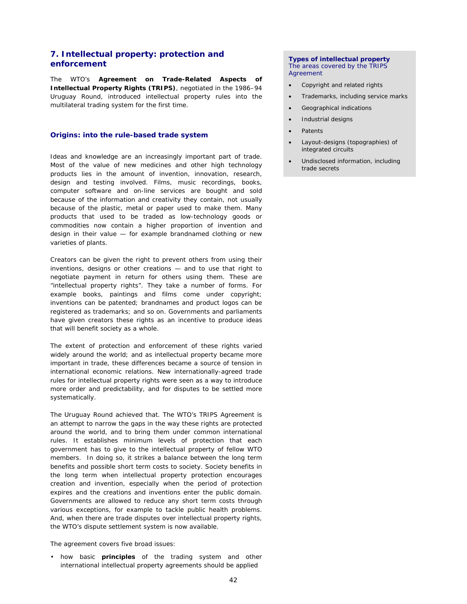# **7. Intellectual property: protection and enforcement**

The WTO's **Agreement on Trade-Related Aspects of Intellectual Property Rights (TRIPS)**, negotiated in the 1986–94 Uruguay Round, introduced intellectual property rules into the multilateral trading system for the first time.

### **Origins: into the rule-based trade system**

Ideas and knowledge are an increasingly important part of trade. Most of the value of new medicines and other high technology products lies in the amount of invention, innovation, research, design and testing involved. Films, music recordings, books, computer software and on-line services are bought and sold because of the information and creativity they contain, not usually because of the plastic, metal or paper used to make them. Many products that used to be traded as low-technology goods or commodities now contain a higher proportion of invention and design in their value — for example brandnamed clothing or new varieties of plants.

Creators can be given the right to prevent others from using their inventions, designs or other creations — and to use that right to negotiate payment in return for others using them. These are "intellectual property rights". They take a number of forms. For example books, paintings and films come under copyright; inventions can be patented; brandnames and product logos can be registered as trademarks; and so on. Governments and parliaments have given creators these rights as an incentive to produce ideas that will benefit society as a whole.

The extent of protection and enforcement of these rights varied widely around the world; and as intellectual property became more important in trade, these differences became a source of tension in international economic relations. New internationally-agreed trade rules for intellectual property rights were seen as a way to introduce more order and predictability, and for disputes to be settled more systematically.

The Uruguay Round achieved that. The WTO's TRIPS Agreement is an attempt to narrow the gaps in the way these rights are protected around the world, and to bring them under common international rules. It establishes minimum levels of protection that each government has to give to the intellectual property of fellow WTO members. In doing so, it strikes a balance between the long term benefits and possible short term costs to society. Society benefits in the long term when intellectual property protection encourages creation and invention, especially when the period of protection expires and the creations and inventions enter the public domain. Governments are allowed to reduce any short term costs through various exceptions, for example to tackle public health problems. And, when there are trade disputes over intellectual property rights, the WTO's dispute settlement system is now available.

The agreement covers five broad issues:

• how basic **principles** of the trading system and other international intellectual property agreements should be applied

#### **Types of intellectual property**  The areas covered by the TRIPS Agreement

- Copyright and related rights
- Trademarks, including service marks
- Geographical indications
- Industrial designs
- **Patents**
- Layout-designs (topographies) of integrated circuits
- Undisclosed information, including trade secrets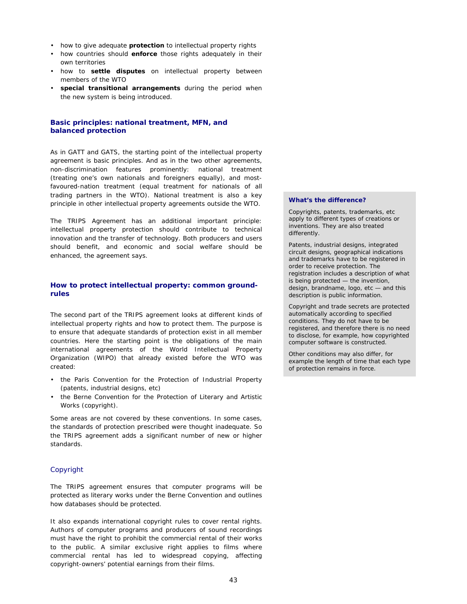- how to give adequate **protection** to intellectual property rights
- how countries should **enforce** those rights adequately in their own territories
- how to **settle disputes** on intellectual property between members of the WTO
- special transitional arrangements during the period when the new system is being introduced.

# **Basic principles: national treatment, MFN, and balanced protection**

As in GATT and GATS, the starting point of the intellectual property agreement is basic principles. And as in the two other agreements, non-discrimination features prominently: national treatment (treating one's own nationals and foreigners equally), and mostfavoured-nation treatment (equal treatment for nationals of all trading partners in the WTO). National treatment is also a key principle in other intellectual property agreements outside the WTO.

The TRIPS Agreement has an additional important principle: intellectual property protection should contribute to technical innovation and the transfer of technology. Both producers and users should benefit, and economic and social welfare should be enhanced, the agreement says.

# **How to protect intellectual property: common groundrules**

The second part of the TRIPS agreement looks at different kinds of intellectual property rights and how to protect them. The purpose is to ensure that adequate standards of protection exist in all member countries. Here the starting point is the obligations of the main international agreements of the World Intellectual Property Organization (WIPO) that already existed before the WTO was created:

- the Paris Convention for the Protection of Industrial Property (patents, industrial designs, etc)
- the Berne Convention for the Protection of Literary and Artistic Works (copyright).

Some areas are not covered by these conventions. In some cases, the standards of protection prescribed were thought inadequate. So the TRIPS agreement adds a significant number of new or higher standards.

# Copyright

The TRIPS agreement ensures that computer programs will be protected as literary works under the Berne Convention and outlines how databases should be protected.

It also expands international copyright rules to cover rental rights. Authors of computer programs and producers of sound recordings must have the right to prohibit the commercial rental of their works to the public. A similar exclusive right applies to films where commercial rental has led to widespread copying, affecting copyright-owners' potential earnings from their films.

#### **What's the difference?**

Copyrights, patents, trademarks, etc apply to different types of creations or inventions. They are also treated differently.

Patents, industrial designs, integrated circuit designs, geographical indications and trademarks have to be registered in order to receive protection. The registration includes a description of what is being protected — the invention, design, brandname, logo, etc — and this description is public information.

Copyright and trade secrets are protected automatically according to specified conditions. They do not have to be registered, and therefore there is no need to disclose, for example, how copyrighted computer software is constructed.

Other conditions may also differ, for example the length of time that each type of protection remains in force.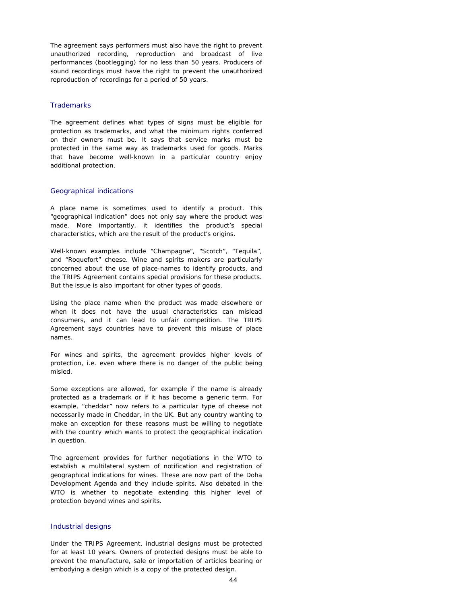The agreement says performers must also have the right to prevent unauthorized recording, reproduction and broadcast of live performances (bootlegging) for no less than 50 years. Producers of sound recordings must have the right to prevent the unauthorized reproduction of recordings for a period of 50 years.

# **Trademarks**

The agreement defines what types of signs must be eligible for protection as trademarks, and what the minimum rights conferred on their owners must be. It says that service marks must be protected in the same way as trademarks used for goods. Marks that have become well-known in a particular country enjoy additional protection.

#### Geographical indications

A place name is sometimes used to identify a product. This "geographical indication" does not only say where the product was made. More importantly, it identifies the product's special characteristics, which are the result of the product's origins.

Well-known examples include "Champagne", "Scotch", "Tequila", and "Roquefort" cheese. Wine and spirits makers are particularly concerned about the use of place-names to identify products, and the TRIPS Agreement contains special provisions for these products. But the issue is also important for other types of goods.

Using the place name when the product was made elsewhere or when it does not have the usual characteristics can mislead consumers, and it can lead to unfair competition. The TRIPS Agreement says countries have to prevent this misuse of place names.

For wines and spirits, the agreement provides higher levels of protection, i.e. even where there is no danger of the public being misled.

Some exceptions are allowed, for example if the name is already protected as a trademark or if it has become a generic term. For example, "cheddar" now refers to a particular type of cheese not necessarily made in Cheddar, in the UK. But any country wanting to make an exception for these reasons must be willing to negotiate with the country which wants to protect the geographical indication in question.

The agreement provides for further negotiations in the WTO to establish a multilateral system of notification and registration of geographical indications for wines. These are now part of the Doha Development Agenda and they include spirits. Also debated in the WTO is whether to negotiate extending this higher level of protection beyond wines and spirits.

#### Industrial designs

Under the TRIPS Agreement, industrial designs must be protected for at least 10 years. Owners of protected designs must be able to prevent the manufacture, sale or importation of articles bearing or embodying a design which is a copy of the protected design.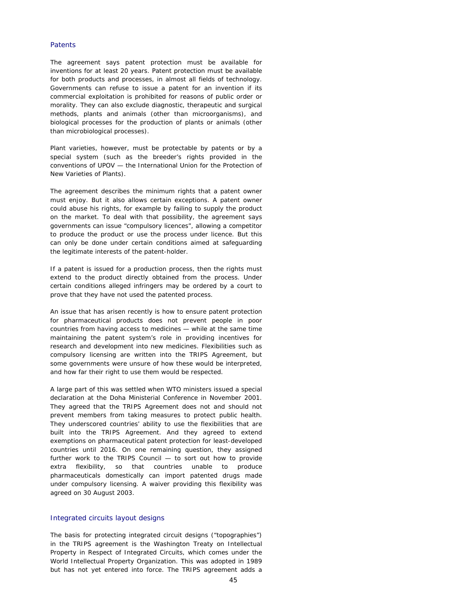#### Patents

The agreement says patent protection must be available for inventions for at least 20 years. Patent protection must be available for both products and processes, in almost all fields of technology. Governments can refuse to issue a patent for an invention if its commercial exploitation is prohibited for reasons of public order or morality. They can also exclude diagnostic, therapeutic and surgical methods, plants and animals (other than microorganisms), and biological processes for the production of plants or animals (other than microbiological processes).

Plant varieties, however, must be protectable by patents or by a special system (such as the breeder's rights provided in the conventions of UPOV — the International Union for the Protection of New Varieties of Plants).

The agreement describes the minimum rights that a patent owner must enjoy. But it also allows certain exceptions. A patent owner could abuse his rights, for example by failing to supply the product on the market. To deal with that possibility, the agreement says governments can issue "compulsory licences", allowing a competitor to produce the product or use the process under licence. But this can only be done under certain conditions aimed at safeguarding the legitimate interests of the patent-holder.

If a patent is issued for a production process, then the rights must extend to the product directly obtained from the process. Under certain conditions alleged infringers may be ordered by a court to prove that they have not used the patented process.

An issue that has arisen recently is how to ensure patent protection for pharmaceutical products does not prevent people in poor countries from having access to medicines — while at the same time maintaining the patent system's role in providing incentives for research and development into new medicines. Flexibilities such as compulsory licensing are written into the TRIPS Agreement, but some governments were unsure of how these would be interpreted, and how far their right to use them would be respected.

A large part of this was settled when WTO ministers issued a special declaration at the Doha Ministerial Conference in November 2001. They agreed that the TRIPS Agreement does not and should not prevent members from taking measures to protect public health. They underscored countries' ability to use the flexibilities that are built into the TRIPS Agreement. And they agreed to extend exemptions on pharmaceutical patent protection for least-developed countries until 2016. On one remaining question, they assigned further work to the TRIPS Council — to sort out how to provide extra flexibility, so that countries unable to produce pharmaceuticals domestically can import patented drugs made under compulsory licensing. A waiver providing this flexibility was agreed on 30 August 2003.

#### Integrated circuits layout designs

The basis for protecting integrated circuit designs ("topographies") in the TRIPS agreement is the Washington Treaty on Intellectual Property in Respect of Integrated Circuits, which comes under the World Intellectual Property Organization. This was adopted in 1989 but has not yet entered into force. The TRIPS agreement adds a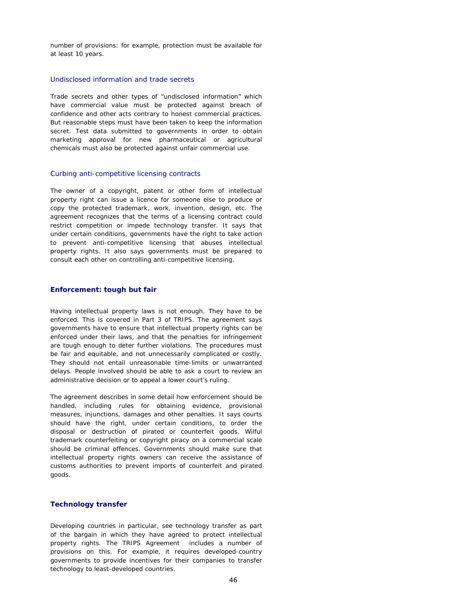number of provisions: for example, protection must be available for at least 10 years.

#### Undisclosed information and trade secrets

Trade secrets and other types of "undisclosed information" which have commercial value must be protected against breach of confidence and other acts contrary to honest commercial practices. But reasonable steps must have been taken to keep the information secret. Test data submitted to governments in order to obtain marketing approval for new pharmaceutical or agricultural chemicals must also be protected against unfair commercial use.

#### Curbing anti-competitive licensing contracts

The owner of a copyright, patent or other form of intellectual property right can issue a licence for someone else to produce or copy the protected trademark, work, invention, design, etc. The agreement recognizes that the terms of a licensing contract could restrict competition or impede technology transfer. It says that under certain conditions, governments have the right to take action to prevent anti-competitive licensing that abuses intellectual property rights. It also says governments must be prepared to consult each other on controlling anti-competitive licensing.

#### **Enforcement: tough but fair**

Having intellectual property laws is not enough. They have to be enforced. This is covered in Part 3 of TRIPS. The agreement says governments have to ensure that intellectual property rights can be enforced under their laws, and that the penalties for infringement are tough enough to deter further violations. The procedures must be fair and equitable, and not unnecessarily complicated or costly. They should not entail unreasonable time-limits or unwarranted delays. People involved should be able to ask a court to review an administrative decision or to appeal a lower court's ruling.

The agreement describes in some detail how enforcement should be handled, including rules for obtaining evidence, provisional measures, injunctions, damages and other penalties. It says courts should have the right, under certain conditions, to order the disposal or destruction of pirated or counterfeit goods. Wilful trademark counterfeiting or copyright piracy on a commercial scale should be criminal offences. Governments should make sure that intellectual property rights owners can receive the assistance of customs authorities to prevent imports of counterfeit and pirated goods.

## **Technology transfer**

Developing countries in particular, see technology transfer as part of the bargain in which they have agreed to protect intellectual property rights. The TRIPS Agreement includes a number of provisions on this. For example, it requires developed-country governments to provide incentives for their companies to transfer technology to least-developed countries.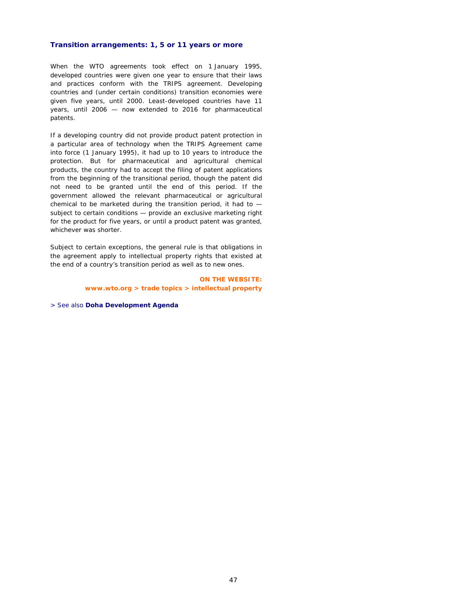#### **Transition arrangements: 1, 5 or 11 years or more**

When the WTO agreements took effect on 1 January 1995, developed countries were given one year to ensure that their laws and practices conform with the TRIPS agreement. Developing countries and (under certain conditions) transition economies were given five years, until 2000. Least-developed countries have 11 years, until 2006 — now extended to 2016 for pharmaceutical patents.

If a developing country did not provide product patent protection in a particular area of technology when the TRIPS Agreement came into force (1 January 1995), it had up to 10 years to introduce the protection. But for pharmaceutical and agricultural chemical products, the country had to accept the filing of patent applications from the beginning of the transitional period, though the patent did not need to be granted until the end of this period. If the government allowed the relevant pharmaceutical or agricultural chemical to be marketed during the transition period, it had to subject to certain conditions — provide an exclusive marketing right for the product for five years, or until a product patent was granted, whichever was shorter.

Subject to certain exceptions, the general rule is that obligations in the agreement apply to intellectual property rights that existed at the end of a country's transition period as well as to new ones.

> **ON THE WEBSITE: www.wto.org > trade topics > intellectual property**

> See also **Doha Development Agenda**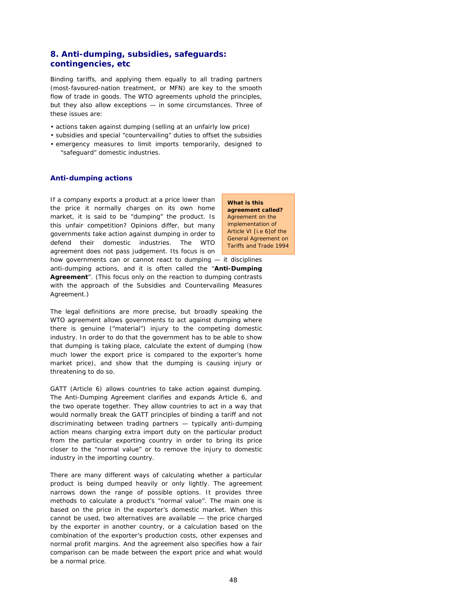# **8. Anti-dumping, subsidies, safeguards: contingencies, etc**

Binding tariffs, and applying them equally to all trading partners (most-favoured-nation treatment, or MFN) are key to the smooth flow of trade in goods. The WTO agreements uphold the principles, but they also allow exceptions — in some circumstances. Three of these issues are:

- actions taken against dumping (selling at an unfairly low price)
- subsidies and special "countervailing" duties to offset the subsidies
- emergency measures to limit imports temporarily, designed to "safeguard" domestic industries.

# **Anti-dumping actions**

If a company exports a product at a price lower than the price it normally charges on its own home market, it is said to be "dumping" the product. Is this unfair competition? Opinions differ, but many governments take action against dumping in order to defend their domestic industries. The WTO agreement does not pass judgement. Its focus is on

**What is this agreement called?** Agreement on the implementation of Article VI [i.e 6]of the General Agreement on Tariffs and Trade 1994

how governments can or cannot react to dumping — it disciplines anti-dumping actions, and it is often called the "**Anti-Dumping Agreement**". (This focus only on the reaction to dumping contrasts with the approach of the Subsidies and Countervailing Measures Agreement.)

The legal definitions are more precise, but broadly speaking the WTO agreement allows governments to act against dumping where there is genuine ("material") injury to the competing domestic industry. In order to do that the government has to be able to show that dumping is taking place, calculate the extent of dumping (how much lower the export price is compared to the exporter's home market price), and show that the dumping is causing injury or threatening to do so.

GATT (Article 6) allows countries to take action against dumping. The Anti-Dumping Agreement clarifies and expands Article 6, and the two operate together. They allow countries to act in a way that would normally break the GATT principles of binding a tariff and not discriminating between trading partners — typically anti-dumping action means charging extra import duty on the particular product from the particular exporting country in order to bring its price closer to the "normal value" or to remove the injury to domestic industry in the importing country.

There are many different ways of calculating whether a particular product is being dumped heavily or only lightly. The agreement narrows down the range of possible options. It provides three methods to calculate a product's "normal value". The main one is based on the price in the exporter's domestic market. When this cannot be used, two alternatives are available — the price charged by the exporter in another country, or a calculation based on the combination of the exporter's production costs, other expenses and normal profit margins. And the agreement also specifies how a fair comparison can be made between the export price and what would be a normal price.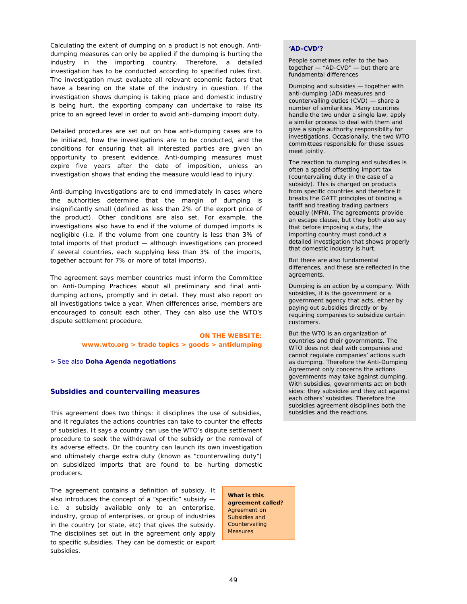Calculating the extent of dumping on a product is not enough. Antidumping measures can only be applied if the dumping is hurting the industry in the importing country. Therefore, a detailed investigation has to be conducted according to specified rules first. The investigation must evaluate all relevant economic factors that have a bearing on the state of the industry in question. If the investigation shows dumping is taking place and domestic industry is being hurt, the exporting company can undertake to raise its price to an agreed level in order to avoid anti-dumping import duty.

Detailed procedures are set out on how anti-dumping cases are to be initiated, how the investigations are to be conducted, and the conditions for ensuring that all interested parties are given an opportunity to present evidence. Anti-dumping measures must expire five years after the date of imposition, unless an investigation shows that ending the measure would lead to injury.

Anti-dumping investigations are to end immediately in cases where the authorities determine that the margin of dumping is insignificantly small (defined as less than 2% of the export price of the product). Other conditions are also set. For example, the investigations also have to end if the volume of dumped imports is negligible (i.e. if the volume from one country is less than 3% of total imports of that product — although investigations can proceed if several countries, each supplying less than 3% of the imports, together account for 7% or more of total imports).

The agreement says member countries must inform the Committee on Anti-Dumping Practices about all preliminary and final antidumping actions, promptly and in detail. They must also report on all investigations twice a year. When differences arise, members are encouraged to consult each other. They can also use the WTO's dispute settlement procedure.

# **ON THE WEBSITE: www.wto.org > trade topics > goods > antidumping**

> See also **Doha Agenda negotiations**

#### **Subsidies and countervailing measures**

This agreement does two things: it disciplines the use of subsidies, and it regulates the actions countries can take to counter the effects of subsidies. It says a country can use the WTO's dispute settlement procedure to seek the withdrawal of the subsidy or the removal of its adverse effects. Or the country can launch its own investigation and ultimately charge extra duty (known as "countervailing duty") on subsidized imports that are found to be hurting domestic producers.

The agreement contains a definition of subsidy. It also introduces the concept of a "specific" subsidy i.e. a subsidy available only to an enterprise, industry, group of enterprises, or group of industries in the country (or state, etc) that gives the subsidy. The disciplines set out in the agreement only apply to specific subsidies. They can be domestic or export subsidies.

**What is this agreement called?**  Agreement on Subsidies and **Countervailing Measures** 

#### **'AD-CVD'?**

People sometimes refer to the two together — "AD-CVD" — but there are fundamental differences

Dumping and subsidies — together with anti-dumping (AD) measures and countervailing duties (CVD) — share a number of similarities. Many countries handle the two under a single law, apply a similar process to deal with them and give a single authority responsibility for investigations. Occasionally, the two WTO committees responsible for these issues meet jointly.

The reaction to dumping and subsidies is often a special offsetting import tax (countervailing duty in the case of a subsidy). This is charged on products from specific countries and therefore it breaks the GATT principles of binding a tariff and treating trading partners equally (MFN). The agreements provide an escape clause, but they both also say that before imposing a duty, the importing country must conduct a detailed investigation that shows properly that domestic industry is hurt.

But there are also fundamental differences, and these are reflected in the agreements.

Dumping is an action by a company. With subsidies, it is the government or a government agency that acts, either by paying out subsidies directly or by requiring companies to subsidize certain customers.

But the WTO is an organization of countries and their governments. The WTO does not deal with companies and cannot regulate companies' actions such as dumping. Therefore the Anti-Dumping Agreement only concerns the actions governments may take against dumping. With subsidies, governments act on both sides: they subsidize and they act against each others' subsidies. Therefore the subsidies agreement disciplines both the subsidies and the reactions.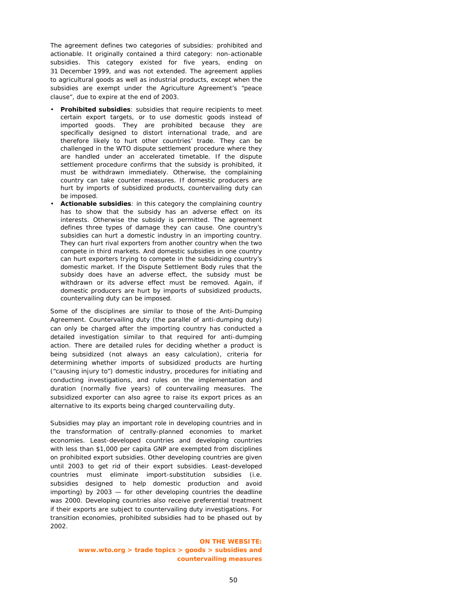The agreement defines two categories of subsidies: prohibited and actionable. It originally contained a third category: non-actionable subsidies. This category existed for five years, ending on 31 December 1999, and was not extended. The agreement applies to agricultural goods as well as industrial products, except when the subsidies are exempt under the Agriculture Agreement's "peace clause", due to expire at the end of 2003.

- **Prohibited subsidies**: subsidies that require recipients to meet certain export targets, or to use domestic goods instead of imported goods. They are prohibited because they are specifically designed to distort international trade, and are therefore likely to hurt other countries' trade. They can be challenged in the WTO dispute settlement procedure where they are handled under an accelerated timetable. If the dispute settlement procedure confirms that the subsidy is prohibited, it must be withdrawn immediately. Otherwise, the complaining country can take counter measures. If domestic producers are hurt by imports of subsidized products, countervailing duty can be imposed.
- **Actionable subsidies**: in this category the complaining country has to show that the subsidy has an adverse effect on its interests. Otherwise the subsidy is permitted. The agreement defines three types of damage they can cause. One country's subsidies can hurt a domestic industry in an importing country. They can hurt rival exporters from another country when the two compete in third markets. And domestic subsidies in one country can hurt exporters trying to compete in the subsidizing country's domestic market. If the Dispute Settlement Body rules that the subsidy does have an adverse effect, the subsidy must be withdrawn or its adverse effect must be removed. Again, if domestic producers are hurt by imports of subsidized products, countervailing duty can be imposed.

Some of the disciplines are similar to those of the Anti-Dumping Agreement. Countervailing duty (the parallel of anti-dumping duty) can only be charged after the importing country has conducted a detailed investigation similar to that required for anti-dumping action. There are detailed rules for deciding whether a product is being subsidized (not always an easy calculation), criteria for determining whether imports of subsidized products are hurting ("causing injury to") domestic industry, procedures for initiating and conducting investigations, and rules on the implementation and duration (normally five years) of countervailing measures. The subsidized exporter can also agree to raise its export prices as an alternative to its exports being charged countervailing duty.

Subsidies may play an important role in developing countries and in the transformation of centrally-planned economies to market economies. Least-developed countries and developing countries with less than \$1,000 per capita GNP are exempted from disciplines on prohibited export subsidies. Other developing countries are given until 2003 to get rid of their export subsidies. Least-developed countries must eliminate import-substitution subsidies (i.e. subsidies designed to help domestic production and avoid importing) by 2003 — for other developing countries the deadline was 2000. Developing countries also receive preferential treatment if their exports are subject to countervailing duty investigations. For transition economies, prohibited subsidies had to be phased out by 2002.

## **ON THE WEBSITE:**

**www.wto.org > trade topics > goods > subsidies and countervailing measures**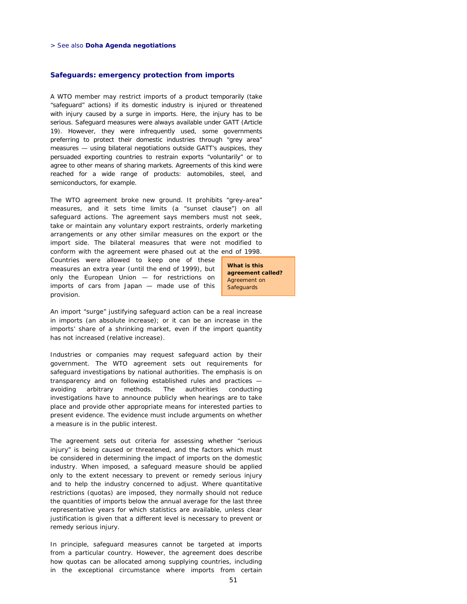#### **Safeguards: emergency protection from imports**

A WTO member may restrict imports of a product temporarily (take "safeguard" actions) if its domestic industry is injured or threatened with injury caused by a surge in imports. Here, the injury has to be serious. Safeguard measures were always available under GATT (Article 19). However, they were infrequently used, some governments preferring to protect their domestic industries through "grey area" measures — using bilateral negotiations outside GATT's auspices, they persuaded exporting countries to restrain exports "voluntarily" or to agree to other means of sharing markets. Agreements of this kind were reached for a wide range of products: automobiles, steel, and semiconductors, for example.

The WTO agreement broke new ground. It prohibits "grey-area" measures, and it sets time limits (a "sunset clause") on all safeguard actions. The agreement says members must not seek, take or maintain any voluntary export restraints, orderly marketing arrangements or any other similar measures on the export or the import side. The bilateral measures that were not modified to conform with the agreement were phased out at the end of 1998.

Countries were allowed to keep one of these measures an extra year (until the end of 1999), but only the European Union — for restrictions on imports of cars from Japan — made use of this provision.

**What is this agreement called?**  Agreement on **Safeguards** 

An import "surge" justifying safeguard action can be a real increase in imports (an *absolute increase*); or it can be an increase in the imports' share of a shrinking market, even if the import quantity has not increased (*relative increase*).

Industries or companies may request safeguard action by their government. The WTO agreement sets out requirements for safeguard investigations by national authorities. The emphasis is on transparency and on following established rules and practices avoiding arbitrary methods. The authorities conducting investigations have to announce publicly when hearings are to take place and provide other appropriate means for interested parties to present evidence. The evidence must include arguments on whether a measure is in the public interest.

The agreement sets out criteria for assessing whether "serious injury" is being caused or threatened, and the factors which must be considered in determining the impact of imports on the domestic industry. When imposed, a safeguard measure should be applied only to the extent necessary to prevent or remedy serious injury and to help the industry concerned to adjust. Where quantitative restrictions (quotas) are imposed, they normally should not reduce the quantities of imports below the annual average for the last three representative years for which statistics are available, unless clear justification is given that a different level is necessary to prevent or remedy serious injury.

In principle, safeguard measures cannot be targeted at imports from a particular country. However, the agreement does describe how quotas can be allocated among supplying countries, including in the exceptional circumstance where imports from certain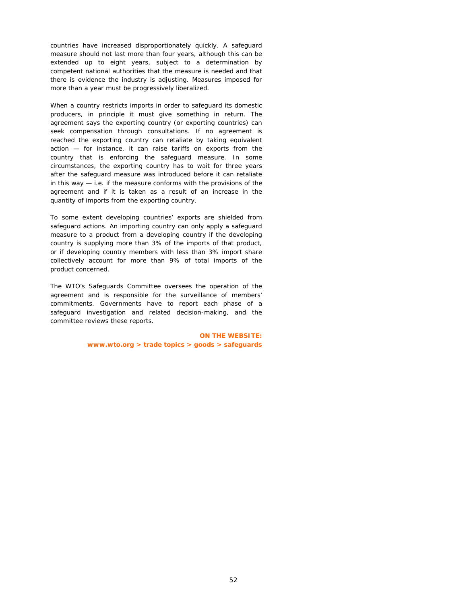countries have increased disproportionately quickly. A safeguard measure should not last more than four years, although this can be extended up to eight years, subject to a determination by competent national authorities that the measure is needed and that there is evidence the industry is adjusting. Measures imposed for more than a year must be progressively liberalized.

When a country restricts imports in order to safeguard its domestic producers, in principle it must give something in return. The agreement says the exporting country (or exporting countries) can seek compensation through consultations. If no agreement is reached the exporting country can retaliate by taking equivalent action — for instance, it can raise tariffs on exports from the country that is enforcing the safeguard measure. In some circumstances, the exporting country has to wait for three years after the safeguard measure was introduced before it can retaliate in this way — i.e. if the measure conforms with the provisions of the agreement and if it is taken as a result of an increase in the quantity of imports from the exporting country.

To some extent developing countries' exports are shielded from safeguard actions. An importing country can only apply a safeguard measure to a product from a developing country if the developing country is supplying more than 3% of the imports of that product, or if developing country members with less than 3% import share collectively account for more than 9% of total imports of the product concerned.

The WTO's Safeguards Committee oversees the operation of the agreement and is responsible for the surveillance of members' commitments. Governments have to report each phase of a safeguard investigation and related decision-making, and the committee reviews these reports.

> **ON THE WEBSITE: www.wto.org > trade topics > goods > safeguards**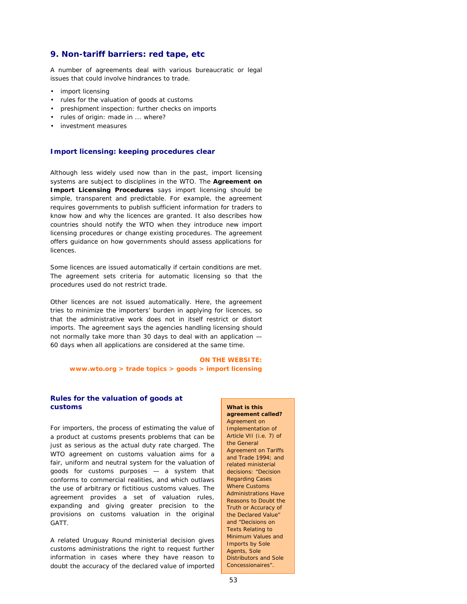# **9. Non-tariff barriers: red tape, etc**

A number of agreements deal with various bureaucratic or legal issues that could involve hindrances to trade.

- import licensing
- rules for the valuation of goods at customs
- preshipment inspection: further checks on imports
- rules of origin: made in ... where?
- investment measures

### **Import licensing: keeping procedures clear**

Although less widely used now than in the past, import licensing systems are subject to disciplines in the WTO. The **Agreement on Import Licensing Procedures** says import licensing should be simple, transparent and predictable. For example, the agreement requires governments to publish sufficient information for traders to know how and why the licences are granted. It also describes how countries should notify the WTO when they introduce new import licensing procedures or change existing procedures. The agreement offers guidance on how governments should assess applications for licences.

Some licences are issued automatically if certain conditions are met. The agreement sets criteria for automatic licensing so that the procedures used do not restrict trade.

Other licences are not issued automatically. Here, the agreement tries to minimize the importers' burden in applying for licences, so that the administrative work does not in itself restrict or distort imports. The agreement says the agencies handling licensing should not normally take more than 30 days to deal with an application — 60 days when all applications are considered at the same time.

**ON THE WEBSITE: www.wto.org > trade topics > goods > import licensing** 

# **Rules for the valuation of goods at customs**

For importers, the process of estimating the value of a product at customs presents problems that can be just as serious as the actual duty rate charged. The WTO agreement on customs valuation aims for a fair, uniform and neutral system for the valuation of goods for customs purposes — a system that conforms to commercial realities, and which outlaws the use of arbitrary or fictitious customs values. The agreement provides a set of valuation rules, expanding and giving greater precision to the provisions on customs valuation in the original GATT.

A related Uruguay Round ministerial decision gives customs administrations the right to request further information in cases where they have reason to doubt the accuracy of the declared value of imported

**What is this agreement called?**  Agreement on Implementation of Article VII (i.e. 7) of the General Agreement on Tariffs and Trade 1994; and related ministerial decisions: "Decision Regarding Cases Where Customs Administrations Have Reasons to Doubt the Truth or Accuracy of the Declared Value" and "Decisions on Texts Relating to Minimum Values and Imports by Sole Agents, Sole Distributors and Sole Concessionaires".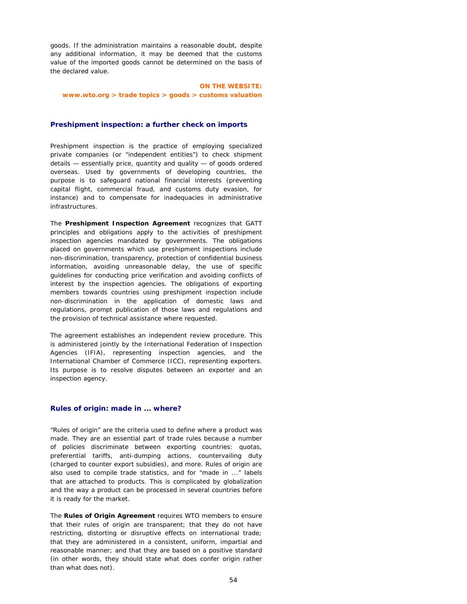goods. If the administration maintains a reasonable doubt, despite any additional information, it may be deemed that the customs value of the imported goods cannot be determined on the basis of the declared value.

#### **ON THE WEBSITE:**

**www.wto.org > trade topics > goods > customs valuation** 

#### **Preshipment inspection: a further check on imports**

Preshipment inspection is the practice of employing specialized private companies (or "independent entities") to check shipment details — essentially price, quantity and quality — of goods ordered overseas. Used by governments of developing countries, the purpose is to safeguard national financial interests (preventing capital flight, commercial fraud, and customs duty evasion, for instance) and to compensate for inadequacies in administrative infrastructures.

The **Preshipment Inspection Agreement** recognizes that GATT principles and obligations apply to the activities of preshipment inspection agencies mandated by governments. The obligations placed on governments which use preshipment inspections include non-discrimination, transparency, protection of confidential business information, avoiding unreasonable delay, the use of specific guidelines for conducting price verification and avoiding conflicts of interest by the inspection agencies. The obligations of exporting members towards countries using preshipment inspection include non-discrimination in the application of domestic laws and regulations, prompt publication of those laws and regulations and the provision of technical assistance where requested.

The agreement establishes an independent review procedure. This is administered jointly by the International Federation of Inspection Agencies (IFIA), representing inspection agencies, and the International Chamber of Commerce (ICC), representing exporters. Its purpose is to resolve disputes between an exporter and an inspection agency.

#### **Rules of origin: made in ... where?**

"Rules of origin" are the criteria used to define where a product was made. They are an essential part of trade rules because a number of policies discriminate between exporting countries: quotas, preferential tariffs, anti-dumping actions, countervailing duty (charged to counter export subsidies), and more. Rules of origin are also used to compile trade statistics, and for "made in ..." labels that are attached to products. This is complicated by globalization and the way a product can be processed in several countries before it is ready for the market.

The **Rules of Origin Agreement** requires WTO members to ensure that their rules of origin are transparent; that they do not have restricting, distorting or disruptive effects on international trade; that they are administered in a consistent, uniform, impartial and reasonable manner; and that they are based on a positive standard (in other words, they should state what *does confer origin rather than what does not).*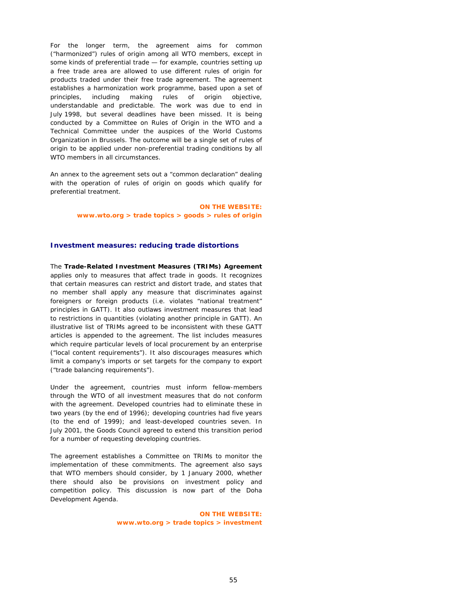For the longer term, the agreement aims for common ("harmonized") rules of origin among all WTO members, except in some kinds of preferential trade — for example, countries setting up a free trade area are allowed to use different rules of origin for products traded under their free trade agreement. The agreement establishes a harmonization work programme, based upon a set of principles, including making rules of origin objective, understandable and predictable. The work was due to end in July 1998, but several deadlines have been missed. It is being conducted by a Committee on Rules of Origin in the WTO and a Technical Committee under the auspices of the World Customs Organization in Brussels. The outcome will be a single set of rules of origin to be applied under non-preferential trading conditions by all WTO members in all circumstances.

An annex to the agreement sets out a "common declaration" dealing with the operation of rules of origin on goods which qualify for preferential treatment.

> **ON THE WEBSITE: www.wto.org > trade topics > goods > rules of origin**

#### **Investment measures: reducing trade distortions**

The **Trade-Related Investment Measures (TRIMs) Agreement** applies only to measures that affect trade in goods. It recognizes that certain measures can restrict and distort trade, and states that no member shall apply any measure that discriminates against foreigners or foreign products (i.e. violates "national treatment" principles in GATT). It also outlaws investment measures that lead to restrictions in quantities (violating another principle in GATT). An illustrative list of TRIMs agreed to be inconsistent with these GATT articles is appended to the agreement. The list includes measures which require particular levels of local procurement by an enterprise ("local content requirements"). It also discourages measures which limit a company's imports or set targets for the company to export ("trade balancing requirements").

Under the agreement, countries must inform fellow-members through the WTO of all investment measures that do not conform with the agreement. Developed countries had to eliminate these in two years (by the end of 1996); developing countries had five years (to the end of 1999); and least-developed countries seven. In July 2001, the Goods Council agreed to extend this transition period for a number of requesting developing countries.

The agreement establishes a Committee on TRIMs to monitor the implementation of these commitments. The agreement also says that WTO members should consider, by 1 January 2000, whether there should also be provisions on investment policy and competition policy. This discussion is now part of the Doha Development Agenda.

> **ON THE WEBSITE: www.wto.org > trade topics > investment**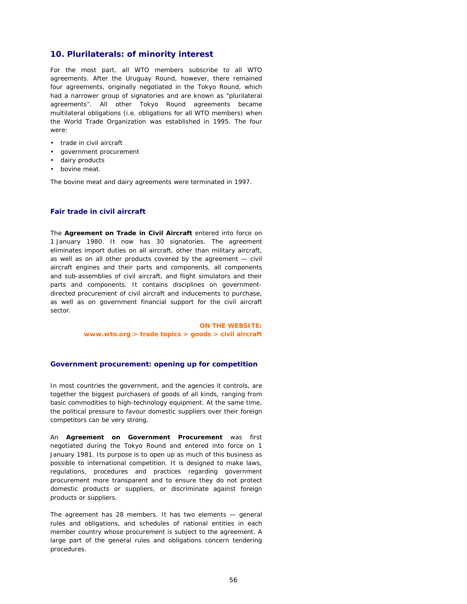# **10. Plurilaterals: of minority interest**

For the most part, all WTO members subscribe to all WTO agreements. After the Uruguay Round, however, there remained four agreements, originally negotiated in the Tokyo Round, which had a narrower group of signatories and are known as "plurilateral agreements". All other Tokyo Round agreements became multilateral obligations (i.e. obligations for all WTO members) when the World Trade Organization was established in 1995. The four were:

- trade in civil aircraft
- government procurement
- dairy products
- bovine meat.

The bovine meat and dairy agreements were terminated in 1997.

#### **Fair trade in civil aircraft**

The **Agreement on Trade in Civil Aircraft** entered into force on 1 January 1980. It now has 30 signatories. The agreement eliminates import duties on all aircraft, other than military aircraft, as well as on all other products covered by the agreement — civil aircraft engines and their parts and components, all components and sub-assemblies of civil aircraft, and flight simulators and their parts and components. It contains disciplines on governmentdirected procurement of civil aircraft and inducements to purchase, as well as on government financial support for the civil aircraft sector.

> **ON THE WEBSITE: www.wto.org > trade topics > goods > civil aircraft**

#### **Government procurement: opening up for competition**

In most countries the government, and the agencies it controls, are together the biggest purchasers of goods of all kinds, ranging from basic commodities to high-technology equipment. At the same time, the political pressure to favour domestic suppliers over their foreign competitors can be very strong.

An **Agreement on Government Procurement** was first negotiated during the Tokyo Round and entered into force on 1 January 1981. Its purpose is to open up as much of this business as possible to international competition. It is designed to make laws, regulations, procedures and practices regarding government procurement more transparent and to ensure they do not protect domestic products or suppliers, or discriminate against foreign products or suppliers.

The agreement has 28 members. It has two elements — general rules and obligations, and schedules of national entities in each member country whose procurement is subject to the agreement. A large part of the general rules and obligations concern tendering procedures.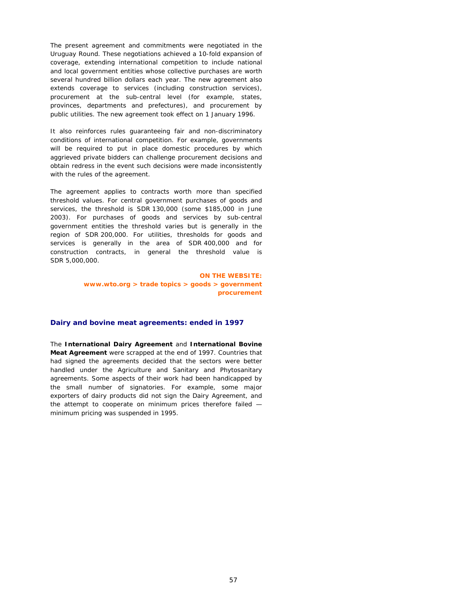The present agreement and commitments were negotiated in the Uruguay Round. These negotiations achieved a 10-fold expansion of coverage, extending international competition to include national and local government entities whose collective purchases are worth several hundred billion dollars each year. The new agreement also extends coverage to services (including construction services), procurement at the sub-central level (for example, states, provinces, departments and prefectures), and procurement by public utilities. The new agreement took effect on 1 January 1996.

It also reinforces rules guaranteeing fair and non-discriminatory conditions of international competition. For example, governments will be required to put in place domestic procedures by which aggrieved private bidders can challenge procurement decisions and obtain redress in the event such decisions were made inconsistently with the rules of the agreement.

The agreement applies to contracts worth more than specified threshold values. For central government purchases of goods and services, the threshold is SDR 130,000 (some \$185,000 in June 2003). For purchases of goods and services by sub-central government entities the threshold varies but is generally in the region of SDR 200,000. For utilities, thresholds for goods and services is generally in the area of SDR 400,000 and for construction contracts, in general the threshold value is SDR 5,000,000.

#### **ON THE WEBSITE:**

**www.wto.org > trade topics > goods > government procurement** 

## **Dairy and bovine meat agreements: ended in 1997**

The **International Dairy Agreement** and **International Bovine Meat Agreement** were scrapped at the end of 1997. Countries that had signed the agreements decided that the sectors were better handled under the Agriculture and Sanitary and Phytosanitary agreements. Some aspects of their work had been handicapped by the small number of signatories. For example, some major exporters of dairy products did not sign the Dairy Agreement, and the attempt to cooperate on minimum prices therefore failed minimum pricing was suspended in 1995.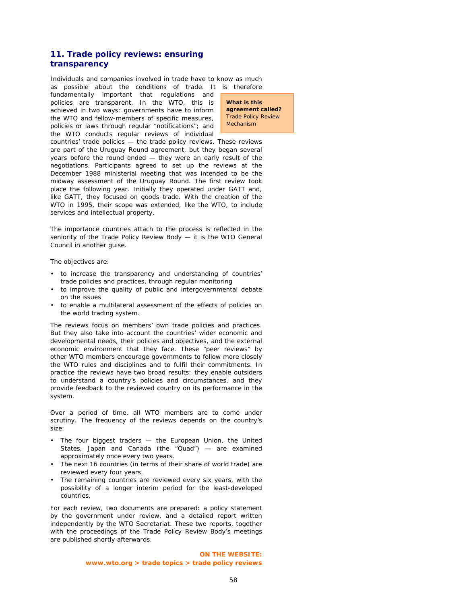# **11. Trade policy reviews: ensuring transparency**

Individuals and companies involved in trade have to know as much as possible about the conditions of trade. It is therefore fundamentally important that regulations and policies are transparent. In the WTO, this is achieved in two ways: governments have to inform the WTO and fellow-members of specific measures, policies or laws through regular "notifications"; and the WTO conducts regular reviews of individual

**What is this agreement called?**  Trade Policy Review Mechanism

countries' trade policies — the trade policy reviews. These reviews are part of the Uruguay Round agreement, but they began several years before the round ended — they were an early result of the negotiations. Participants agreed to set up the reviews at the December 1988 ministerial meeting that was intended to be the midway assessment of the Uruguay Round. The first review took place the following year. Initially they operated under GATT and, like GATT, they focused on goods trade. With the creation of the WTO in 1995, their scope was extended, like the WTO, to include services and intellectual property.

The importance countries attach to the process is reflected in the seniority of the Trade Policy Review Body — it is the WTO General Council in another guise.

The objectives are:

- to increase the transparency and understanding of countries' trade policies and practices, through regular monitoring
- to improve the quality of public and intergovernmental debate on the issues
- to enable a multilateral assessment of the effects of policies on the world trading system.

The reviews focus on members' own trade policies and practices. But they also take into account the countries' wider economic and developmental needs, their policies and objectives, and the external economic environment that they face. These "peer reviews" by other WTO members encourage governments to follow more closely the WTO rules and disciplines and to fulfil their commitments. In practice the reviews have two broad results: they enable outsiders to understand a country's policies and circumstances, and they provide feedback to the reviewed country on its performance in the system.

Over a period of time, all WTO members are to come under scrutiny. The frequency of the reviews depends on the country's size:

- The four biggest traders the European Union, the United States, Japan and Canada (the "Quad") — are examined approximately once every two years.
- The next 16 countries (in terms of their share of world trade) are reviewed every four years.
- The remaining countries are reviewed every six years, with the possibility of a longer interim period for the least-developed countries.

For each review, two documents are prepared: a policy statement by the government under review, and a detailed report written independently by the WTO Secretariat. These two reports, together with the proceedings of the Trade Policy Review Body's meetings are published shortly afterwards.

> **ON THE WEBSITE: www.wto.org > trade topics > trade policy reviews**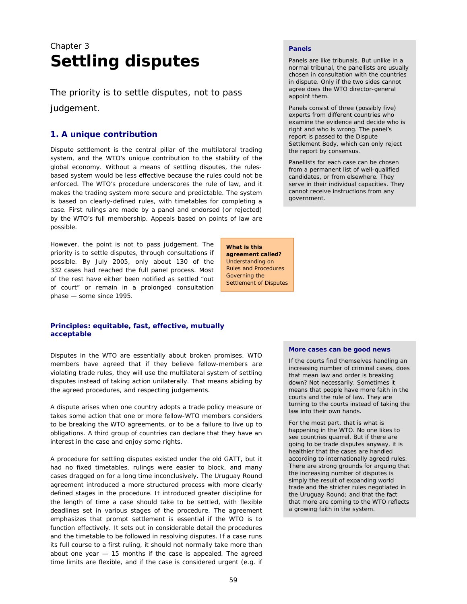# Chapter 3 **Settling disputes**

The priority is to settle disputes, not to pass judgement.

# **1. A unique contribution**

Dispute settlement is the central pillar of the multilateral trading system, and the WTO's unique contribution to the stability of the global economy. Without a means of settling disputes, the rulesbased system would be less effective because the rules could not be enforced. The WTO's procedure underscores the rule of law, and it makes the trading system more secure and predictable. The system is based on clearly-defined rules, with timetables for completing a case. First rulings are made by a panel and endorsed (or rejected) by the WTO's full membership. Appeals based on points of law are possible.

However, the point is not to pass judgement. The priority is to settle disputes, through consultations if possible. By July 2005, only about 130 of the 332 cases had reached the full panel process. Most of the rest have either been notified as settled "out of court" or remain in a prolonged consultation phase — some since 1995.

**Principles: equitable, fast, effective, mutually acceptable** 

Disputes in the WTO are essentially about broken promises. WTO members have agreed that if they believe fellow-members are violating trade rules, they will use the multilateral system of settling disputes instead of taking action unilaterally. That means abiding by the agreed procedures, and respecting judgements.

A dispute arises when one country adopts a trade policy measure or takes some action that one or more fellow-WTO members considers to be breaking the WTO agreements, or to be a failure to live up to obligations. A third group of countries can declare that they have an interest in the case and enjoy some rights.

A procedure for settling disputes existed under the old GATT, but it had no fixed timetables, rulings were easier to block, and many cases dragged on for a long time inconclusively. The Uruguay Round agreement introduced a more structured process with more clearly defined stages in the procedure. It introduced greater discipline for the length of time a case should take to be settled, with flexible deadlines set in various stages of the procedure. The agreement emphasizes that prompt settlement is essential if the WTO is to function effectively. It sets out in considerable detail the procedures and the timetable to be followed in resolving disputes. If a case runs its full course to a first ruling, it should not normally take more than about one year  $-15$  months if the case is appealed. The agreed time limits are flexible, and if the case is considered urgent (e.g. if

#### **Panels**

Panels are like tribunals. But unlike in a normal tribunal, the panellists are usually chosen in consultation with the countries in dispute. Only if the two sides cannot agree does the WTO director-general appoint them.

Panels consist of three (possibly five) experts from different countries who examine the evidence and decide who is right and who is wrong. The panel's report is passed to the Dispute Settlement Body, which can only reject the report by consensus.

Panellists for each case can be chosen from a permanent list of well-qualified candidates, or from elsewhere. They serve in their individual capacities. They cannot receive instructions from any government.

**What is this agreement called?** Understanding on Rules and Procedures Governing the Settlement of Disputes

#### **More cases can be good news**

If the courts find themselves handling an increasing number of criminal cases, does that mean law and order is breaking down? Not necessarily. Sometimes it means that people have more faith in the courts and the rule of law. They are turning to the courts instead of taking the law into their own hands.

For the most part, that is what is happening in the WTO. No one likes to see countries quarrel. But if there are going to be trade disputes anyway, it is healthier that the cases are handled according to internationally agreed rules. There are strong grounds for arguing that the increasing number of disputes is simply the result of expanding world trade and the stricter rules negotiated in the Uruguay Round; and that the fact that more are coming to the WTO reflects a growing faith in the system.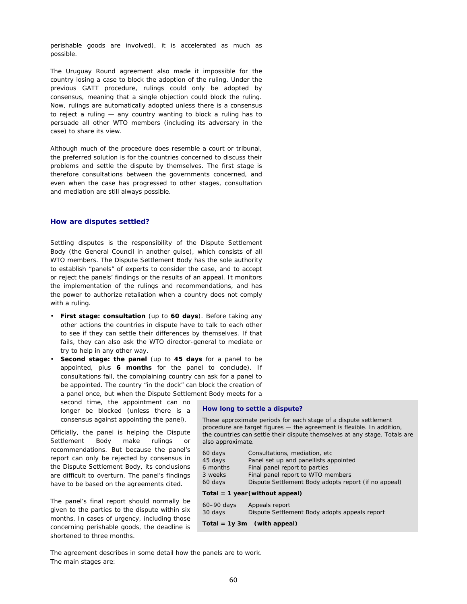perishable goods are involved), it is accelerated as much as possible.

The Uruguay Round agreement also made it impossible for the country losing a case to block the adoption of the ruling. Under the previous GATT procedure, rulings could only be adopted by consensus, meaning that a single objection could block the ruling. Now, rulings are automatically adopted unless there is a consensus to reject a ruling — any country wanting to block a ruling has to persuade all other WTO members (including its adversary in the case) to share its view.

Although much of the procedure does resemble a court or tribunal, the preferred solution is for the countries concerned to discuss their problems and settle the dispute by themselves. The first stage is therefore consultations between the governments concerned, and even when the case has progressed to other stages, consultation and mediation are still always possible.

#### **How are disputes settled?**

Settling disputes is the responsibility of the Dispute Settlement Body (the General Council in another guise), which consists of all WTO members. The Dispute Settlement Body has the sole authority to establish "panels" of experts to consider the case, and to accept or reject the panels' findings or the results of an appeal. It monitors the implementation of the rulings and recommendations, and has the power to authorize retaliation when a country does not comply with a ruling.

- **First stage: consultation** (up to **60 days**). Before taking any other actions the countries in dispute have to talk to each other to see if they can settle their differences by themselves. If that fails, they can also ask the WTO director-general to mediate or try to help in any other way.
- **Second stage: the panel** (up to **45 days** for a panel to be appointed, plus **6 months** for the panel to conclude). If consultations fail, the complaining country can ask for a panel to be appointed. The country "in the dock" can block the creation of a panel once, but when the Dispute Settlement Body meets for a

second time, the appointment can no longer be blocked (unless there is a consensus against appointing the panel).

Officially, the panel is helping the Dispute Settlement Body make rulings or recommendations. But because the panel's report can only be rejected by consensus in the Dispute Settlement Body, its conclusions are difficult to overturn. The panel's findings have to be based on the agreements cited.

The panel's final report should normally be given to the parties to the dispute within six months. In cases of urgency, including those concerning perishable goods, the deadline is shortened to three months.

#### **How long to settle a dispute?**

These approximate periods for each stage of a dispute settlement procedure are target figures — the agreement is flexible. In addition, the countries can settle their dispute themselves at any stage. Totals are also approximate.

| 60 days                           | Consultations, mediation, etc                                   |  |  |  |
|-----------------------------------|-----------------------------------------------------------------|--|--|--|
| 45 days                           | Panel set up and panellists appointed                           |  |  |  |
| 6 months                          | Final panel report to parties                                   |  |  |  |
| 3 weeks                           | Final panel report to WTO members                               |  |  |  |
| 60 days                           | Dispute Settlement Body adopts report (if no appeal)            |  |  |  |
| $Total = 1 year (without appeal)$ |                                                                 |  |  |  |
| 60-90 days<br>30 days             | Appeals report<br>Dispute Settlement Body adopts appeals report |  |  |  |

**Total = 1y 3m (with appeal)**

The agreement describes in some detail how the panels are to work. The main stages are: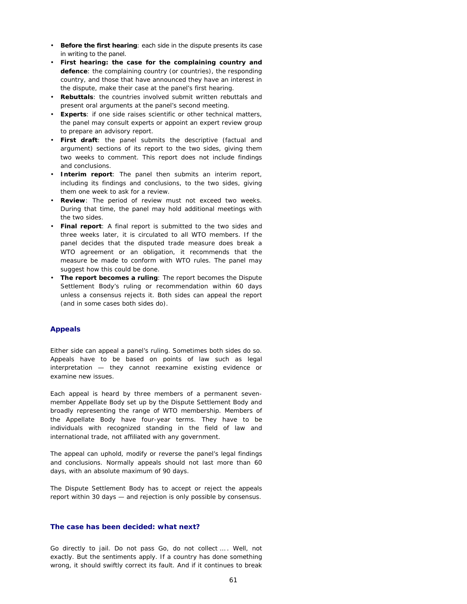- **Before the first hearing**: each side in the dispute presents its case in writing to the panel.
- **First hearing: the case for the complaining country and defence**: the complaining country (or countries), the responding country, and those that have announced they have an interest in the dispute, make their case at the panel's first hearing.
- **Rebuttals**: the countries involved submit written rebuttals and present oral arguments at the panel's second meeting.
- **Experts**: if one side raises scientific or other technical matters, the panel may consult experts or appoint an expert review group to prepare an advisory report.
- **First draft**: the panel submits the descriptive (factual and argument) sections of its report to the two sides, giving them two weeks to comment. This report does not include findings and conclusions.
- **Interim report**: The panel then submits an interim report, including its findings and conclusions, to the two sides, giving them one week to ask for a review.
- **Review**: The period of review must not exceed two weeks. During that time, the panel may hold additional meetings with the two sides.
- **Final report:** A final report is submitted to the two sides and three weeks later, it is circulated to all WTO members. If the panel decides that the disputed trade measure does break a WTO agreement or an obligation, it recommends that the measure be made to conform with WTO rules. The panel may suggest how this could be done.
- **The report becomes a ruling**: The report becomes the Dispute Settlement Body's ruling or recommendation within 60 days unless a consensus rejects it. Both sides can appeal the report (and in some cases both sides do).

#### **Appeals**

Either side can appeal a panel's ruling. Sometimes both sides do so. Appeals have to be based on points of law such as legal interpretation — they cannot reexamine existing evidence or examine new issues.

Each appeal is heard by three members of a permanent sevenmember Appellate Body set up by the Dispute Settlement Body and broadly representing the range of WTO membership. Members of the Appellate Body have four-year terms. They have to be individuals with recognized standing in the field of law and international trade, not affiliated with any government.

The appeal can uphold, modify or reverse the panel's legal findings and conclusions. Normally appeals should not last more than 60 days, with an absolute maximum of 90 days.

The Dispute Settlement Body has to accept or reject the appeals report within 30 days — and rejection is only possible by consensus.

# **The case has been decided: what next?**

Go directly to jail. Do not pass Go, do not collect … . Well, not exactly. But the sentiments apply. If a country has done something wrong, it should swiftly correct its fault. And if it continues to break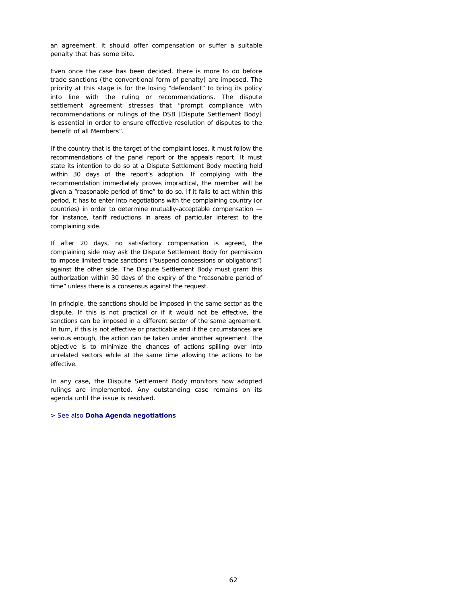an agreement, it should offer compensation or suffer a suitable penalty that has some bite.

Even once the case has been decided, there is more to do before trade sanctions (the conventional form of penalty) are imposed. The priority at this stage is for the losing "defendant" to bring its policy into line with the ruling or recommendations. The dispute settlement agreement stresses that "prompt compliance with recommendations or rulings of the DSB [Dispute Settlement Body] is essential in order to ensure effective resolution of disputes to the benefit of all Members".

If the country that is the target of the complaint loses, it must follow the recommendations of the panel report or the appeals report. It must state its intention to do so at a Dispute Settlement Body meeting held within 30 days of the report's adoption. If complying with the recommendation immediately proves impractical, the member will be given a "reasonable period of time" to do so. If it fails to act within this period, it has to enter into negotiations with the complaining country (or countries) in order to determine mutually-acceptable compensation for instance, tariff reductions in areas of particular interest to the complaining side.

If after 20 days, no satisfactory compensation is agreed, the complaining side may ask the Dispute Settlement Body for permission to impose limited trade sanctions ("suspend concessions or obligations") against the other side. The Dispute Settlement Body must grant this authorization within 30 days of the expiry of the "reasonable period of time" unless there is a consensus against the request.

In principle, the sanctions should be imposed in the same sector as the dispute. If this is not practical or if it would not be effective, the sanctions can be imposed in a different sector of the same agreement. In turn, if this is not effective or practicable and if the circumstances are serious enough, the action can be taken under another agreement. The objective is to minimize the chances of actions spilling over into unrelated sectors while at the same time allowing the actions to be effective.

In any case, the Dispute Settlement Body monitors how adopted rulings are implemented. Any outstanding case remains on its agenda until the issue is resolved.

#### > See also **Doha Agenda negotiations**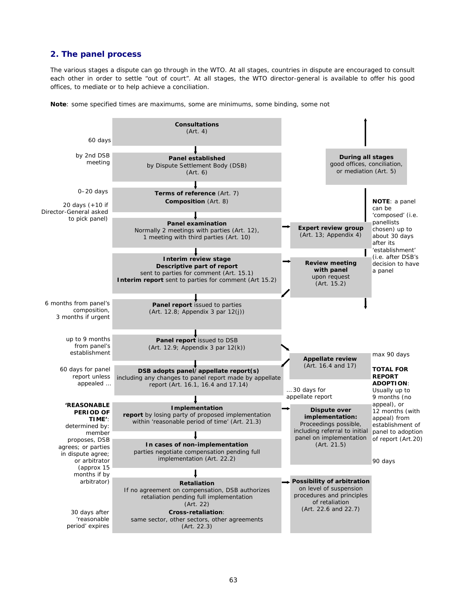# **2. The panel process**

The various stages a dispute can go through in the WTO. At all stages, countries in dispute are encouraged to consult each other in order to settle "out of court". At all stages, the WTO director-general is available to offer his good offices, to mediate or to help achieve a conciliation.



**Note***:* some specified times are maximums, some are minimums, some binding, some not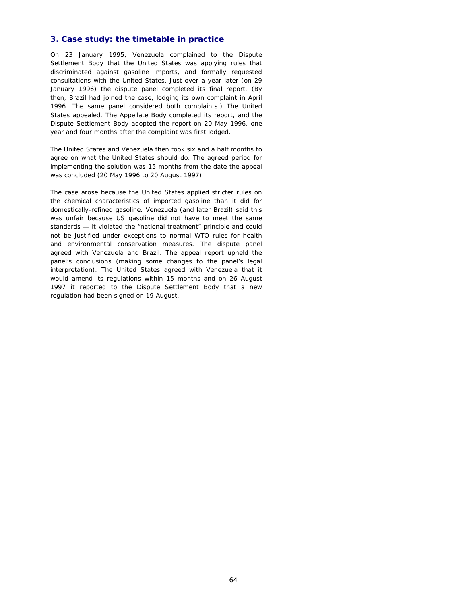# **3. Case study: the timetable in practice**

On 23 January 1995, Venezuela complained to the Dispute Settlement Body that the United States was applying rules that discriminated against gasoline imports, and formally requested consultations with the United States. Just over a year later (on 29 January 1996) the dispute panel completed its final report. (By then, Brazil had joined the case, lodging its own complaint in April 1996. The same panel considered both complaints.) The United States appealed. The Appellate Body completed its report, and the Dispute Settlement Body adopted the report on 20 May 1996, one year and four months after the complaint was first lodged.

The United States and Venezuela then took six and a half months to agree on what the United States should do. The agreed period for implementing the solution was 15 months from the date the appeal was concluded (20 May 1996 to 20 August 1997).

The case arose because the United States applied stricter rules on the chemical characteristics of imported gasoline than it did for domestically-refined gasoline. Venezuela (and later Brazil) said this was unfair because US gasoline did not have to meet the same standards — it violated the "national treatment" principle and could not be justified under exceptions to normal WTO rules for health and environmental conservation measures. The dispute panel agreed with Venezuela and Brazil. The appeal report upheld the panel's conclusions (making some changes to the panel's legal interpretation). The United States agreed with Venezuela that it would amend its regulations within 15 months and on 26 August 1997 it reported to the Dispute Settlement Body that a new regulation had been signed on 19 August.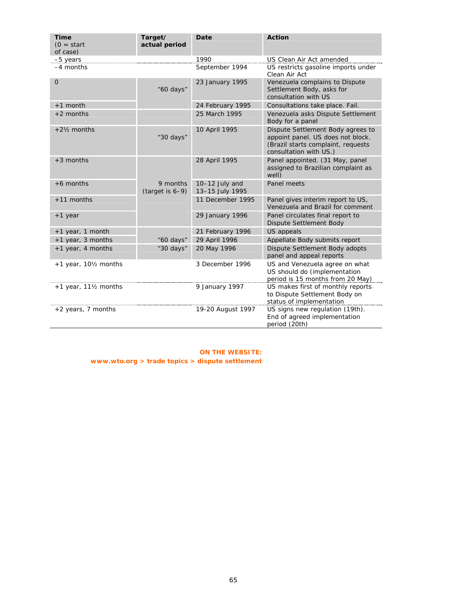| <b>Time</b><br>$(0 = start$<br>of case) | Target/<br>actual period       | Date                              | <b>Action</b>                                                                                                                          |
|-----------------------------------------|--------------------------------|-----------------------------------|----------------------------------------------------------------------------------------------------------------------------------------|
| -5 years                                |                                | 1990                              | US Clean Air Act amended                                                                                                               |
| -4 months                               |                                | September 1994                    | US restricts gasoline imports under<br>Clean Air Act                                                                                   |
| $\overline{O}$                          | "60 days"                      | 23 January 1995                   | Venezuela complains to Dispute<br>Settlement Body, asks for<br>consultation with US                                                    |
| $+1$ month                              |                                | 24 February 1995                  | Consultations take place. Fail.                                                                                                        |
| $+2$ months                             |                                | 25 March 1995                     | Venezuela asks Dispute Settlement<br>Body for a panel                                                                                  |
| $+2\frac{1}{2}$ months                  | "30 days"                      | 10 April 1995                     | Dispute Settlement Body agrees to<br>appoint panel. US does not block.<br>(Brazil starts complaint, requests<br>consultation with US.) |
| $+3$ months                             |                                | 28 April 1995                     | Panel appointed. (31 May, panel<br>assigned to Brazilian complaint as<br>well)                                                         |
| $+6$ months                             | 9 months<br>(target is $6-9$ ) | 10-12 July and<br>13-15 July 1995 | Panel meets                                                                                                                            |
| $+11$ months                            |                                | 11 December 1995                  | Panel gives interim report to US,<br>Venezuela and Brazil for comment                                                                  |
| $+1$ year                               |                                | 29 January 1996                   | Panel circulates final report to<br>Dispute Settlement Body                                                                            |
| +1 year, 1 month                        |                                | 21 February 1996                  | <b>US appeals</b>                                                                                                                      |
| +1 year, 3 months                       | "60 days"                      | 29 April 1996                     | Appellate Body submits report                                                                                                          |
| +1 year, 4 months                       | "30 days"                      | 20 May 1996                       | Dispute Settlement Body adopts<br>panel and appeal reports                                                                             |
| $+1$ year, 10 $\frac{1}{2}$ months      |                                | 3 December 1996                   | US and Venezuela agree on what<br>US should do (implementation<br>period is 15 months from 20 May)                                     |
| +1 year, 111/2 months                   |                                | 9 January 1997                    | US makes first of monthly reports<br>to Dispute Settlement Body on<br>status of implementation                                         |
| +2 years, 7 months                      |                                | 19-20 August 1997                 | US signs new regulation (19th).<br>End of agreed implementation<br>period (20th)                                                       |

**ON THE WEBSITE: www.wto.org > trade topics > dispute settlement**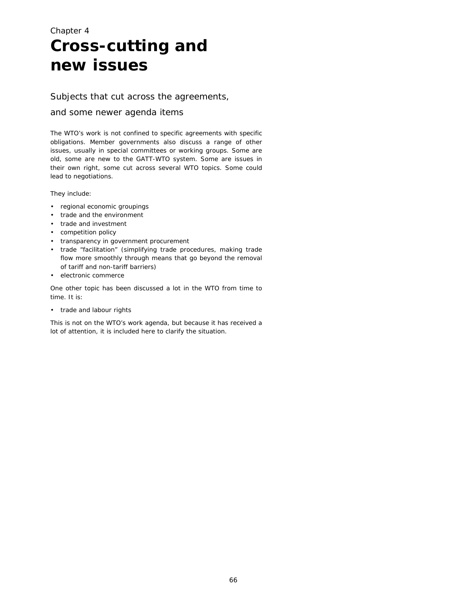# Chapter 4 **Cross-cutting and new issues**

# Subjects that cut across the agreements,

# and some newer agenda items

The WTO's work is not confined to specific agreements with specific obligations. Member governments also discuss a range of other issues, usually in special committees or working groups. Some are old, some are new to the GATT-WTO system. Some are issues in their own right, some cut across several WTO topics. Some could lead to negotiations.

They include:

- regional economic groupings
- trade and the environment
- trade and investment
- competition policy
- transparency in government procurement
- trade "facilitation" (simplifying trade procedures, making trade flow more smoothly through means that go beyond the removal of tariff and non-tariff barriers)
- electronic commerce

One other topic has been discussed a lot in the WTO from time to time. It is:

• trade and labour rights

This is not on the WTO's work agenda, but because it has received a lot of attention, it is included here to clarify the situation.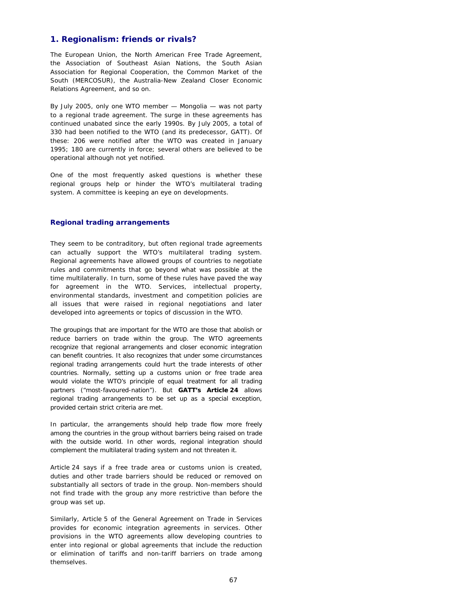# **1. Regionalism: friends or rivals?**

The European Union, the North American Free Trade Agreement, the Association of Southeast Asian Nations, the South Asian Association for Regional Cooperation, the Common Market of the South (MERCOSUR), the Australia-New Zealand Closer Economic Relations Agreement, and so on.

By July 2005, only one WTO member — Mongolia — was not party to a regional trade agreement. The surge in these agreements has continued unabated since the early 1990s. By July 2005, a total of 330 had been notified to the WTO (and its predecessor, GATT). Of these: 206 were notified after the WTO was created in January 1995; 180 are currently in force; several others are believed to be operational although not yet notified.

One of the most frequently asked questions is whether these regional groups help or hinder the WTO's multilateral trading system. A committee is keeping an eye on developments.

## **Regional trading arrangements**

They seem to be contraditory, but often regional trade agreements can actually support the WTO's multilateral trading system. Regional agreements have allowed groups of countries to negotiate rules and commitments that go beyond what was possible at the time multilaterally. In turn, some of these rules have paved the way for agreement in the WTO. Services, intellectual property, environmental standards, investment and competition policies are all issues that were raised in regional negotiations and later developed into agreements or topics of discussion in the WTO.

The groupings that are important for the WTO are those that abolish or reduce barriers on trade within the group. The WTO agreements recognize that regional arrangements and closer economic integration can benefit countries. It also recognizes that under some circumstances regional trading arrangements could hurt the trade interests of other countries. Normally, setting up a customs union or free trade area would violate the WTO's principle of equal treatment for all trading partners ("most-favoured-nation"). But **GATT's Article 24** allows regional trading arrangements to be set up as a special exception, provided certain strict criteria are met.

In particular, the arrangements should help trade flow more freely among the countries in the group without barriers being raised on trade with the outside world. In other words, regional integration should complement the multilateral trading system and not threaten it.

Article 24 says if a free trade area or customs union is created, duties and other trade barriers should be reduced or removed on substantially all sectors of trade in the group. Non-members should not find trade with the group any more restrictive than before the group was set up.

Similarly, Article 5 of the General Agreement on Trade in Services provides for economic integration agreements in services. Other provisions in the WTO agreements allow developing countries to enter into regional or global agreements that include the reduction or elimination of tariffs and non-tariff barriers on trade among themselves.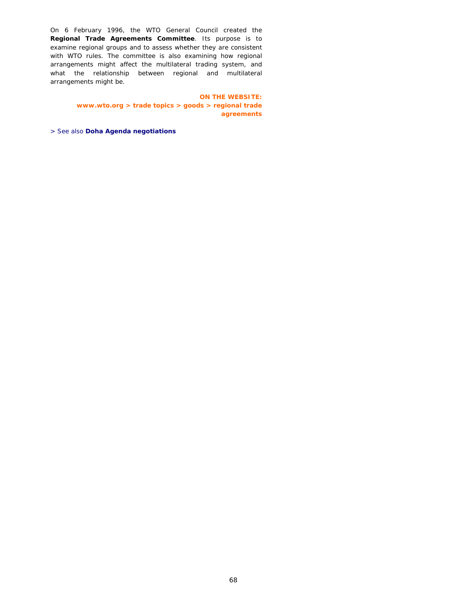On 6 February 1996, the WTO General Council created the **Regional Trade Agreements Committee**. Its purpose is to examine regional groups and to assess whether they are consistent with WTO rules. The committee is also examining how regional arrangements might affect the multilateral trading system, and what the relationship between regional and multilateral arrangements might be.

## **ON THE WEBSITE:**

**www.wto.org > trade topics > goods > regional trade agreements** 

> See also **Doha Agenda negotiations**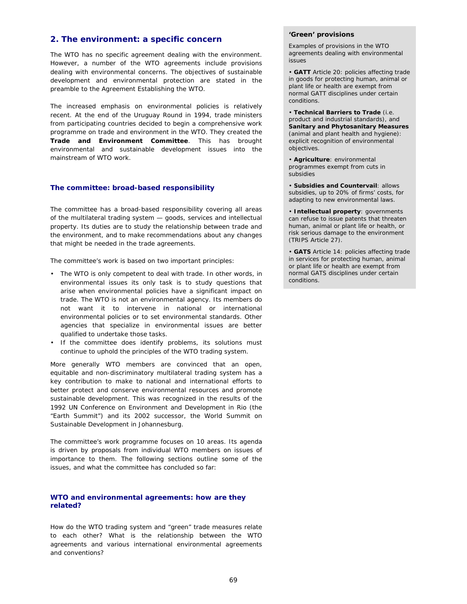# **2. The environment: a specific concern**

The WTO has no specific agreement dealing with the environment. However, a number of the WTO agreements include provisions dealing with environmental concerns. The objectives of sustainable development and environmental protection are stated in the preamble to the Agreement Establishing the WTO.

The increased emphasis on environmental policies is relatively recent. At the end of the Uruguay Round in 1994, trade ministers from participating countries decided to begin a comprehensive work programme on trade and environment in the WTO. They created the **Trade and Environment Committee**. This has brought environmental and sustainable development issues into the mainstream of WTO work.

# **The committee: broad-based responsibility**

The committee has a broad-based responsibility covering all areas of the multilateral trading system — goods, services and intellectual property. Its duties are to study the relationship between trade and the environment, and to make recommendations about any changes that might be needed in the trade agreements.

The committee's work is based on two important principles:

- The WTO is only competent to deal with trade. In other words, in environmental issues its only task is to study questions that arise when environmental policies have a significant impact on trade. The WTO is not an environmental agency. Its members do not want it to intervene in national or international environmental policies or to set environmental standards. Other agencies that specialize in environmental issues are better qualified to undertake those tasks.
- If the committee does identify problems, its solutions must continue to uphold the principles of the WTO trading system.

More generally WTO members are convinced that an open, equitable and non-discriminatory multilateral trading system has a key contribution to make to national and international efforts to better protect and conserve environmental resources and promote sustainable development. This was recognized in the results of the 1992 UN Conference on Environment and Development in Rio (the "Earth Summit") and its 2002 successor, the World Summit on Sustainable Development in Johannesburg.

The committee's work programme focuses on 10 areas. Its agenda is driven by proposals from individual WTO members on issues of importance to them. The following sections outline some of the issues, and what the committee has concluded so far:

## **WTO and environmental agreements: how are they related?**

How do the WTO trading system and "green" trade measures relate to each other? What is the relationship between the WTO agreements and various international environmental agreements and conventions?

## **'Green' provisions**

Examples of provisions in the WTO agreements dealing with environmental issues

• **GATT** Article 20: policies affecting trade in goods for protecting human, animal or plant life or health are exempt from normal GATT disciplines under certain conditions.

• **Technical Barriers to Trade** (i.e. product and industrial standards), and **Sanitary and Phytosanitary Measures** (animal and plant health and hygiene): explicit recognition of environmental objectives.

• **Agriculture**: environmental programmes exempt from cuts in subsidies

• **Subsidies and Countervail**: allows subsidies, up to 20% of firms' costs, for adapting to new environmental laws.

• **Intellectual property**: governments can refuse to issue patents that threaten human, animal or plant life or health, or risk serious damage to the environment (TRIPS Article 27).

• **GATS** Article 14: policies affecting trade in services for protecting human, animal or plant life or health are exempt from normal GATS disciplines under certain conditions.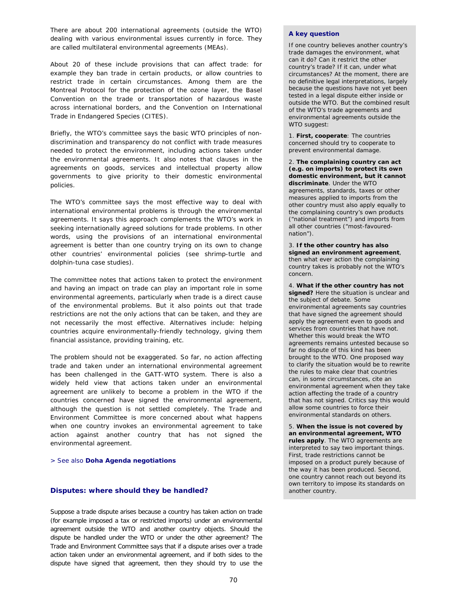There are about 200 international agreements (outside the WTO) dealing with various environmental issues currently in force. They are called multilateral environmental agreements (MEAs).

About 20 of these include provisions that can affect trade: for example they ban trade in certain products, or allow countries to restrict trade in certain circumstances. Among them are the Montreal Protocol for the protection of the ozone layer, the Basel Convention on the trade or transportation of hazardous waste across international borders, and the Convention on International Trade in Endangered Species (CITES).

Briefly, the WTO's committee says the basic WTO principles of nondiscrimination and transparency do not conflict with trade measures needed to protect the environment, including actions taken under the environmental agreements. It also notes that clauses in the agreements on goods, services and intellectual property allow governments to give priority to their domestic environmental policies.

The WTO's committee says the most effective way to deal with international environmental problems is through the environmental agreements. It says this approach complements the WTO's work in seeking internationally agreed solutions for trade problems. In other words, using the provisions of an international environmental agreement is better than one country trying on its own to change other countries' environmental policies (*see shrimp-turtle and dolphin-tuna case studies*).

The committee notes that actions taken to protect the environment and having an impact on trade can play an important role in some environmental agreements, particularly when trade is a direct cause of the environmental problems. But it also points out that trade restrictions are not the only actions that can be taken, and they are not necessarily the most effective. Alternatives include: helping countries acquire environmentally-friendly technology, giving them financial assistance, providing training, etc.

The problem should not be exaggerated. So far, no action affecting trade and taken under an international environmental agreement has been challenged in the GATT-WTO system. There is also a widely held view that actions taken under an environmental agreement are unlikely to become a problem in the WTO if the countries concerned have signed the environmental agreement, although the question is not settled completely. The Trade and Environment Committee is more concerned about what happens when one country invokes an environmental agreement to take action against another country that has not signed the environmental agreement.

> See also **Doha Agenda negotiations**

#### **Disputes: where should they be handled?**

Suppose a trade dispute arises because a country has taken action on trade (for example imposed a tax or restricted imports) under an environmental agreement outside the WTO and another country objects. Should the dispute be handled under the WTO or under the other agreement? The Trade and Environment Committee says that if a dispute arises over a trade action taken under an environmental agreement, and if both sides to the dispute have signed that agreement, then they should try to use the

#### **A key question**

If one country believes another country's trade damages the environment, what can it do? Can it restrict the other country's trade? If it can, under what circumstances? At the moment, there are no definitive legal interpretations, largely because the questions have not yet been tested in a legal dispute either inside or outside the WTO. But the combined result of the WTO's trade agreements and environmental agreements outside the WTO suggest:

1. **First, cooperate**: The countries concerned should try to cooperate to prevent environmental damage.

2. **The complaining country can act (e.g. on imports) to protect its own domestic environment, but it cannot discriminate**. Under the WTO agreements, standards, taxes or other measures applied to imports from the other country must also apply equally to the complaining country's own products ("national treatment") and imports from all other countries ("most-favourednation").

3. **If the other country has also signed an environment agreement**, then what ever action the complaining country takes is probably not the WTO's concern.

4. **What if the other country has not signed?** Here the situation is unclear and the subject of debate. Some environmental agreements say countries that have signed the agreement should apply the agreement even to goods and services from countries that have not. Whether this would break the WTO agreements remains untested because so far no dispute of this kind has been brought to the WTO. One proposed way to clarify the situation would be to rewrite the rules to make clear that countries can, in some circumstances, cite an environmental agreement when they take action affecting the trade of a country that has not signed. Critics say this would allow some countries to force their environmental standards on others.

5. **When the issue is not covered by an environmental agreement, WTO rules apply**. The WTO agreements are interpreted to say two important things. First, trade restrictions cannot be imposed on a product purely because of the way it has been produced. Second, one country cannot reach out beyond its own territory to impose its standards on another country.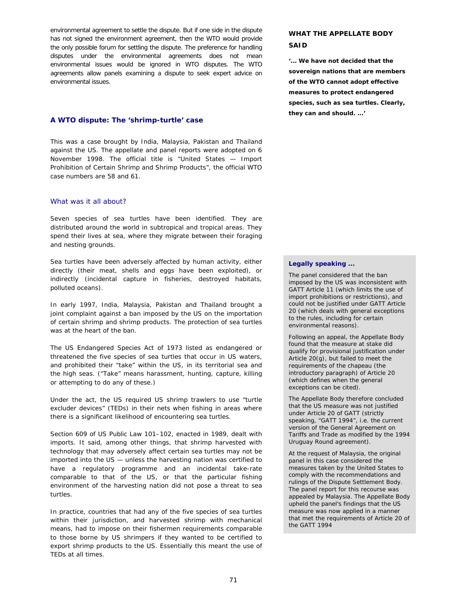environmental agreement to settle the dispute. But if one side in the dispute has not signed the environment agreement, then the WTO would provide the only possible forum for settling the dispute. The preference for handling disputes under the environmental agreements does not mean environmental issues would be ignored in WTO disputes. The WTO agreements allow panels examining a dispute to seek expert advice on environmental issues.

#### **A WTO dispute: The 'shrimp-turtle' case**

This was a case brought by India, Malaysia, Pakistan and Thailand against the US. The appellate and panel reports were adopted on 6 November 1998. The official title is "United States — Import Prohibition of Certain Shrimp and Shrimp Products", the official WTO case numbers are 58 and 61.

# What was it all about?

Seven species of sea turtles have been identified. They are distributed around the world in subtropical and tropical areas. They spend their lives at sea, where they migrate between their foraging and nesting grounds.

Sea turtles have been adversely affected by human activity, either directly (their meat, shells and eggs have been exploited), or indirectly (incidental capture in fisheries, destroyed habitats, polluted oceans).

In early 1997, India, Malaysia, Pakistan and Thailand brought a joint complaint against a ban imposed by the US on the importation of certain shrimp and shrimp products. The protection of sea turtles was at the heart of the ban.

The US Endangered Species Act of 1973 listed as endangered or threatened the five species of sea turtles that occur in US waters, and prohibited their "take" within the US, in its territorial sea and the high seas. ("Take" means harassment, hunting, capture, killing or attempting to do any of these.)

Under the act, the US required US shrimp trawlers to use "turtle excluder devices" (TEDs) in their nets when fishing in areas where there is a significant likelihood of encountering sea turtles.

Section 609 of US Public Law 101–102, enacted in 1989, dealt with imports. It said, among other things, that shrimp harvested with technology that may adversely affect certain sea turtles may not be imported into the US — unless the harvesting nation was certified to have a regulatory programme and an incidental take-rate comparable to that of the US, or that the particular fishing environment of the harvesting nation did not pose a threat to sea turtles.

In practice, countries that had any of the five species of sea turtles within their jurisdiction, and harvested shrimp with mechanical means, had to impose on their fishermen requirements comparable to those borne by US shrimpers if they wanted to be certified to export shrimp products to the US. Essentially this meant the use of TEDs at all times.

# **WHAT THE APPELLATE BODY SAID**

**'... We have** *not* **decided that the sovereign nations that are members of the WTO cannot adopt effective measures to protect endangered species, such as sea turtles. Clearly, they can and should. ...'** 

## **Legally speaking ...**

The panel considered that the ban imposed by the US was inconsistent with GATT Article 11 (which limits the use of import prohibitions or restrictions), and could not be justified under GATT Article 20 (which deals with general exceptions to the rules, including for certain environmental reasons).

Following an appeal, the Appellate Body found that the measure at stake did qualify for provisional justification under Article 20(g), but failed to meet the requirements of the chapeau (the introductory paragraph) of Article 20 (which defines when the general exceptions can be cited).

The Appellate Body therefore concluded that the US measure was not justified under Article 20 of GATT (strictly speaking, "GATT 1994", i.e. the current version of the General Agreement on Tariffs and Trade as modified by the 1994 Uruguay Round agreement).

At the request of Malaysia, the original panel in this case considered the measures taken by the United States to comply with the recommendations and rulings of the Dispute Settlement Body. The panel report for this recourse was appealed by Malaysia. The Appellate Body upheld the panel's findings that the US measure was now applied in a manner that met the requirements of Article 20 of the GATT 1994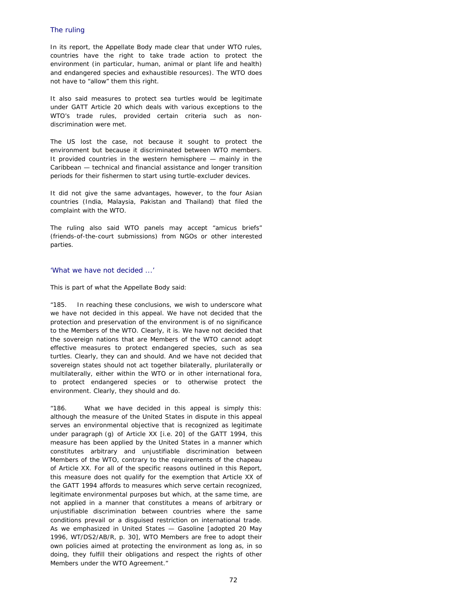### The ruling

In its report, the Appellate Body made clear that under WTO rules, countries have the right to take trade action to protect the environment (in particular, human, animal or plant life and health) and endangered species and exhaustible resources). The WTO does not have to "allow" them this right.

It also said measures to protect sea turtles would be legitimate under GATT Article 20 which deals with various exceptions to the WTO's trade rules, provided certain criteria such as nondiscrimination were met.

The US lost the case, not because it sought to protect the environment but because it discriminated between WTO members. It provided countries in the western hemisphere — mainly in the Caribbean — technical and financial assistance and longer transition periods for their fishermen to start using turtle-excluder devices.

It did not give the same advantages, however, to the four Asian countries (India, Malaysia, Pakistan and Thailand) that filed the complaint with the WTO.

The ruling also said WTO panels may accept "amicus briefs" (friends-of-the-court submissions) from NGOs or other interested parties.

#### 'What we have not decided ...'

This is part of what the Appellate Body said:

"185. In reaching these conclusions, we wish to underscore what we have not decided in this appeal. We have not decided that the protection and preservation of the environment is of no significance to the Members of the WTO. Clearly, it is. We have not decided that the sovereign nations that are Members of the WTO cannot adopt effective measures to protect endangered species, such as sea turtles. Clearly, they can and should. And we have not decided that sovereign states should not act together bilaterally, plurilaterally or multilaterally, either within the WTO or in other international fora, to protect endangered species or to otherwise protect the environment. Clearly, they should and do.

"186. What we have decided in this appeal is simply this: although the measure of the United States in dispute in this appeal serves an environmental objective that is recognized as legitimate under paragraph (g) of Article XX [i.e. 20] of the GATT 1994, this measure has been applied by the United States in a manner which constitutes arbitrary and unjustifiable discrimination between Members of the WTO, contrary to the requirements of the chapeau of Article XX. For all of the specific reasons outlined in this Report, this measure does not qualify for the exemption that Article XX of the GATT 1994 affords to measures which serve certain recognized, legitimate environmental purposes but which, at the same time, are not applied in a manner that constitutes a means of arbitrary or unjustifiable discrimination between countries where the same conditions prevail or a disguised restriction on international trade. As we emphasized in United States — Gasoline [adopted 20 May 1996, WT/DS2/AB/R, p. 30], WTO Members are free to adopt their own policies aimed at protecting the environment as long as, in so doing, they fulfill their obligations and respect the rights of other Members under the WTO Agreement."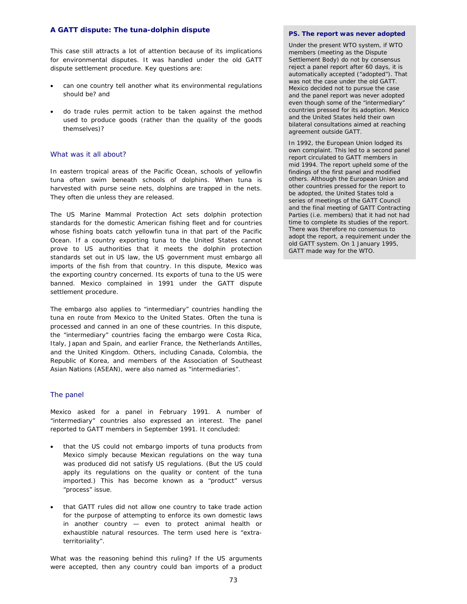#### **A GATT dispute: The tuna-dolphin dispute**

This case still attracts a lot of attention because of its implications for environmental disputes. It was handled under the old GATT dispute settlement procedure. Key questions are:

- can one country tell another what its environmental regulations should be? and
- do trade rules permit action to be taken against the method used to produce goods (rather than the quality of the goods themselves)?

#### What was it all about?

In eastern tropical areas of the Pacific Ocean, schools of yellowfin tuna often swim beneath schools of dolphins. When tuna is harvested with purse seine nets, dolphins are trapped in the nets. They often die unless they are released.

The US Marine Mammal Protection Act sets dolphin protection standards for the domestic American fishing fleet and for countries whose fishing boats catch yellowfin tuna in that part of the Pacific Ocean. If a country exporting tuna to the United States cannot prove to US authorities that it meets the dolphin protection standards set out in US law, the US government must embargo all imports of the fish from that country. In this dispute, Mexico was the exporting country concerned. Its exports of tuna to the US were banned. Mexico complained in 1991 under the GATT dispute settlement procedure.

The embargo also applies to "intermediary" countries handling the tuna en route from Mexico to the United States. Often the tuna is processed and canned in an one of these countries. In this dispute, the "intermediary" countries facing the embargo were Costa Rica, Italy, Japan and Spain, and earlier France, the Netherlands Antilles, and the United Kingdom. Others, including Canada, Colombia, the Republic of Korea, and members of the Association of Southeast Asian Nations (ASEAN), were also named as "intermediaries".

#### The panel

Mexico asked for a panel in February 1991. A number of "intermediary" countries also expressed an interest. The panel reported to GATT members in September 1991. It concluded:

- that the US could not embargo imports of tuna products from Mexico simply because Mexican regulations on the way tuna was produced did not satisfy US regulations. (But the US could apply its regulations on the quality or content of the tuna imported.) This has become known as a "product" versus "process" issue.
- that GATT rules did not allow one country to take trade action for the purpose of attempting to enforce its own domestic laws in another country — even to protect animal health or exhaustible natural resources. The term used here is "extraterritoriality".

What was the reasoning behind this ruling? If the US arguments were accepted, then any country could ban imports of a product

#### **PS. The report was never adopted**

Under the present WTO system, if WTO members (meeting as the Dispute Settlement Body) do not by consensus reject a panel report after 60 days, it is automatically accepted ("adopted"). That was not the case under the old GATT. Mexico decided not to pursue the case and the panel report was never adopted even though some of the "intermediary" countries pressed for its adoption. Mexico and the United States held their own bilateral consultations aimed at reaching agreement outside GATT.

In 1992, the European Union lodged its own complaint. This led to a second panel report circulated to GATT members in mid 1994. The report upheld some of the findings of the first panel and modified others. Although the European Union and other countries pressed for the report to be adopted, the United States told a series of meetings of the GATT Council and the final meeting of GATT Contracting Parties (i.e. members) that it had not had time to complete its studies of the report. There was therefore no consensus to adopt the report, a requirement under the old GATT system. On 1 January 1995, GATT made way for the WTO.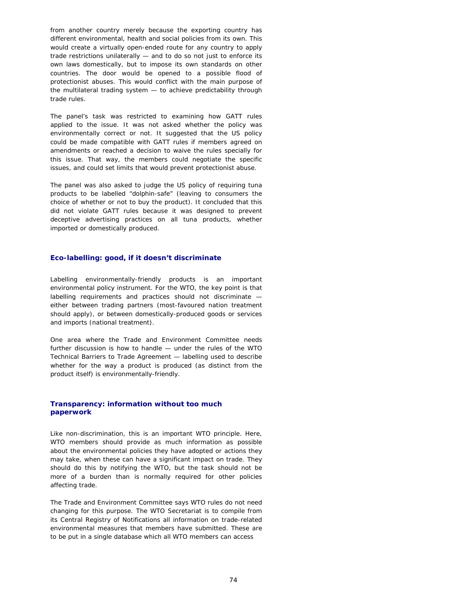from another country merely because the exporting country has different environmental, health and social policies from its own. This would create a virtually open-ended route for any country to apply trade restrictions unilaterally — and to do so not just to enforce its own laws domestically, but to impose its own standards on other countries. The door would be opened to a possible flood of protectionist abuses. This would conflict with the main purpose of the multilateral trading system — to achieve predictability through trade rules.

The panel's task was restricted to examining how GATT rules applied to the issue. It was not asked whether the policy was environmentally correct or not. It suggested that the US policy could be made compatible with GATT rules if members agreed on amendments or reached a decision to waive the rules specially for this issue. That way, the members could negotiate the specific issues, and could set limits that would prevent protectionist abuse.

The panel was also asked to judge the US policy of requiring tuna products to be labelled "dolphin-safe" (leaving to consumers the choice of whether or not to buy the product). It concluded that this did not violate GATT rules because it was designed to prevent deceptive advertising practices on all tuna products, whether imported or domestically produced.

## **Eco-labelling: good, if it doesn't discriminate**

Labelling environmentally-friendly products is an important environmental policy instrument. For the WTO, the key point is that labelling requirements and practices should not discriminate either between trading partners (most-favoured nation treatment should apply), or between domestically-produced goods or services and imports (national treatment).

One area where the Trade and Environment Committee needs further discussion is how to handle — under the rules of the WTO Technical Barriers to Trade Agreement — labelling used to describe whether for *the way a product is* produced (as distinct from the product itself) is environmentally-friendly.

## **Transparency: information without too much paperwork**

Like non-discrimination, this is an important WTO principle. Here, WTO members should provide as much information as possible about the environmental policies they have adopted or actions they may take, when these can have a significant impact on trade. They should do this by notifying the WTO, but the task should not be more of a burden than is normally required for other policies affecting trade.

The Trade and Environment Committee says WTO rules do not need changing for this purpose. The WTO Secretariat is to compile from its Central Registry of Notifications all information on trade-related environmental measures that members have submitted. These are to be put in a single database which all WTO members can access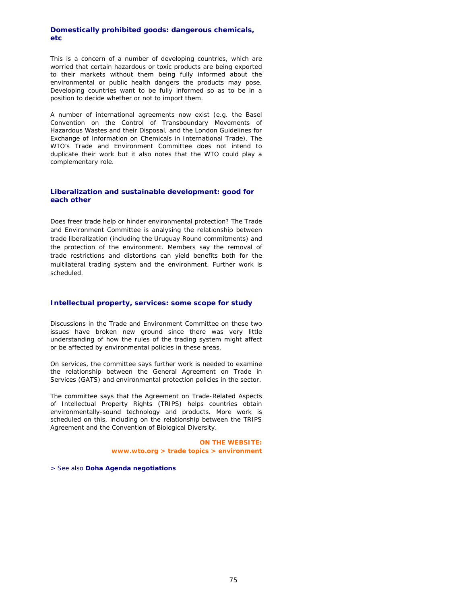## **Domestically prohibited goods: dangerous chemicals, etc**

This is a concern of a number of developing countries, which are worried that certain hazardous or toxic products are being exported to their markets without them being fully informed about the environmental or public health dangers the products may pose. Developing countries want to be fully informed so as to be in a position to decide whether or not to import them.

A number of international agreements now exist (e.g. the Basel Convention on the Control of Transboundary Movements of Hazardous Wastes and their Disposal, and the London Guidelines for Exchange of Information on Chemicals in International Trade). The WTO's Trade and Environment Committee does not intend to duplicate their work but it also notes that the WTO could play a complementary role.

## **Liberalization and sustainable development: good for each other**

Does freer trade help or hinder environmental protection? The Trade and Environment Committee is analysing the relationship between trade liberalization (including the Uruguay Round commitments) and the protection of the environment. Members say the removal of trade restrictions and distortions can yield benefits both for the multilateral trading system and the environment. Further work is scheduled.

#### **Intellectual property, services: some scope for study**

Discussions in the Trade and Environment Committee on these two issues have broken new ground since there was very little understanding of how the rules of the trading system might affect or be affected by environmental policies in these areas.

On services, the committee says further work is needed to examine the relationship between the General Agreement on Trade in Services (GATS) and environmental protection policies in the sector.

The committee says that the Agreement on Trade-Related Aspects of Intellectual Property Rights (TRIPS) helps countries obtain environmentally-sound technology and products. More work is scheduled on this, including on the relationship between the TRIPS Agreement and the Convention of Biological Diversity.

> **ON THE WEBSITE: www.wto.org > trade topics > environment**

> See also **Doha Agenda negotiations**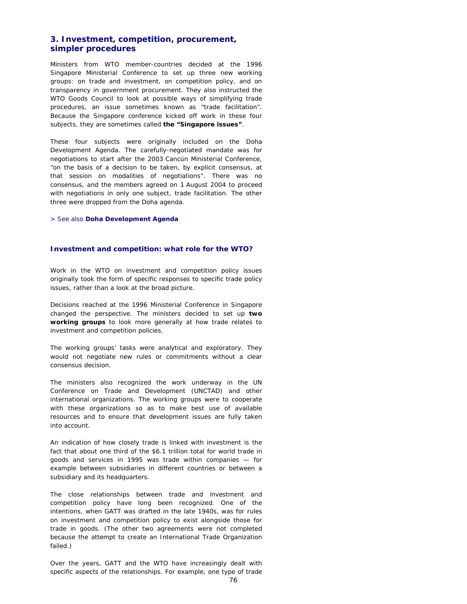## **3. Investment, competition, procurement, simpler procedures**

Ministers from WTO member-countries decided at the 1996 Singapore Ministerial Conference to set up three new working groups: on trade and investment, on competition policy, and on transparency in government procurement. They also instructed the WTO Goods Council to look at possible ways of simplifying trade procedures, an issue sometimes known as "trade facilitation". Because the Singapore conference kicked off work in these four subjects, they are sometimes called **the "Singapore issues"**.

These four subjects were originally included on the Doha Development Agenda. The carefully-negotiated mandate was for negotiations to start after the 2003 Cancún Ministerial Conference, "on the basis of a decision to be taken, by explicit consensus, at that session on modalities of negotiations". There was no consensus, and the members agreed on 1 August 2004 to proceed with negotiations in only one subject, trade facilitation. The other three were dropped from the Doha agenda.

> See also **Doha Development Agenda**

#### **Investment and competition: what role for the WTO?**

Work in the WTO on investment and competition policy issues originally took the form of specific responses to specific trade policy issues, rather than a look at the broad picture.

Decisions reached at the 1996 Ministerial Conference in Singapore changed the perspective. The ministers decided to set up **two working groups** to look more generally at how trade relates to investment and competition policies.

The working groups' tasks were analytical and exploratory. They would not negotiate new rules or commitments without a clear consensus decision.

The ministers also recognized the work underway in the UN Conference on Trade and Development (UNCTAD) and other international organizations. The working groups were to cooperate with these organizations so as to make best use of available resources and to ensure that development issues are fully taken into account.

An indication of how closely trade is linked with investment is the fact that about one third of the \$6.1 trillion total for world trade in goods and services in 1995 was trade within companies — for example between subsidiaries in different countries or between a subsidiary and its headquarters.

The close relationships between trade and investment and competition policy have long been recognized. One of the intentions, when GATT was drafted in the late 1940s, was for rules on investment and competition policy to exist alongside those for trade in goods. (The other two agreements were not completed because the attempt to create an International Trade Organization failed.)

Over the years, GATT and the WTO have increasingly dealt with specific aspects of the relationships. For example, one type of trade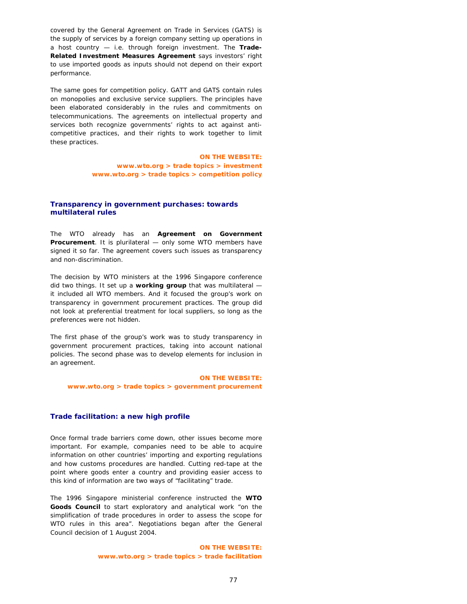covered by the General Agreement on Trade in Services (GATS) is the supply of services by a foreign company setting up operations in a host country — i.e. through foreign investment. The **Trade-Related Investment Measures Agreement** says investors' right to use imported goods as inputs should not depend on their export performance.

The same goes for competition policy. GATT and GATS contain rules on monopolies and exclusive service suppliers. The principles have been elaborated considerably in the rules and commitments on telecommunications. The agreements on intellectual property and services both recognize governments' rights to act against anticompetitive practices, and their rights to work together to limit these practices.

> **ON THE WEBSITE: www.wto.org > trade topics > investment www.wto.org > trade topics > competition policy**

## **Transparency in government purchases: towards multilateral rules**

The WTO already has an **Agreement on Government Procurement**. It is plurilateral — only some WTO members have signed it so far. The agreement covers such issues as transparency and non-discrimination.

The decision by WTO ministers at the 1996 Singapore conference did two things. It set up a **working group** that was multilateral it included all WTO members. And it focused the group's work on transparency in government procurement practices. The group did not look at preferential treatment for local suppliers, so long as the preferences were not hidden.

The first phase of the group's work was to study transparency in government procurement practices, taking into account national policies. The second phase was to develop elements for inclusion in an agreement.

**ON THE WEBSITE: www.wto.org > trade topics > government procurement** 

### **Trade facilitation: a new high profile**

Once formal trade barriers come down, other issues become more important. For example, companies need to be able to acquire information on other countries' importing and exporting regulations and how customs procedures are handled. Cutting red-tape at the point where goods enter a country and providing easier access to this kind of information are two ways of "facilitating" trade.

The 1996 Singapore ministerial conference instructed the **WTO Goods Council** to start exploratory and analytical work "on the simplification of trade procedures in order to assess the scope for WTO rules in this area". Negotiations began after the General Council decision of 1 August 2004.

> **ON THE WEBSITE: www.wto.org > trade topics > trade facilitation**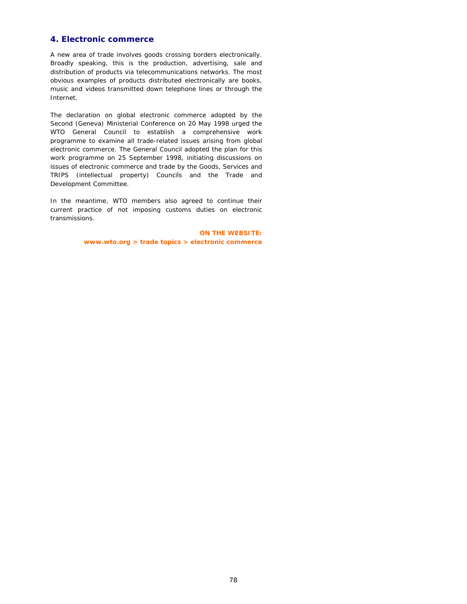# **4. Electronic commerce**

A new area of trade involves goods crossing borders electronically. Broadly speaking, this is the production, advertising, sale and distribution of products via telecommunications networks. The most obvious examples of products distributed electronically are books, music and videos transmitted down telephone lines or through the Internet.

The declaration on global electronic commerce adopted by the Second (Geneva) Ministerial Conference on 20 May 1998 urged the WTO General Council to establish a comprehensive work programme to examine all trade-related issues arising from global electronic commerce. The General Council adopted the plan for this work programme on 25 September 1998, initiating discussions on issues of electronic commerce and trade by the Goods, Services and TRIPS (intellectual property) Councils and the Trade and Development Committee.

In the meantime, WTO members also agreed to continue their current practice of not imposing customs duties on electronic transmissions.

> **ON THE WEBSITE: www.wto.org > trade topics > electronic commerce**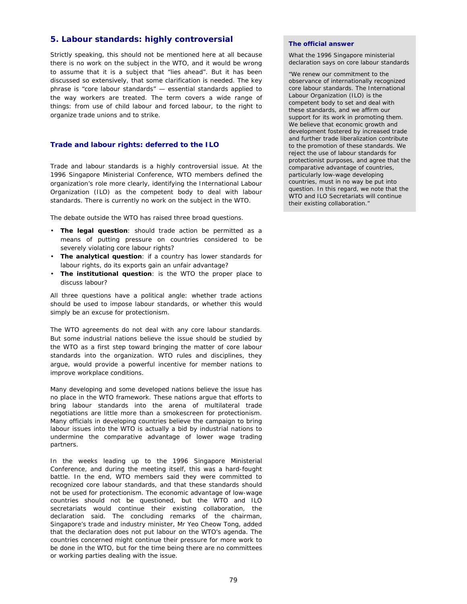## **5. Labour standards: highly controversial**

Strictly speaking, this should not be mentioned here at all because there is no work on the subject in the WTO, and it would be wrong to assume that it is a subject that "lies ahead". But it has been discussed so extensively, that some clarification is needed. The key phrase is "core labour standards" — essential standards applied to the way workers are treated. The term covers a wide range of things: from use of child labour and forced labour, to the right to organize trade unions and to strike.

## **Trade and labour rights: deferred to the ILO**

Trade and labour standards is a highly controversial issue. At the 1996 Singapore Ministerial Conference, WTO members defined the organization's role more clearly, identifying the International Labour Organization (ILO) as the competent body to deal with labour standards. There is currently no work on the subject in the WTO.

The debate outside the WTO has raised three broad questions.

- **The legal question**: should trade action be permitted as a means of putting pressure on countries considered to be severely violating core labour rights?
- **The analytical question**: if a country has lower standards for labour rights, do its exports gain an unfair advantage?
- **The institutional question**: is the WTO the proper place to discuss labour?

All three questions have a political angle: whether trade actions should be used to impose labour standards, or whether this would simply be an excuse for protectionism.

The WTO agreements do not deal with any core labour standards. But some industrial nations believe the issue should be studied by the WTO as a first step toward bringing the matter of core labour standards into the organization. WTO rules and disciplines, they argue, would provide a powerful incentive for member nations to improve workplace conditions.

Many developing and some developed nations believe the issue has no place in the WTO framework. These nations argue that efforts to bring labour standards into the arena of multilateral trade negotiations are little more than a smokescreen for protectionism. Many officials in developing countries believe the campaign to bring labour issues into the WTO is actually a bid by industrial nations to undermine the comparative advantage of lower wage trading partners.

In the weeks leading up to the 1996 Singapore Ministerial Conference, and during the meeting itself, this was a hard-fought battle. In the end, WTO members said they were committed to recognized core labour standards, and that these standards should not be used for protectionism. The economic advantage of low-wage countries should not be questioned, but the WTO and ILO secretariats would continue their existing collaboration, the declaration said. The concluding remarks of the chairman, Singapore's trade and industry minister, Mr Yeo Cheow Tong, added that the declaration does not put labour on the WTO's agenda. The countries concerned might continue their pressure for more work to be done in the WTO, but for the time being there are no committees or working parties dealing with the issue.

## **The official answer**

What the 1996 Singapore ministerial declaration says on core labour standards

"We renew our commitment to the observance of internationally recognized core labour standards. The International Labour Organization (ILO) is the competent body to set and deal with these standards, and we affirm our support for its work in promoting them. We believe that economic growth and development fostered by increased trade and further trade liberalization contribute to the promotion of these standards. We reject the use of labour standards for protectionist purposes, and agree that the comparative advantage of countries, particularly low-wage developing countries, must in no way be put into question. In this regard, we note that the WTO and ILO Secretariats will continue their existing collaboration."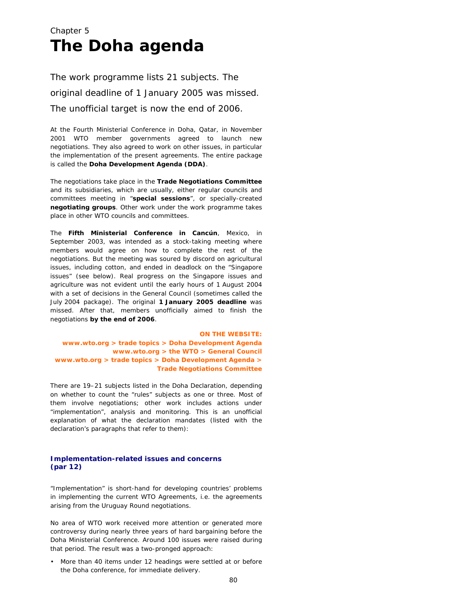# Chapter 5 **The Doha agenda**

The work programme lists 21 subjects. The original deadline of 1 January 2005 was missed. The unofficial target is now the end of 2006.

At the Fourth Ministerial Conference in Doha, Qatar, in November 2001 WTO member governments agreed to launch new negotiations. They also agreed to work on other issues, in particular the implementation of the present agreements. The entire package is called the **Doha Development Agenda (DDA)**.

The negotiations take place in the **Trade Negotiations Committee** and its subsidiaries, which are usually, either regular councils and committees meeting in "**special sessions**", or specially-created **negotiating groups**. Other work under the work programme takes place in other WTO councils and committees.

The **Fifth Ministerial Conference in Cancún**, Mexico, in September 2003, was intended as a stock-taking meeting where members would agree on how to complete the rest of the negotiations. But the meeting was soured by discord on agricultural issues, including cotton, and ended in deadlock on the "Singapore issues" (*see below*). Real progress on the Singapore issues and agriculture was not evident until the early hours of 1 August 2004 with a set of decisions in the General Council (sometimes called the July 2004 package). The original **1 January 2005 deadline** was missed. After that, members unofficially aimed to finish the negotiations **by the end of 2006**.

#### **ON THE WEBSITE:**

**www.wto.org > trade topics > Doha Development Agenda www.wto.org > the WTO > General Council www.wto.org > trade topics > Doha Development Agenda > Trade Negotiations Committee** 

There are 19–21 subjects listed in the Doha Declaration, depending on whether to count the "rules" subjects as one or three. Most of them involve negotiations; other work includes actions under "implementation", analysis and monitoring. This is an unofficial explanation of what the declaration mandates (listed with the declaration's paragraphs that refer to them):

## **Implementation-related issues and concerns (par 12)**

"Implementation" is short-hand for developing countries' problems in implementing the current WTO Agreements, i.e. the agreements arising from the Uruguay Round negotiations.

No area of WTO work received more attention or generated more controversy during nearly three years of hard bargaining before the Doha Ministerial Conference. Around 100 issues were raised during that period. The result was a two-pronged approach:

• More than 40 items under 12 headings were settled at or before the Doha conference, for immediate delivery.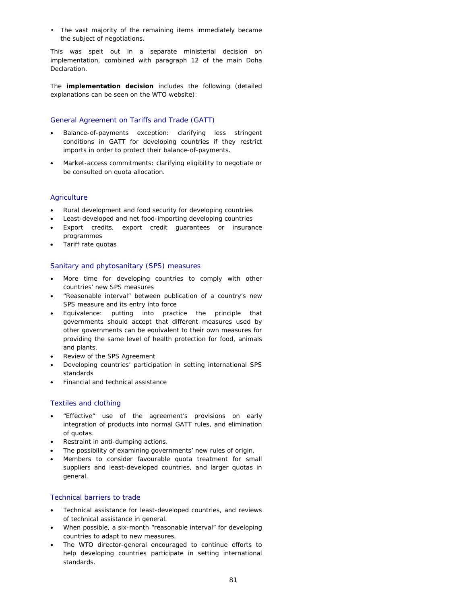• The vast majority of the remaining items immediately became the subject of negotiations.

This was spelt out in a separate ministerial decision on implementation, combined with paragraph 12 of the main Doha Declaration.

The **implementation decision** includes the following (detailed explanations can be seen on the WTO website):

## General Agreement on Tariffs and Trade (GATT)

- Balance-of-payments exception: clarifying less stringent conditions in GATT for developing countries if they restrict imports in order to protect their balance-of-payments.
- Market-access commitments: clarifying eligibility to negotiate or be consulted on quota allocation.

## **Agriculture**

- Rural development and food security for developing countries
- Least-developed and net food-importing developing countries
- Export credits, export credit guarantees or insurance programmes
- Tariff rate quotas

## Sanitary and phytosanitary (SPS) measures

- More time for developing countries to comply with other countries' new SPS measures
- "Reasonable interval" between publication of a country's new SPS measure and its entry into force
- Equivalence: putting into practice the principle that governments should accept that different measures used by other governments can be equivalent to their own measures for providing the same level of health protection for food, animals and plants.
- Review of the SPS Agreement
- Developing countries' participation in setting international SPS standards
- Financial and technical assistance

## Textiles and clothing

- "Effective" use of the agreement's provisions on early integration of products into normal GATT rules, and elimination of quotas.
- Restraint in anti-dumping actions.
- The possibility of examining governments' new rules of origin.
- Members to consider favourable quota treatment for small suppliers and least-developed countries, and larger quotas in general.

## Technical barriers to trade

- Technical assistance for least-developed countries, and reviews of technical assistance in general.
- When possible, a six-month "reasonable interval" for developing countries to adapt to new measures.
- The WTO director-general encouraged to continue efforts to help developing countries participate in setting international standards.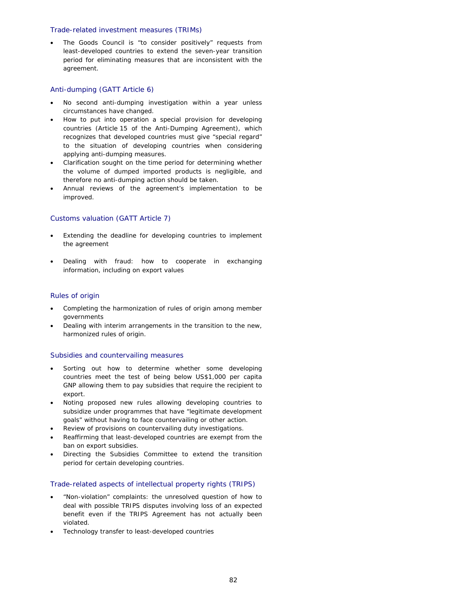#### Trade-related investment measures (TRIMs)

• The Goods Council is "to consider positively" requests from least-developed countries to extend the seven-year transition period for eliminating measures that are inconsistent with the agreement.

## Anti-dumping (GATT Article 6)

- No second anti-dumping investigation within a year unless circumstances have changed.
- How to put into operation a special provision for developing countries (Article 15 of the Anti-Dumping Agreement), which recognizes that developed countries must give "special regard" to the situation of developing countries when considering applying anti-dumping measures.
- Clarification sought on the time period for determining whether the volume of dumped imported products is negligible, and therefore no anti-dumping action should be taken.
- Annual reviews of the agreement's implementation to be improved.

## Customs valuation (GATT Article 7)

- Extending the deadline for developing countries to implement the agreement
- Dealing with fraud: how to cooperate in exchanging information, including on export values

## Rules of origin

- Completing the harmonization of rules of origin among member governments
- Dealing with interim arrangements in the transition to the new, harmonized rules of origin.

#### Subsidies and countervailing measures

- Sorting out how to determine whether some developing countries meet the test of being below US\$1,000 per capita GNP allowing them to pay subsidies that require the recipient to export.
- Noting proposed new rules allowing developing countries to subsidize under programmes that have "legitimate development goals" without having to face countervailing or other action.
- Review of provisions on countervailing duty investigations.
- Reaffirming that least-developed countries are exempt from the ban on export subsidies.
- Directing the Subsidies Committee to extend the transition period for certain developing countries.

#### Trade-related aspects of intellectual property rights (TRIPS)

- "Non-violation" complaints: the unresolved question of how to deal with possible TRIPS disputes involving loss of an expected benefit even if the TRIPS Agreement has not actually been violated.
- Technology transfer to least-developed countries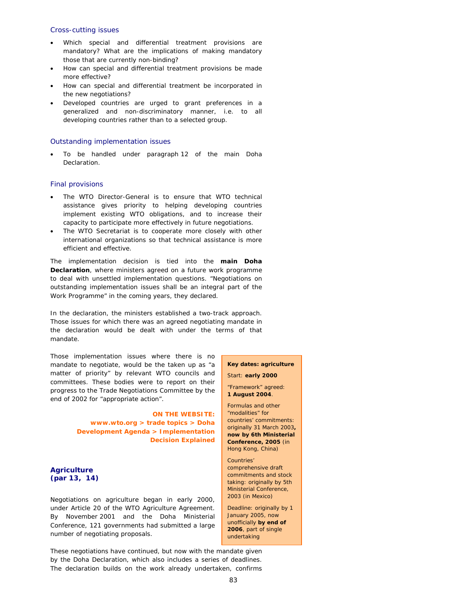## Cross-cutting issues

- Which special and differential treatment provisions are mandatory? What are the implications of making mandatory those that are currently non-binding?
- How can special and differential treatment provisions be made more effective?
- How can special and differential treatment be incorporated in the new negotiations?
- Developed countries are urged to grant preferences in a generalized and non-discriminatory manner, i.e. to all developing countries rather than to a selected group.

#### Outstanding implementation issues

To be handled under paragraph 12 of the main Doha Declaration.

## Final provisions

- The WTO Director-General is to ensure that WTO technical assistance gives priority to helping developing countries implement existing WTO obligations, and to increase their capacity to participate more effectively in future negotiations.
- The WTO Secretariat is to cooperate more closely with other international organizations so that technical assistance is more efficient and effective.

The implementation decision is tied into the **main Doha Declaration**, where ministers agreed on a future work programme to deal with unsettled implementation questions. "Negotiations on outstanding implementation issues shall be an integral part of the Work Programme" in the coming years, they declared.

In the declaration, the ministers established a two-track approach. Those issues for which there was an agreed negotiating mandate in the declaration would be dealt with under the terms of that mandate.

Those implementation issues where there is no mandate to negotiate, would be the taken up as "a matter of priority" by relevant WTO councils and committees. These bodies were to report on their progress to the Trade Negotiations Committee by the end of 2002 for "appropriate action".

> **ON THE WEBSITE: www.wto.org > trade topics > Doha Development Agenda > Implementation Decision Explained**

## **Agriculture (par 13, 14)**

Negotiations on agriculture began in early 2000, under Article 20 of the WTO Agriculture Agreement. By November 2001 and the Doha Ministerial Conference, 121 governments had submitted a large number of negotiating proposals.

# **Key dates: agriculture**

Start: **early 2000** "Framework" agreed: **1 August 2004**.

Formulas and other "modalities" for countries' commitments: originally 31 March 2003**, now by 6th Ministerial Conference, 2005** (in Hong Kong, China)

Countries' comprehensive draft commitments and stock taking: originally by 5th Ministerial Conference, 2003 (in Mexico)

Deadline: originally by 1 January 2005, now unofficially **by end of 2006**, part of single undertaking

These negotiations have continued, but now with the mandate given by the Doha Declaration, which also includes a series of deadlines. The declaration builds on the work already undertaken, confirms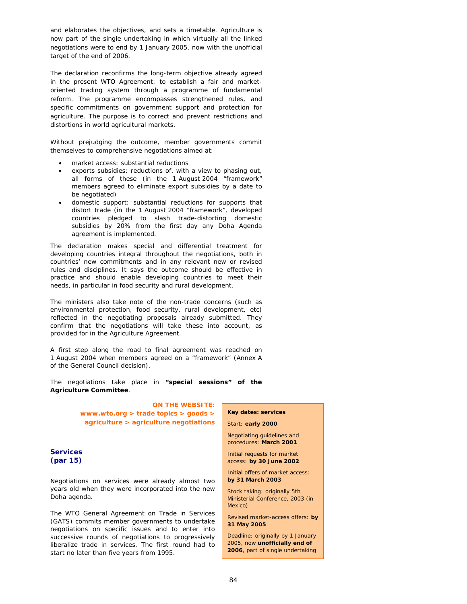and elaborates the objectives, and sets a timetable. Agriculture is now part of the single undertaking in which virtually all the linked negotiations were to end by 1 January 2005, now with the unofficial target of the end of 2006.

The declaration reconfirms the long-term objective already agreed in the present WTO Agreement: to establish a fair and marketoriented trading system through a programme of fundamental reform. The programme encompasses strengthened rules, and specific commitments on government support and protection for agriculture. The purpose is to correct and prevent restrictions and distortions in world agricultural markets.

Without prejudging the outcome, member governments commit themselves to comprehensive negotiations aimed at:

- market access: substantial reductions
- exports subsidies: reductions of, with a view to phasing out, all forms of these (in the 1 August 2004 "framework" members agreed to eliminate export subsidies by a date to be negotiated)
- domestic support: substantial reductions for supports that distort trade (in the 1 August 2004 "framework", developed countries pledged to slash trade-distorting domestic subsidies by 20% from the first day any Doha Agenda agreement is implemented.

The declaration makes special and differential treatment for developing countries integral throughout the negotiations, both in countries' new commitments and in any relevant new or revised rules and disciplines. It says the outcome should be effective in practice and should enable developing countries to meet their needs, in particular in food security and rural development.

The ministers also take note of the non-trade concerns (such as environmental protection, food security, rural development, etc) reflected in the negotiating proposals already submitted. They confirm that the negotiations will take these into account, as provided for in the Agriculture Agreement.

A first step along the road to final agreement was reached on 1 August 2004 when members agreed on a "framework" (Annex A of the General Council decision).

The negotiations take place in **"special sessions" of the Agriculture Committee**.

> **ON THE WEBSITE: www.wto.org > trade topics > goods > agriculture > agriculture negotiations**

**Services (par 15)** 

Negotiations on services were already almost two years old when they were incorporated into the new Doha agenda.

The WTO General Agreement on Trade in Services (GATS) commits member governments to undertake negotiations on specific issues and to enter into successive rounds of negotiations to progressively liberalize trade in services. The first round had to start no later than five years from 1995.

**Key dates: services** 

# Start: **early 2000**

Negotiating guidelines and procedures: **March 2001** 

Initial requests for market access: **by 30 June 2002**

Initial offers of market access: **by 31 March 2003**

Stock taking: originally 5th Ministerial Conference, 2003 (in Mexico)

Revised market-access offers: **by 31 May 2005**

Deadline: originally by 1 January 2005, now **unofficially end of 2006**, part of single undertaking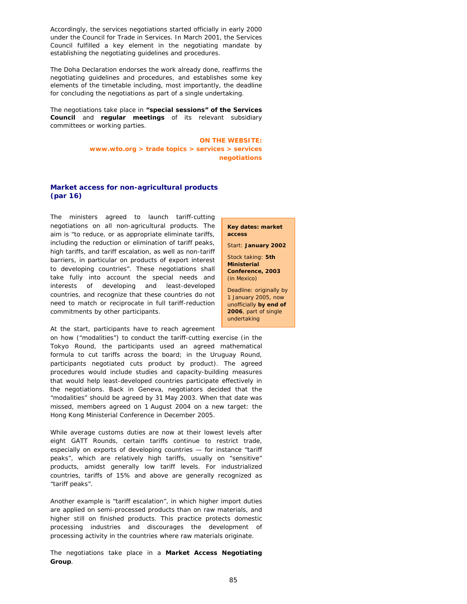Accordingly, the services negotiations started officially in early 2000 under the Council for Trade in Services. In March 2001, the Services Council fulfilled a key element in the negotiating mandate by establishing the negotiating guidelines and procedures.

The Doha Declaration endorses the work already done, reaffirms the negotiating guidelines and procedures, and establishes some key elements of the timetable including, most importantly, the deadline for concluding the negotiations as part of a single undertaking.

The negotiations take place in **"special sessions" of the Services Council** and **regular meetings** of its relevant subsidiary committees or working parties.

> **ON THE WEBSITE: www.wto.org > trade topics > services > services negotiations**

## **Market access for non-agricultural products (par 16)**

The ministers agreed to launch tariff-cutting negotiations on all non-agricultural products. The aim is "to reduce, or as appropriate eliminate tariffs, including the reduction or elimination of tariff peaks, high tariffs, and tariff escalation, as well as non-tariff barriers, in particular on products of export interest to developing countries". These negotiations shall take fully into account the special needs and interests of developing and least-developed countries, and recognize that these countries do not need to match or reciprocate in full tariff-reduction commitments by other participants.

At the start, participants have to reach agreement

on how ("modalities") to conduct the tariff-cutting exercise (in the Tokyo Round, the participants used an agreed mathematical formula to cut tariffs across the board; in the Uruguay Round, participants negotiated cuts product by product). The agreed procedures would include studies and capacity-building measures that would help least-developed countries participate effectively in the negotiations. Back in Geneva, negotiators decided that the "modalities" should be agreed by 31 May 2003. When that date was missed, members agreed on 1 August 2004 on a new target: the Hong Kong Ministerial Conference in December 2005.

While average customs duties are now at their lowest levels after eight GATT Rounds, certain tariffs continue to restrict trade, especially on exports of developing countries — for instance "tariff peaks", which are relatively high tariffs, usually on "sensitive" products, amidst generally low tariff levels. For industrialized countries, tariffs of 15% and above are generally recognized as "tariff peaks".

Another example is "tariff escalation", in which higher import duties are applied on semi-processed products than on raw materials, and higher still on finished products. This practice protects domestic processing industries and discourages the development of processing activity in the countries where raw materials originate.

The negotiations take place in a **Market Access Negotiating Group**.

**Key dates: market access** 

Start: **January 2002**

Stock taking: **5th Ministerial Conference, 2003** (in Mexico)

Deadline: originally by 1 January 2005, now unofficially **by end of 2006**, part of single undertaking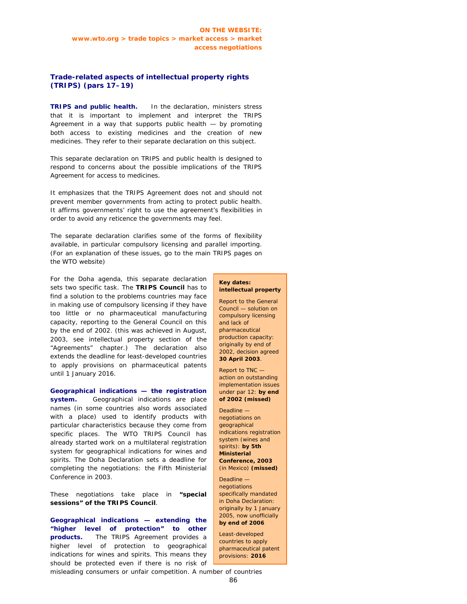## **Trade-related aspects of intellectual property rights (TRIPS) (pars 17–19)**

**TRIPS and public health.** In the declaration, ministers stress that it is important to implement and interpret the TRIPS Agreement in a way that supports public health — by promoting both access to existing medicines and the creation of new medicines. They refer to their separate declaration on this subject.

This separate declaration on TRIPS and public health is designed to respond to concerns about the possible implications of the TRIPS Agreement for access to medicines.

It emphasizes that the TRIPS Agreement does not and should not prevent member governments from acting to protect public health. It affirms governments' right to use the agreement's flexibilities in order to avoid any reticence the governments may feel.

The separate declaration clarifies some of the forms of flexibility available, in particular compulsory licensing and parallel importing. (For an explanation of these issues, go to the main TRIPS pages on the WTO website)

For the Doha agenda, this separate declaration sets two specific task. The **TRIPS Council** has to find a solution to the problems countries may face in making use of compulsory licensing if they have too little or no pharmaceutical manufacturing capacity, reporting to the General Council on this by the end of 2002. (this was achieved in August, 2003, *see intellectual property section of the "Agreements" chapter*.) The declaration also extends the deadline for least-developed countries to apply provisions on pharmaceutical patents until 1 January 2016.

**Geographical indications — the registration system.** Geographical indications are place names (in some countries also words associated with a place) used to identify products with particular characteristics because they come from specific places. The WTO TRIPS Council has already started work on a multilateral registration system for geographical indications for wines and spirits. The Doha Declaration sets a deadline for completing the negotiations: the Fifth Ministerial Conference in 2003.

These negotiations take place in **"special sessions" of the TRIPS Council**.

**Geographical indications — extending the "higher level of protection" to other products.** The TRIPS Agreement provides a higher level of protection to geographical indications for wines and spirits. This means they should be protected even if there is no risk of

#### **Key dates: intellectual property**

Report to the General Council — solution on compulsory licensing and lack of pharmaceutical production capacity: originally by end of 2002, decision agreed **30 April 2003**.

Report to TNC action on outstanding implementation issues under par 12: **by end of 2002 (missed)**

#### Deadline negotiations on geographical

indications registration system (wines and spirits): **by 5th Ministerial Conference, 2003** (in Mexico) **(missed)**

Deadline negotiations specifically mandated

in Doha Declaration: originally by 1 January 2005, now unofficially **by end of 2006**

Least-developed countries to apply pharmaceutical patent provisions: **2016**

misleading consumers or unfair competition. A number of countries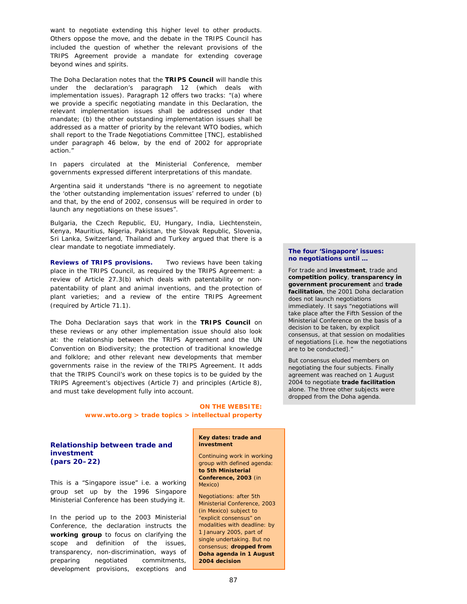want to negotiate extending this higher level to other products. Others oppose the move, and the debate in the TRIPS Council has included the question of whether the relevant provisions of the TRIPS Agreement provide a mandate for extending coverage beyond wines and spirits.

The Doha Declaration notes that the **TRIPS Council** will handle this under the declaration's paragraph 12 (which deals with implementation issues). Paragraph 12 offers two tracks: "(a) where we provide a specific negotiating mandate in this Declaration, the relevant implementation issues shall be addressed under that mandate; (b) the other outstanding implementation issues shall be addressed as a matter of priority by the relevant WTO bodies, which shall report to the Trade Negotiations Committee [TNC], established under paragraph 46 below, by the end of 2002 for appropriate action."

In papers circulated at the Ministerial Conference, member governments expressed different interpretations of this mandate.

Argentina said it understands "there is no agreement to negotiate the 'other outstanding implementation issues' referred to under (b) and that, by the end of 2002, consensus will be required in order to launch any negotiations on these issues".

Bulgaria, the Czech Republic, EU, Hungary, India, Liechtenstein, Kenya, Mauritius, Nigeria, Pakistan, the Slovak Republic, Slovenia, Sri Lanka, Switzerland, Thailand and Turkey argued that there is a clear mandate to negotiate immediately.

**Reviews of TRIPS provisions.** Two reviews have been taking place in the TRIPS Council, as required by the TRIPS Agreement: a review of Article 27.3(b) which deals with patentability or nonpatentability of plant and animal inventions, and the protection of plant varieties; and a review of the entire TRIPS Agreement (required by Article 71.1).

The Doha Declaration says that work in the **TRIPS Council** on these reviews or any other implementation issue should also look at: the relationship between the TRIPS Agreement and the UN Convention on Biodiversity; the protection of traditional knowledge and folklore; and other relevant new developments that member governments raise in the review of the TRIPS Agreement. It adds that the TRIPS Council's work on these topics is to be guided by the TRIPS Agreement's objectives (Article 7) and principles (Article 8), and must take development fully into account.

> **ON THE WEBSITE: www.wto.org > trade topics > intellectual property**

## **Relationship between trade and investment (pars 20–22)**

This is a "Singapore issue" i.e. a working group set up by the 1996 Singapore Ministerial Conference has been studying it.

In the period up to the 2003 Ministerial Conference, the declaration instructs the **working group** to focus on clarifying the scope and definition of the issues, transparency, non-discrimination, ways of preparing negotiated commitments, development provisions, exceptions and

#### **Key dates: trade and investment**

Continuing work in working group with defined agenda: **to 5th Ministerial Conference, 2003** (in Mexico)

Negotiations: after 5th Ministerial Conference, 2003 (in Mexico) subject to "explicit consensus" on modalities with deadline: by 1 January 2005, part of single undertaking. But no consensus; **dropped from Doha agenda in 1 August 2004 decision**

#### **The four 'Singapore' issues: no negotiations until …**

For trade and **investment**, trade and **competition policy**, **transparency in government procurement** and **trade facilitation**, the 2001 Doha declaration does not launch negotiations immediately. It says "negotiations will take place after the Fifth Session of the Ministerial Conference on the basis of a decision to be taken, by explicit consensus, at that session on modalities of negotiations [i.e. how the negotiations are to be conducted]."

But consensus eluded members on negotiating the four subjects. Finally agreement was reached on 1 August 2004 to negotiate **trade facilitation** alone. The three other subjects were dropped from the Doha agenda.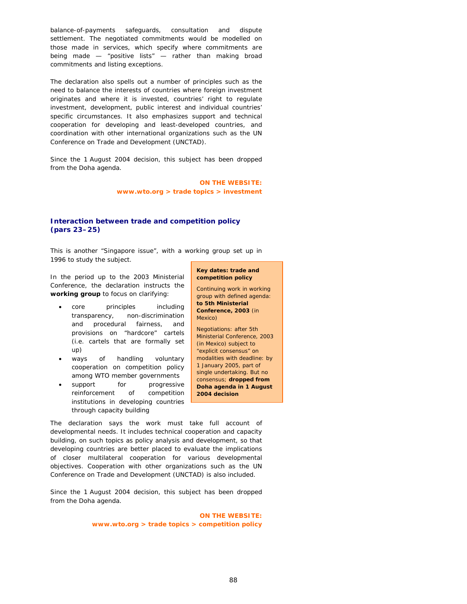balance-of-payments safeguards, consultation and dispute settlement. The negotiated commitments would be modelled on those made in services, which specify where commitments are being made — "positive lists" — rather than making broad commitments and listing exceptions.

The declaration also spells out a number of principles such as the need to balance the interests of countries where foreign investment originates and where it is invested, countries' right to regulate investment, development, public interest and individual countries' specific circumstances. It also emphasizes support and technical cooperation for developing and least-developed countries, and coordination with other international organizations such as the UN Conference on Trade and Development (UNCTAD).

Since the 1 August 2004 decision, this subject has been dropped from the Doha agenda.

> **ON THE WEBSITE: www.wto.org > trade topics > investment**

## **Interaction between trade and competition policy (pars 23–25)**

This is another "Singapore issue", with a working group set up in 1996 to study the subject.

In the period up to the 2003 Ministerial Conference, the declaration instructs the **working group** to focus on clarifying:

- core principles including transparency, non-discrimination and procedural fairness, and provisions on "hardcore" cartels (i.e. cartels that are formally set up)
- ways of handling voluntary cooperation on competition policy among WTO member governments
- support for progressive reinforcement of competition institutions in developing countries through capacity building

**Key dates: trade and competition policy** 

Continuing work in working group with defined agenda: **to 5th Ministerial Conference, 2003** (in Mexico)

Negotiations: after 5th Ministerial Conference, 2003 (in Mexico) subject to "explicit consensus" on modalities with deadline: by 1 January 2005, part of single undertaking. But no consensus; **dropped from Doha agenda in 1 August 2004 decision**

The declaration says the work must take full account of developmental needs. It includes technical cooperation and capacity building, on such topics as policy analysis and development, so that developing countries are better placed to evaluate the implications of closer multilateral cooperation for various developmental objectives. Cooperation with other organizations such as the UN Conference on Trade and Development (UNCTAD) is also included.

Since the 1 August 2004 decision, this subject has been dropped from the Doha agenda.

> **ON THE WEBSITE: www.wto.org > trade topics > competition policy**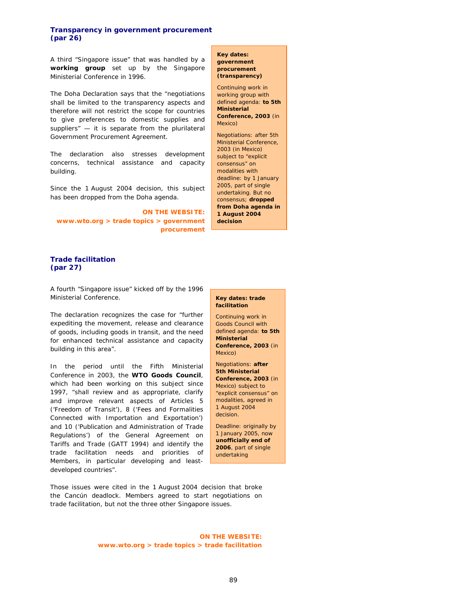## **Transparency in government procurement (par 26)**

A third "Singapore issue" that was handled by a **working group** set up by the Singapore Ministerial Conference in 1996.

The Doha Declaration says that the "negotiations shall be limited to the transparency aspects and therefore will not restrict the scope for countries to give preferences to domestic supplies and suppliers" — it is separate from the plurilateral Government Procurement Agreement.

The declaration also stresses development concerns, technical assistance and capacity building.

Since the 1 August 2004 decision, this subject has been dropped from the Doha agenda.

**ON THE WEBSITE: www.wto.org > trade topics > government procurement** 

#### **Key dates: government procurement (transparency)**

Continuing work in working group with defined agenda: **to 5th Ministerial Conference, 2003** (in Mexico)

Negotiations: after 5th Ministerial Conference, 2003 (in Mexico) subject to "explicit consensus" on modalities with deadline: by 1 January 2005, part of single undertaking. But no consensus; **dropped from Doha agenda in 1 August 2004 decision**

## **Trade facilitation (par 27)**

A fourth "Singapore issue" kicked off by the 1996 Ministerial Conference.

The declaration recognizes the case for "further expediting the movement, release and clearance of goods, including goods in transit, and the need for enhanced technical assistance and capacity building in this area".

In the period until the Fifth Ministerial Conference in 2003, the **WTO Goods Council**, which had been working on this subject since 1997, "shall review and as appropriate, clarify and improve relevant aspects of Articles 5 ('Freedom of Transit'), 8 ('Fees and Formalities Connected with Importation and Exportation') and 10 ('Publication and Administration of Trade Regulations') of the General Agreement on Tariffs and Trade (GATT 1994) and identify the trade facilitation needs and priorities of Members, in particular developing and leastdeveloped countries".

#### **Key dates: trade facilitation**

Continuing work in Goods Council with defined agenda: **to 5th Ministerial Conference, 2003** (in Mexico)

Negotiations: **after 5th Ministerial Conference, 2003** (in Mexico) subject to "explicit consensus" on modalities, agreed in 1 August 2004 decision.

Deadline: originally by 1 January 2005, now **unofficially end of 2006**, part of single undertaking

Those issues were cited in the 1 August 2004 decision that broke the Cancún deadlock. Members agreed to start negotiations on trade facilitation, but not the three other Singapore issues.

> **ON THE WEBSITE: www.wto.org > trade topics > trade facilitation**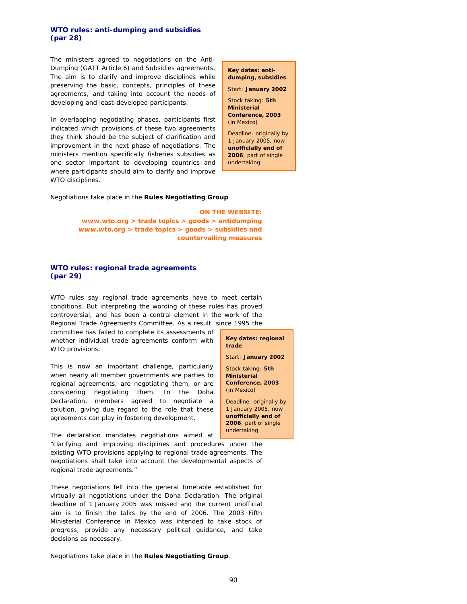## **WTO rules: anti-dumping and subsidies (par 28)**

The ministers agreed to negotiations on the Anti-Dumping (GATT Article 6) and Subsidies agreements. The aim is to clarify and improve disciplines while preserving the basic, concepts, principles of these agreements, and taking into account the needs of developing and least-developed participants.

In overlapping negotiating phases, participants first indicated which provisions of these two agreements they think should be the subject of clarification and improvement in the next phase of negotiations. The ministers mention specifically fisheries subsidies as one sector important to developing countries and where participants should aim to clarify and improve WTO disciplines.

**Key dates: antidumping, subsidies**  Start: **January 2002** Stock taking: **5th Ministerial Conference, 2003** (in Mexico) Deadline: originally by

1 January 2005, now **unofficially end of 2006**, part of single undertaking

Negotiations take place in the **Rules Negotiating Group**.

**ON THE WEBSITE: www.wto.org > trade topics > goods > antidumping www.wto.org > trade topics > goods > subsidies and countervailing measures** 

## **WTO rules: regional trade agreements (par 29)**

WTO rules say regional trade agreements have to meet certain conditions. But interpreting the wording of these rules has proved controversial, and has been a central element in the work of the Regional Trade Agreements Committee. As a result, since 1995 the

committee has failed to complete its assessments of whether individual trade agreements conform with WTO provisions.

This is now an important challenge, particularly when nearly all member governments are parties to regional agreements, are negotiating them, or are considering negotiating them. In the Doha Declaration, members agreed to negotiate a solution, giving due regard to the role that these agreements can play in fostering development.

The declaration mandates negotiations aimed at "clarifying and improving disciplines and procedures under the existing WTO provisions applying to regional trade agreements. The negotiations shall take into account the developmental aspects of regional trade agreements."

These negotiations fell into the general timetable established for virtually all negotiations under the Doha Declaration. The original deadline of 1 January 2005 was missed and the current unofficial aim is to finish the talks by the end of 2006. The 2003 Fifth Ministerial Conference in Mexico was intended to take stock of progress, provide any necessary political guidance, and take decisions as necessary.

Negotiations take place in the **Rules Negotiating Group**.

#### **Key dates: regional trade**

Start: **January 2002**

Stock taking: **5th Ministerial Conference, 2003** (in Mexico)

Deadline: originally by 1 January 2005, now **unofficially end of 2006**, part of single undertaking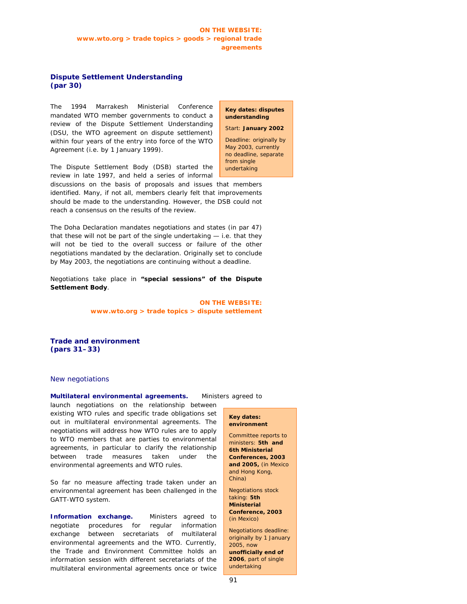## **Dispute Settlement Understanding (par 30)**

The 1994 Marrakesh Ministerial Conference mandated WTO member governments to conduct a review of the Dispute Settlement Understanding (DSU, the WTO agreement on dispute settlement) within four years of the entry into force of the WTO Agreement (i.e. by 1 January 1999).

The Dispute Settlement Body (DSB) started the review in late 1997, and held a series of informal

discussions on the basis of proposals and issues that members identified. Many, if not all, members clearly felt that improvements should be made to the understanding. However, the DSB could not reach a consensus on the results of the review.

The Doha Declaration mandates negotiations and states (in par 47) that these will not be part of the single undertaking — i.e. that they will not be tied to the overall success or failure of the other negotiations mandated by the declaration. Originally set to conclude by May 2003, the negotiations are continuing without a deadline.

Negotiations take place in **"special sessions" of the Dispute Settlement Body**.

> **ON THE WEBSITE: www.wto.org > trade topics > dispute settlement**

**Trade and environment (pars 31–33)** 

#### New negotiations

## **Multilateral environmental agreements.** Ministers agreed to

launch negotiations on the relationship between existing WTO rules and specific trade obligations set out in multilateral environmental agreements. The negotiations will address how WTO rules are to apply to WTO members that are parties to environmental agreements, in particular to clarify the relationship between trade measures taken under the environmental agreements and WTO rules.

So far no measure affecting trade taken under an environmental agreement has been challenged in the GATT-WTO system.

**Information exchange.** Ministers agreed to negotiate procedures for regular information exchange between secretariats of multilateral environmental agreements and the WTO. Currently, the Trade and Environment Committee holds an information session with different secretariats of the multilateral environmental agreements once or twice

## **Key dates: disputes understanding**

#### Start: **January 2002**

Deadline: originally by May 2003, currently no deadline, separate from single undertaking

**environment**  Committee reports to ministers: **5th and** 

**Key dates:** 

**6th Ministerial Conferences, 2003 and 2005,** (in Mexico and Hong Kong, China)

Negotiations stock taking: **5th Ministerial Conference, 2003** (in Mexico)

Negotiations deadline: originally by 1 January 2005, now **unofficially end of 2006**, part of single undertaking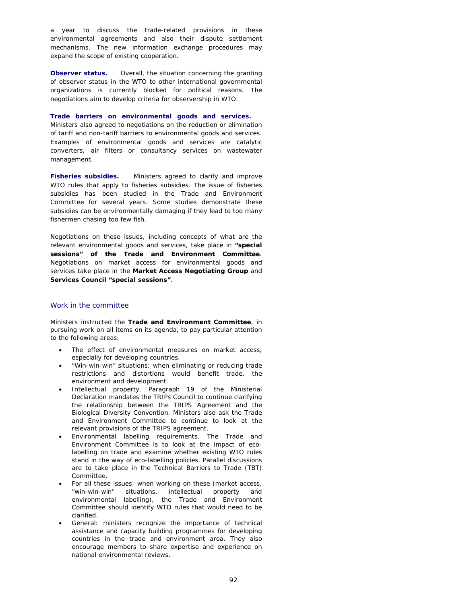a year to discuss the trade-related provisions in these environmental agreements and also their dispute settlement mechanisms. The new information exchange procedures may expand the scope of existing cooperation.

**Observer status.** Overall, the situation concerning the granting of observer status in the WTO to other international governmental organizations is currently blocked for political reasons. The negotiations aim to develop criteria for observership in WTO.

#### **Trade barriers on environmental goods and services.**

Ministers also agreed to negotiations on the reduction or elimination of tariff and non-tariff barriers to environmental goods and services. Examples of environmental goods and services are catalytic converters, air filters or consultancy services on wastewater management.

**Fisheries subsidies.** Ministers agreed to clarify and improve WTO rules that apply to fisheries subsidies. The issue of fisheries subsidies has been studied in the Trade and Environment Committee for several years. Some studies demonstrate these subsidies can be environmentally damaging if they lead to too many fishermen chasing too few fish.

Negotiations on these issues, including concepts of what are the relevant environmental goods and services, take place in **"special sessions" of the Trade and Environment Committee**. Negotiations on market access for environmental goods and services take place in the **Market Access Negotiating Group** and **Services Council "special sessions"**.

#### Work in the committee

Ministers instructed the **Trade and Environment Committee**, in pursuing work on all items on its agenda, to pay particular attention to the following areas:

- The effect of environmental measures on market access, especially for developing countries.
- "Win-win-win" situations: when eliminating or reducing trade restrictions and distortions would benefit trade, the environment and development.
- Intellectual property. Paragraph 19 of the Ministerial Declaration mandates the TRIPs Council to continue clarifying the relationship between the TRIPS Agreement and the Biological Diversity Convention. Ministers also ask the Trade and Environment Committee to continue to look at the relevant provisions of the TRIPS agreement.
- Environmental labelling requirements. The Trade and Environment Committee is to look at the impact of ecolabelling on trade and examine whether existing WTO rules stand in the way of eco-labelling policies. Parallel discussions are to take place in the Technical Barriers to Trade (TBT) Committee.
- For all these issues: when working on these (market access, "win-win-win" situations, intellectual property and "win-win-win" situations, intellectual property environmental labelling), the Trade and Environment Committee should identify WTO rules that would need to be clarified.
- General: ministers recognize the importance of technical assistance and capacity building programmes for developing countries in the trade and environment area. They also encourage members to share expertise and experience on national environmental reviews.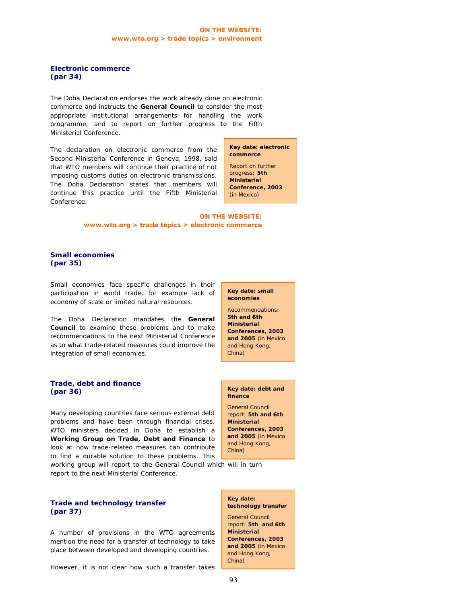**Electronic commerce (par 34)** 

The Doha Declaration endorses the work already done on electronic commerce and instructs the **General Council** to consider the most appropriate institutional arrangements for handling the work programme, and to report on further progress to the Fifth Ministerial Conference.

The declaration on electronic commerce from the Second Ministerial Conference in Geneva, 1998, said that WTO members will continue their practice of not imposing customs duties on electronic transmissions. The Doha Declaration states that members will continue this practice until the Fifth Ministerial Conference.

**Key date: electronic commerce** 

Report on further progress: **5th Ministerial Conference, 2003** (in Mexico)

**ON THE WEBSITE: www.wto.org > trade topics > electronic commerce** 

## **Small economies (par 35)**

Small economies face specific challenges in their participation in world trade, for example lack of economy of scale or limited natural resources.

The Doha Declaration mandates the **General Council** to examine these problems and to make recommendations to the next Ministerial Conference as to what trade-related measures could improve the integration of small economies.

## **Trade, debt and finance (par 36)**

Many developing countries face serious external debt problems and have been through financial crises. WTO ministers decided in Doha to establish a **Working Group on Trade, Debt and Finance** to look at how trade-related measures can contribute to find a durable solution to these problems. This

working group will report to the General Council which will in turn report to the next Ministerial Conference.

## **Trade and technology transfer (par 37)**

A number of provisions in the WTO agreements mention the need for a transfer of technology to take place between developed and developing countries.

However, it is not clear how such a transfer takes

#### **Key date: small economies**

Recommendations: **5th and 6th Ministerial Conferences, 2003 and 2005** (in Mexico and Hong Kong, China)

#### **Key date: debt and finance**

General Council report: **5th and 6th Ministerial Conferences, 2003 and 2005** (in Mexico and Hong Kong, China)

#### **Key date: technology transfer**

General Council report: **5th and 6th Ministerial Conferences, 2003 and 2005** (in Mexico and Hong Kong, China)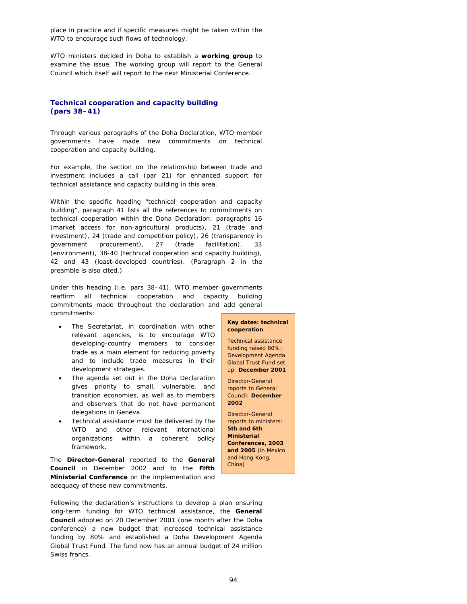place in practice and if specific measures might be taken within the WTO to encourage such flows of technology.

WTO ministers decided in Doha to establish a **working group** to examine the issue. The working group will report to the General Council which itself will report to the next Ministerial Conference.

## **Technical cooperation and capacity building (pars 38–41)**

Through various paragraphs of the Doha Declaration, WTO member governments have made new commitments on technical cooperation and capacity building.

For example, the section on the relationship between trade and investment includes a call (par 21) for enhanced support for technical assistance and capacity building in this area.

Within the specific heading "technical cooperation and capacity building", paragraph 41 lists all the references to commitments on technical cooperation within the Doha Declaration: paragraphs 16 (market access for non-agricultural products), 21 (trade and investment), 24 (trade and competition policy), 26 (transparency in government procurement), 27 (trade facilitation), 33 (environment), 38-40 (technical cooperation and capacity building), 42 and 43 (least-developed countries). (Paragraph 2 in the preamble is also cited.)

Under this heading (i.e. pars 38–41), WTO member governments reaffirm all technical cooperation and capacity building commitments made throughout the declaration and add general commitments:

- The Secretariat, in coordination with other relevant agencies, is to encourage WTO developing-country members to consider trade as a main element for reducing poverty and to include trade measures in their development strategies.
- The agenda set out in the Doha Declaration gives priority to small, vulnerable, and transition economies, as well as to members and observers that do not have permanent delegations in Geneva.
- Technical assistance must be delivered by the WTO and other relevant international organizations within a coherent policy framework.

The **Director-General** reported to the **General Council** in December 2002 and to the **Fifth Ministerial Conference** on the implementation and adequacy of these new commitments.

**Key dates: technical cooperation** 

Technical assistance funding raised 80%; Development Agenda Global Trust Fund set up: **December 2001**

Director-General reports to General Council: **December 2002** 

Director-General reports to ministers: **5th and 6th Ministerial Conferences, 2003 and 2005** (in Mexico and Hong Kong, China)

Following the declaration's instructions to develop a plan ensuring long-term funding for WTO technical assistance, the **General Council** adopted on 20 December 2001 (one month after the Doha conference) a new budget that increased technical assistance funding by 80% and established a Doha Development Agenda Global Trust Fund. The fund now has an annual budget of 24 million Swiss francs.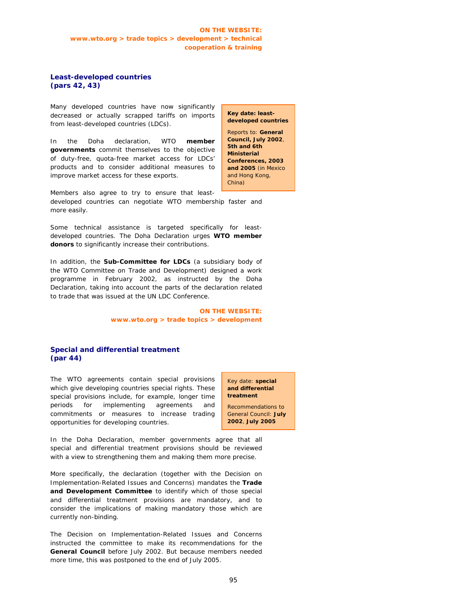## **Least-developed countries (pars 42, 43)**

Many developed countries have now significantly decreased or actually scrapped tariffs on imports from least-developed countries (LDCs).

In the Doha declaration, WTO **member governments** commit themselves to the objective of duty-free, quota-free market access for LDCs' products and to consider additional measures to improve market access for these exports.

**Key date: leastdeveloped countries**

Reports to: **General Council, July 2002**, **5th and 6th Ministerial Conferences, 2003 and 2005** (in Mexico and Hong Kong, China)

Members also agree to try to ensure that leastdeveloped countries can negotiate WTO membership faster and more easily.

Some technical assistance is targeted specifically for leastdeveloped countries. The Doha Declaration urges **WTO member donors** to significantly increase their contributions.

In addition, the **Sub-Committee for LDCs** (a subsidiary body of the WTO Committee on Trade and Development) designed a work programme in February 2002, as instructed by the Doha Declaration, taking into account the parts of the declaration related to trade that was issued at the UN LDC Conference.

> **ON THE WEBSITE: www.wto.org > trade topics > development**

## **Special and differential treatment (par 44)**

The WTO agreements contain special provisions which give developing countries special rights. These special provisions include, for example, longer time periods for implementing agreements and commitments or measures to increase trading opportunities for developing countries.

Key date: **special and differential treatment**

Recommendations to General Council: **July 2002**, **July 2005**

In the Doha Declaration, member governments agree that all special and differential treatment provisions should be reviewed with a view to strengthening them and making them more precise.

More specifically, the declaration (together with the Decision on Implementation-Related Issues and Concerns) mandates the **Trade and Development Committee** to identify which of those special and differential treatment provisions are mandatory, and to consider the implications of making mandatory those which are currently non-binding.

The Decision on Implementation-Related Issues and Concerns instructed the committee to make its recommendations for the **General Council** before July 2002. But because members needed more time, this was postponed to the end of July 2005.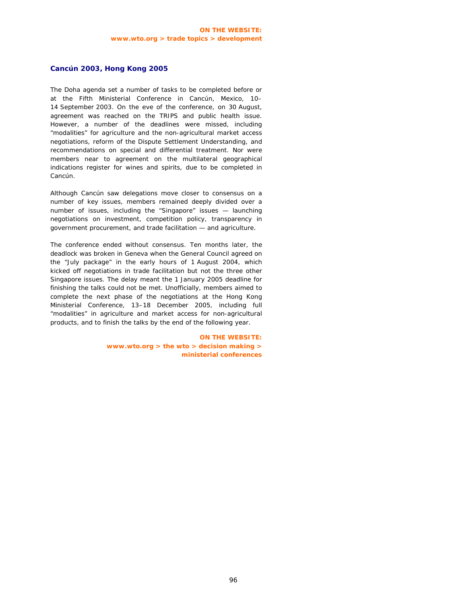## **Cancún 2003, Hong Kong 2005**

The Doha agenda set a number of tasks to be completed before or at the Fifth Ministerial Conference in Cancún, Mexico, 10– 14 September 2003. On the eve of the conference, on 30 August, agreement was reached on the TRIPS and public health issue. However, a number of the deadlines were missed, including "modalities" for agriculture and the non-agricultural market access negotiations, reform of the Dispute Settlement Understanding, and recommendations on special and differential treatment. Nor were members near to agreement on the multilateral geographical indications register for wines and spirits, due to be completed in Cancún.

Although Cancún saw delegations move closer to consensus on a number of key issues, members remained deeply divided over a number of issues, including the "Singapore" issues — launching negotiations on investment, competition policy, transparency in government procurement, and trade facilitation — and agriculture.

The conference ended without consensus. Ten months later, the deadlock was broken in Geneva when the General Council agreed on the "July package" in the early hours of 1 August 2004, which kicked off negotiations in trade facilitation but not the three other Singapore issues. The delay meant the 1 January 2005 deadline for finishing the talks could not be met. Unofficially, members aimed to complete the next phase of the negotiations at the Hong Kong Ministerial Conference, 13–18 December 2005, including full "modalities" in agriculture and market access for non-agricultural products, and to finish the talks by the end of the following year.

**ON THE WEBSITE:** 

**www.wto.org > the wto > decision making > ministerial conferences**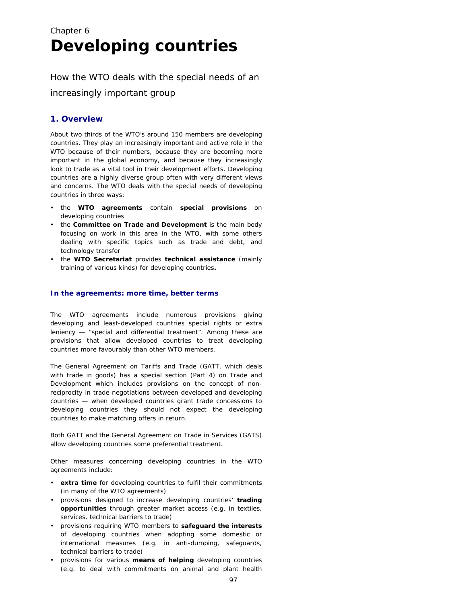# Chapter 6 **Developing countries**

How the WTO deals with the special needs of an

increasingly important group

# **1. Overview**

About two thirds of the WTO's around 150 members are developing countries. They play an increasingly important and active role in the WTO because of their numbers, because they are becoming more important in the global economy, and because they increasingly look to trade as a vital tool in their development efforts. Developing countries are a highly diverse group often with very different views and concerns. The WTO deals with the special needs of developing countries in three ways:

- the **WTO agreements** contain **special provisions** on developing countries
- the **Committee on Trade and Development** is the main body focusing on work in this area in the WTO, with some others dealing with specific topics such as trade and debt, and technology transfer
- the **WTO Secretariat** provides **technical assistance** (mainly training of various kinds) for developing countries**.**

## **In the agreements: more time, better terms**

The WTO agreements include numerous provisions giving developing and least-developed countries special rights or extra leniency — "special and differential treatment". Among these are provisions that allow developed countries to treat developing countries more favourably than other WTO members.

The General Agreement on Tariffs and Trade (GATT, which deals with trade in goods) has a special section (Part 4) on Trade and Development which includes provisions on the concept of nonreciprocity in trade negotiations between developed and developing countries — when developed countries grant trade concessions to developing countries they should not expect the developing countries to make matching offers in return.

Both GATT and the General Agreement on Trade in Services (GATS) allow developing countries some preferential treatment.

Other measures concerning developing countries in the WTO agreements include:

- **extra time** for developing countries to fulfil their commitments (in many of the WTO agreements)
- provisions designed to increase developing countries' **trading opportunities** through greater market access (e.g. in textiles, services, technical barriers to trade)
- provisions requiring WTO members to **safeguard the interests** of developing countries when adopting some domestic or international measures (e.g. in anti-dumping, safeguards, technical barriers to trade)
- provisions for various **means of helping** developing countries (e.g. to deal with commitments on animal and plant health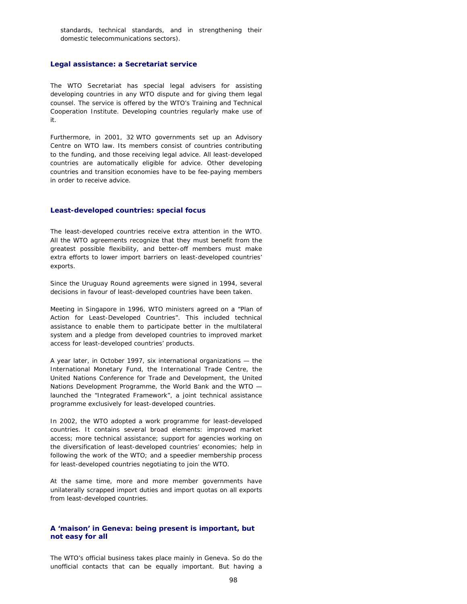standards, technical standards, and in strengthening their domestic telecommunications sectors).

#### **Legal assistance: a Secretariat service**

The WTO Secretariat has special legal advisers for assisting developing countries in any WTO dispute and for giving them legal counsel. The service is offered by the WTO's Training and Technical Cooperation Institute. Developing countries regularly make use of it.

Furthermore, in 2001, 32 WTO governments set up an Advisory Centre on WTO law. Its members consist of countries contributing to the funding, and those receiving legal advice. All least-developed countries are automatically eligible for advice. Other developing countries and transition economies have to be fee-paying members in order to receive advice.

## **Least-developed countries: special focus**

The least-developed countries receive extra attention in the WTO. All the WTO agreements recognize that they must benefit from the greatest possible flexibility, and better-off members must make extra efforts to lower import barriers on least-developed countries' exports.

Since the Uruguay Round agreements were signed in 1994, several decisions in favour of least-developed countries have been taken.

Meeting in Singapore in 1996, WTO ministers agreed on a "Plan of Action for Least-Developed Countries". This included technical assistance to enable them to participate better in the multilateral system and a pledge from developed countries to improved market access for least-developed countries' products.

A year later, in October 1997, six international organizations — the International Monetary Fund, the International Trade Centre, the United Nations Conference for Trade and Development, the United Nations Development Programme, the World Bank and the WTO launched the "Integrated Framework", a joint technical assistance programme exclusively for least-developed countries.

In 2002, the WTO adopted a work programme for least-developed countries. It contains several broad elements: improved market access; more technical assistance; support for agencies working on the diversification of least-developed countries' economies; help in following the work of the WTO; and a speedier membership process for least-developed countries negotiating to join the WTO.

At the same time, more and more member governments have unilaterally scrapped import duties and import quotas on all exports from least-developed countries.

## **A 'maison' in Geneva: being present is important, but not easy for all**

The WTO's official business takes place mainly in Geneva. So do the unofficial contacts that can be equally important. But having a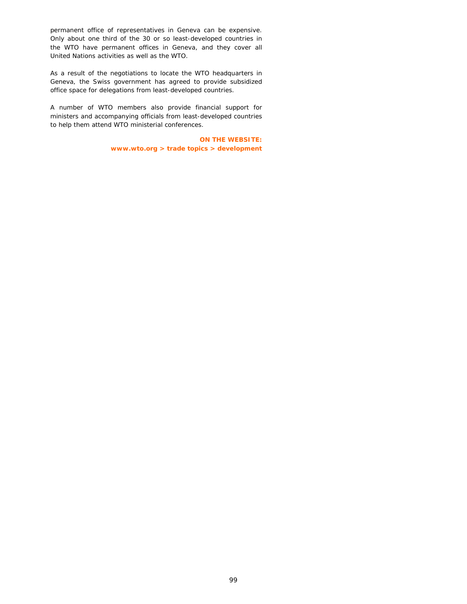permanent office of representatives in Geneva can be expensive. Only about one third of the 30 or so least-developed countries in the WTO have permanent offices in Geneva, and they cover all United Nations activities as well as the WTO.

As a result of the negotiations to locate the WTO headquarters in Geneva, the Swiss government has agreed to provide subsidized office space for delegations from least-developed countries.

A number of WTO members also provide financial support for ministers and accompanying officials from least-developed countries to help them attend WTO ministerial conferences.

> **ON THE WEBSITE: www.wto.org > trade topics > development**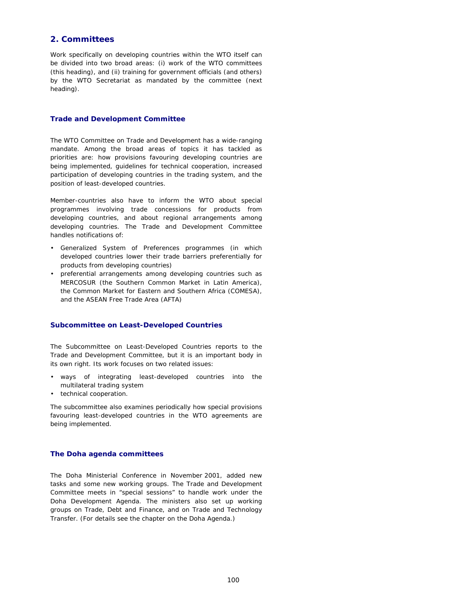## **2. Committees**

Work specifically on developing countries within the WTO itself can be divided into two broad areas: (i) work of the WTO committees (this heading), and (ii) training for government officials (and others) by the WTO Secretariat as mandated by the committee (next heading).

#### **Trade and Development Committee**

The WTO Committee on Trade and Development has a wide-ranging mandate. Among the broad areas of topics it has tackled as priorities are: how provisions favouring developing countries are being implemented, guidelines for technical cooperation, increased participation of developing countries in the trading system, and the position of least-developed countries.

Member-countries also have to inform the WTO about special programmes involving trade concessions for products from developing countries, and about regional arrangements among developing countries. The Trade and Development Committee handles notifications of:

- Generalized System of Preferences programmes (in which developed countries lower their trade barriers preferentially for products from developing countries)
- preferential arrangements among developing countries such as MERCOSUR (the Southern Common Market in Latin America), the Common Market for Eastern and Southern Africa (COMESA), and the ASEAN Free Trade Area (AFTA)

## **Subcommittee on Least-Developed Countries**

The Subcommittee on Least-Developed Countries reports to the Trade and Development Committee, but it is an important body in its own right. Its work focuses on two related issues:

- ways of integrating least-developed countries into the multilateral trading system
- technical cooperation.

The subcommittee also examines periodically how special provisions favouring least-developed countries in the WTO agreements are being implemented.

### **The Doha agenda committees**

The Doha Ministerial Conference in November 2001, added new tasks and some new working groups. The Trade and Development Committee meets in "special sessions" to handle work under the Doha Development Agenda. The ministers also set up working groups on Trade, Debt and Finance, and on Trade and Technology Transfer. (For details see the chapter on the Doha Agenda.)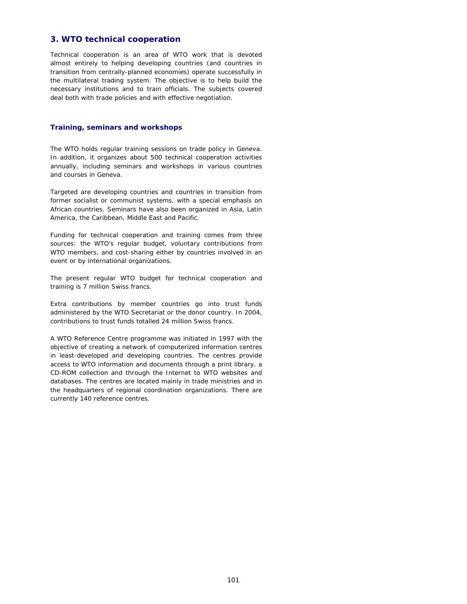## **3. WTO technical cooperation**

Technical cooperation is an area of WTO work that is devoted almost entirely to helping developing countries (and countries in transition from centrally-planned economies) operate successfully in the multilateral trading system. The objective is to help build the necessary institutions and to train officials. The subjects covered deal both with trade policies and with effective negotiation.

#### **Training, seminars and workshops**

The WTO holds regular training sessions on trade policy in Geneva. In addition, it organizes about 500 technical cooperation activities annually, including seminars and workshops in various countries and courses in Geneva.

Targeted are developing countries and countries in transition from former socialist or communist systems, with a special emphasis on African countries. Seminars have also been organized in Asia, Latin America, the Caribbean, Middle East and Pacific.

Funding for technical cooperation and training comes from three sources: the WTO's regular budget, voluntary contributions from WTO members, and cost-sharing either by countries involved in an event or by international organizations.

The present regular WTO budget for technical cooperation and training is 7 million Swiss francs.

Extra contributions by member countries go into trust funds administered by the WTO Secretariat or the donor country. In 2004, contributions to trust funds totalled 24 million Swiss francs.

A WTO Reference Centre programme was initiated in 1997 with the objective of creating a network of computerized information centres in least-developed and developing countries. The centres provide access to WTO information and documents through a print library, a CD-ROM collection and through the Internet to WTO websites and databases. The centres are located mainly in trade ministries and in the headquarters of regional coordination organizations. There are currently 140 reference centres.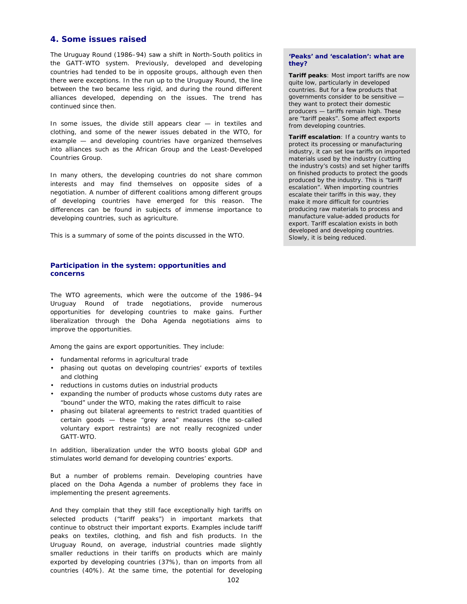## **4. Some issues raised**

The Uruguay Round (1986–94) saw a shift in North-South politics in the GATT-WTO system. Previously, developed and developing countries had tended to be in opposite groups, although even then there were exceptions. In the run up to the Uruguay Round, the line between the two became less rigid, and during the round different alliances developed, depending on the issues. The trend has continued since then.

In some issues, the divide still appears clear — in textiles and clothing, and some of the newer issues debated in the WTO, for example — and developing countries have organized themselves into alliances such as the African Group and the Least-Developed Countries Group.

In many others, the developing countries do not share common interests and may find themselves on opposite sides of a negotiation. A number of different coalitions among different groups of developing countries have emerged for this reason. The differences can be found in subjects of immense importance to developing countries, such as agriculture.

This is a summary of some of the points discussed in the WTO.

## **Participation in the system: opportunities and concerns**

The WTO agreements, which were the outcome of the 1986–94 Uruguay Round of trade negotiations, provide numerous opportunities for developing countries to make gains. Further liberalization through the Doha Agenda negotiations aims to improve the opportunities.

Among the gains are export opportunities. They include:

- fundamental reforms in agricultural trade
- phasing out quotas on developing countries' exports of textiles and clothing
- reductions in customs duties on industrial products
- expanding the number of products whose customs duty rates are "bound" under the WTO, making the rates difficult to raise
- phasing out bilateral agreements to restrict traded quantities of certain goods — these "grey area" measures (the so-called voluntary export restraints) are not really recognized under GATT-WTO.

In addition, liberalization under the WTO boosts global GDP and stimulates world demand for developing countries' exports.

But a number of problems remain. Developing countries have placed on the Doha Agenda a number of problems they face in implementing the present agreements.

And they complain that they still face exceptionally high tariffs on selected products ("tariff peaks") in important markets that continue to obstruct their important exports. Examples include tariff peaks on textiles, clothing, and fish and fish products. In the Uruguay Round, on average, industrial countries made slightly smaller reductions in their tariffs on products which are mainly exported by developing countries (37%), than on imports from all countries (40%). At the same time, the potential for developing

#### **'Peaks' and 'escalation': what are they?**

**Tariff peaks**: Most import tariffs are now quite low, particularly in developed countries. But for a few products that governments consider to be sensitive they want to protect their domestic producers — tariffs remain high. These are "tariff peaks". Some affect exports from developing countries.

**Tariff escalation**: If a country wants to protect its processing or manufacturing industry, it can set low tariffs on imported materials used by the industry (cutting the industry's costs) and set higher tariffs on finished products to protect the goods produced by the industry. This is "tariff escalation". When importing countries escalate their tariffs in this way, they make it more difficult for countries producing raw materials to process and manufacture value-added products for export. Tariff escalation exists in both developed and developing countries. Slowly, it is being reduced.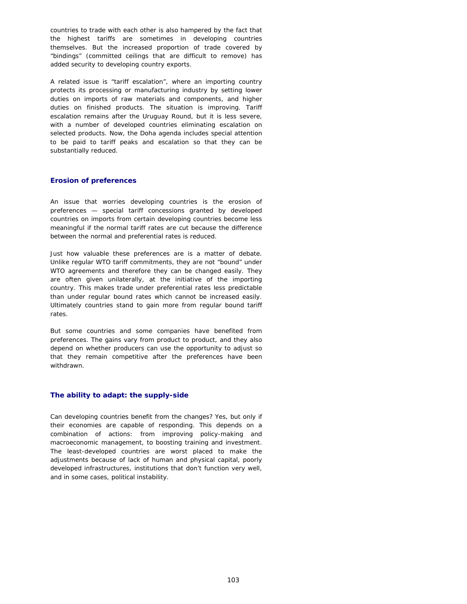countries to trade with each other is also hampered by the fact that the highest tariffs are sometimes in developing countries themselves. But the increased proportion of trade covered by "bindings" (committed ceilings that are difficult to remove) has added security to developing country exports.

A related issue is "tariff escalation", where an importing country protects its processing or manufacturing industry by setting lower duties on imports of raw materials and components, and higher duties on finished products. The situation is improving. Tariff escalation remains after the Uruguay Round, but it is less severe, with a number of developed countries eliminating escalation on selected products. Now, the Doha agenda includes special attention to be paid to tariff peaks and escalation so that they can be substantially reduced.

## **Erosion of preferences**

An issue that worries developing countries is the erosion of preferences — special tariff concessions granted by developed countries on imports from certain developing countries become less meaningful if the normal tariff rates are cut because the difference between the normal and preferential rates is reduced.

Just how valuable these preferences are is a matter of debate. Unlike regular WTO tariff commitments, they are not "bound" under WTO agreements and therefore they can be changed easily. They are often given unilaterally, at the initiative of the importing country. This makes trade under preferential rates less predictable than under regular bound rates which cannot be increased easily. Ultimately countries stand to gain more from regular bound tariff rates.

But some countries and some companies have benefited from preferences. The gains vary from product to product, and they also depend on whether producers can use the opportunity to adjust so that they remain competitive after the preferences have been withdrawn.

#### **The ability to adapt: the supply-side**

Can developing countries benefit from the changes? Yes, but only if their economies are capable of responding. This depends on a combination of actions: from improving policy-making and macroeconomic management, to boosting training and investment. The least-developed countries are worst placed to make the adjustments because of lack of human and physical capital, poorly developed infrastructures, institutions that don't function very well, and in some cases, political instability.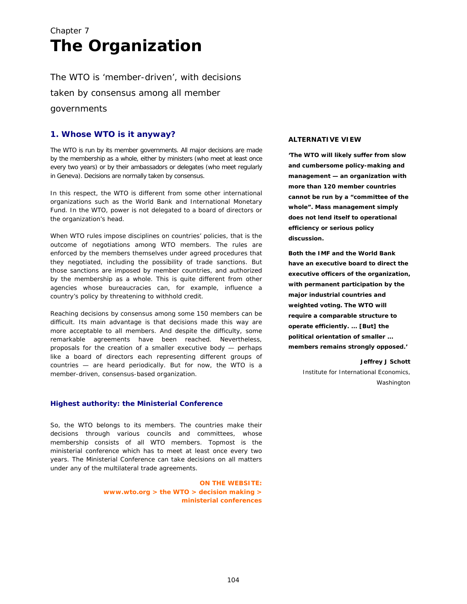# Chapter 7 **The Organization**

The WTO is 'member-driven', with decisions taken by consensus among all member governments

# **1. Whose WTO is it anyway?**

The WTO is run by its member governments. All major decisions are made by the membership as a whole, either by ministers (who meet at least once every two years) or by their ambassadors or delegates (who meet regularly in Geneva). Decisions are normally taken by consensus.

In this respect, the WTO is different from some other international organizations such as the World Bank and International Monetary Fund. In the WTO, power is not delegated to a board of directors or the organization's head.

When WTO rules impose disciplines on countries' policies, that is the outcome of negotiations among WTO members. The rules are enforced by the members themselves under agreed procedures that they negotiated, including the possibility of trade sanctions. But those sanctions are imposed by member countries, and authorized by the membership as a whole. This is quite different from other agencies whose bureaucracies can, for example, influence a country's policy by threatening to withhold credit.

Reaching decisions by consensus among some 150 members can be difficult. Its main advantage is that decisions made this way are more acceptable to all members. And despite the difficulty, some remarkable agreements have been reached. Nevertheless, proposals for the creation of a smaller executive body — perhaps like a board of directors each representing different groups of countries — are heard periodically. But for now, the WTO is a member-driven, consensus-based organization.

## **Highest authority: the Ministerial Conference**

So, the WTO belongs to its members. The countries make their decisions through various councils and committees, whose membership consists of all WTO members. Topmost is the ministerial conference which has to meet at least once every two years. The Ministerial Conference can take decisions on all matters under any of the multilateral trade agreements.

> **ON THE WEBSITE: www.wto.org > the WTO > decision making > ministerial conferences**

## **ALTERNATIVE VIEW**

**'The WTO will likely suffer from slow and cumbersome policy-making and management — an organization with more than 120 member countries cannot be run by a "committee of the whole". Mass management simply does not lend itself to operational efficiency or serious policy discussion.** 

**Both the IMF and the World Bank have an executive board to direct the executive officers of the organization, with permanent participation by the major industrial countries and weighted voting. The WTO will require a comparable structure to operate efficiently. ... [But] the political orientation of smaller ... members remains strongly opposed.'** 

**Jeffrey J Schott**

Institute for International Economics, Washington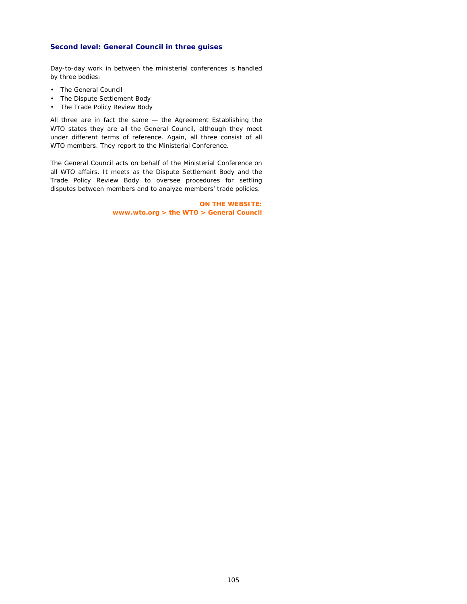## **Second level: General Council in three guises**

Day-to-day work in between the ministerial conferences is handled by three bodies:

- The General Council
- The Dispute Settlement Body
- The Trade Policy Review Body

All three are in fact the same — the Agreement Establishing the WTO states they are all the General Council, although they meet under different terms of reference. Again, all three consist of all WTO members. They report to the Ministerial Conference.

The General Council acts on behalf of the Ministerial Conference on all WTO affairs. It meets as the Dispute Settlement Body and the Trade Policy Review Body to oversee procedures for settling disputes between members and to analyze members' trade policies.

> **ON THE WEBSITE: www.wto.org > the WTO > General Council**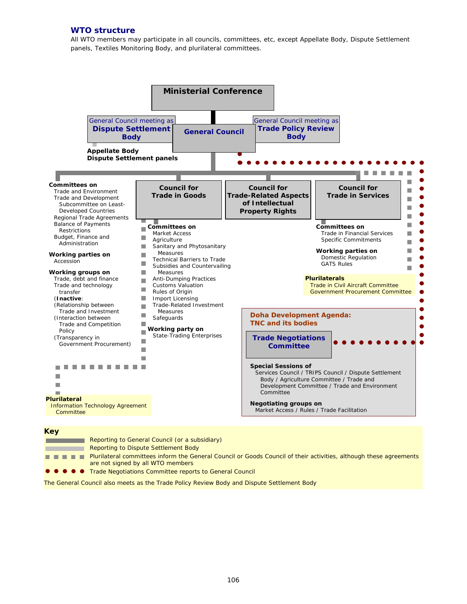# **WTO structure**

All WTO members may participate in all councils, committees, etc, except Appellate Body, Dispute Settlement panels, Textiles Monitoring Body, and plurilateral committees.



- Plurilateral committees inform the General Council or Goods Council of their activities, although these agreements . . . . . are not signed by all WTO members
	- $\bullet$  Trade Negotiations Committee reports to General Council

The General Council also meets as the Trade Policy Review Body and Dispute Settlement Body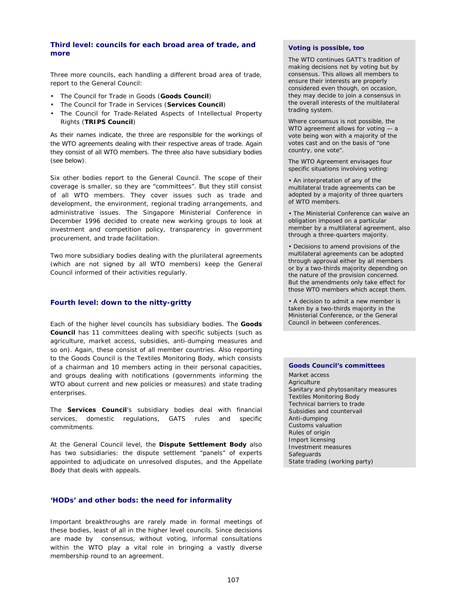## **Third level: councils for each broad area of trade, and more**

Three more councils, each handling a different broad area of trade, report to the General Council:

- The Council for Trade in Goods (**Goods Council**)
- The Council for Trade in Services (**Services Council**)
- The Council for Trade-Related Aspects of Intellectual Property Rights (**TRIPS Council**)

As their names indicate, the three are responsible for the workings of the WTO agreements dealing with their respective areas of trade. Again they consist of all WTO members. The three also have subsidiary bodies (*see below*).

Six other bodies report to the General Council. The scope of their coverage is smaller, so they are "committees". But they still consist of all WTO members. They cover issues such as trade and development, the environment, regional trading arrangements, and administrative issues. The Singapore Ministerial Conference in December 1996 decided to create new working groups to look at investment and competition policy, transparency in government procurement, and trade facilitation.

Two more subsidiary bodies dealing with the plurilateral agreements (which are not signed by all WTO members) keep the General Council informed of their activities regularly.

## **Fourth level: down to the nitty-gritty**

Each of the higher level councils has subsidiary bodies. The **Goods Council** has 11 committees dealing with specific subjects (such as agriculture, market access, subsidies, anti-dumping measures and so on). Again, these consist of all member countries. Also reporting to the Goods Council is the Textiles Monitoring Body, which consists of a chairman and 10 members acting in their personal capacities, and groups dealing with notifications (governments informing the WTO about current and new policies or measures) and state trading enterprises.

The **Services Council**'s subsidiary bodies deal with financial services, domestic regulations, GATS rules and specific commitments.

At the General Council level, the **Dispute Settlement Body** also has two subsidiaries: the dispute settlement "panels" of experts appointed to adjudicate on unresolved disputes, and the Appellate Body that deals with appeals.

## **'HODs' and other bods: the need for informality**

Important breakthroughs are rarely made in formal meetings of these bodies, least of all in the higher level councils. Since decisions are made by consensus, without voting, informal consultations within the WTO play a vital role in bringing a vastly diverse membership round to an agreement.

#### **Voting is possible, too**

The WTO continues GATT's tradition of making decisions not by voting but by consensus. This allows all members to ensure their interests are properly considered even though, on occasion, they may decide to join a consensus in the overall interests of the multilateral trading system.

Where consensus is not possible, the WTO agreement allows for voting — a vote being won with a majority of the votes cast and on the basis of "one country, one vote".

The WTO Agreement envisages four specific situations involving voting:

• An interpretation of any of the multilateral trade agreements can be adopted by a majority of three quarters of WTO members.

• The Ministerial Conference can waive an obligation imposed on a particular member by a multilateral agreement, also through a three-quarters majority.

• Decisions to amend provisions of the multilateral agreements can be adopted through approval either by all members or by a two-thirds majority depending on the nature of the provision concerned. But the amendments only take effect for those WTO members which accept them.

• A decision to admit a new member is taken by a two-thirds majority in the Ministerial Conference, or the General Council in between conferences.

## **Goods Council's committees**

Market access Agriculture Sanitary and phytosanitary measures Textiles Monitoring Body Technical barriers to trade Subsidies and countervail Anti-dumping Customs valuation Rules of origin Import licensing Investment measures **Safeguards** State trading (working party)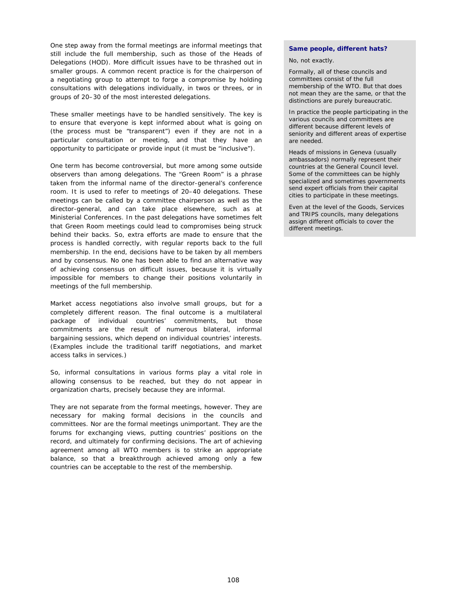One step away from the formal meetings are informal meetings that still include the full membership, such as those of the Heads of Delegations (HOD). More difficult issues have to be thrashed out in smaller groups. A common recent practice is for the chairperson of a negotiating group to attempt to forge a compromise by holding consultations with delegations individually, in twos or threes, or in groups of 20–30 of the most interested delegations.

These smaller meetings have to be handled sensitively. The key is to ensure that everyone is kept informed about what is going on (the process must be "transparent") even if they are not in a particular consultation or meeting, and that they have an opportunity to participate or provide input (it must be "inclusive").

One term has become controversial, but more among some outside observers than among delegations. The "Green Room" is a phrase taken from the informal name of the director-general's conference room. It is used to refer to meetings of 20–40 delegations. These meetings can be called by a committee chairperson as well as the director-general, and can take place elsewhere, such as at Ministerial Conferences. In the past delegations have sometimes felt that Green Room meetings could lead to compromises being struck behind their backs. So, extra efforts are made to ensure that the process is handled correctly, with regular reports back to the full membership. In the end, decisions have to be taken by all members and by consensus. No one has been able to find an alternative way of achieving consensus on difficult issues, because it is virtually impossible for members to change their positions voluntarily in meetings of the full membership.

Market access negotiations also involve small groups, but for a completely different reason. The final outcome is a multilateral package of individual countries' commitments, but those commitments are the result of numerous bilateral, informal bargaining sessions, which depend on individual countries' interests. (Examples include the traditional tariff negotiations, and market access talks in services.)

So, informal consultations in various forms play a vital role in allowing consensus to be reached, but they do not appear in organization charts, precisely because they are informal.

They are not separate from the formal meetings, however. They are necessary for making formal decisions in the councils and committees. Nor are the formal meetings unimportant. They are the forums for exchanging views, putting countries' positions on the record, and ultimately for confirming decisions. The art of achieving agreement among all WTO members is to strike an appropriate balance, so that a breakthrough achieved among only a few countries can be acceptable to the rest of the membership.

#### **Same people, different hats?**

No, not exactly.

Formally, all of these councils and committees consist of the full membership of the WTO. But that does not mean they are the same, or that the distinctions are purely bureaucratic.

In practice the people participating in the various councils and committees are different because different levels of seniority and different areas of expertise are needed.

Heads of missions in Geneva (usually ambassadors) normally represent their countries at the General Council level. Some of the committees can be highly specialized and sometimes governments send expert officials from their capital cities to participate in these meetings.

Even at the level of the Goods, Services and TRIPS councils, many delegations assign different officials to cover the different meetings.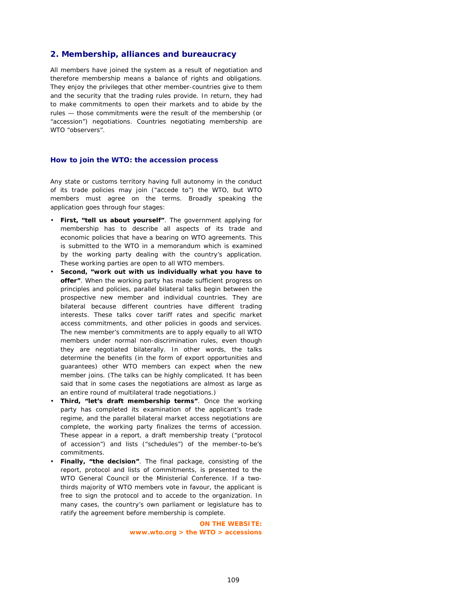# **2. Membership, alliances and bureaucracy**

All members have joined the system as a result of negotiation and therefore membership means a balance of rights and obligations. They enjoy the privileges that other member-countries give to them and the security that the trading rules provide. In return, they had to make commitments to open their markets and to abide by the rules — those commitments were the result of the membership (or "accession") negotiations. Countries negotiating membership are WTO "observers".

### **How to join the WTO: the accession process**

Any state or customs territory having full autonomy in the conduct of its trade policies may join ("accede to") the WTO, but WTO members must agree on the terms. Broadly speaking the application goes through four stages:

- **First, "tell us about yourself"**. The government applying for membership has to describe all aspects of its trade and economic policies that have a bearing on WTO agreements. This is submitted to the WTO in a memorandum which is examined by the working party dealing with the country's application. These working parties are open to all WTO members.
- **Second, "work out with us individually what you have to offer"**. When the working party has made sufficient progress on principles and policies, parallel bilateral talks begin between the prospective new member and individual countries. They are bilateral because different countries have different trading interests. These talks cover tariff rates and specific market access commitments, and other policies in goods and services. The new member's commitments are to apply equally to all WTO members under normal non-discrimination rules, even though they are negotiated bilaterally. In other words, the talks determine the benefits (in the form of export opportunities and guarantees) other WTO members can expect when the new member joins. (The talks can be highly complicated. It has been said that in some cases the negotiations are almost as large as an entire round of multilateral trade negotiations.)
- **Third, "let's draft membership terms"**. Once the working party has completed its examination of the applicant's trade regime, and the parallel bilateral market access negotiations are complete, the working party finalizes the terms of accession. These appear in a report, a draft membership treaty ("protocol of accession") and lists ("schedules") of the member-to-be's commitments.
- **Finally, "the decision"**. The final package, consisting of the report, protocol and lists of commitments, is presented to the WTO General Council or the Ministerial Conference. If a twothirds majority of WTO members vote in favour, the applicant is free to sign the protocol and to accede to the organization. In many cases, the country's own parliament or legislature has to ratify the agreement before membership is complete.

**ON THE WEBSITE: www.wto.org > the WTO > accessions**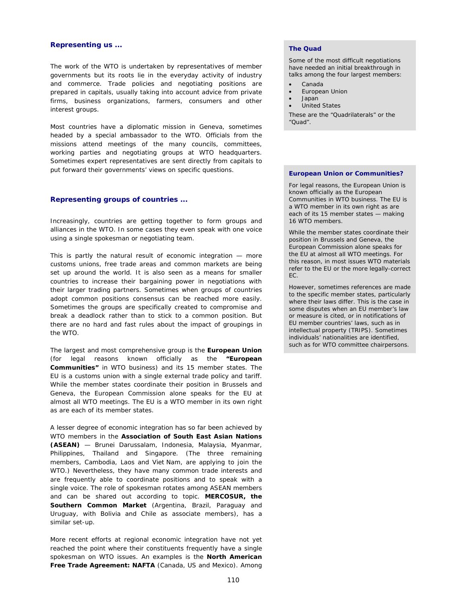### **Representing us ...**

The work of the WTO is undertaken by representatives of member governments but its roots lie in the everyday activity of industry and commerce. Trade policies and negotiating positions are prepared in capitals, usually taking into account advice from private firms, business organizations, farmers, consumers and other interest groups.

Most countries have a diplomatic mission in Geneva, sometimes headed by a special ambassador to the WTO. Officials from the missions attend meetings of the many councils, committees, working parties and negotiating groups at WTO headquarters. Sometimes expert representatives are sent directly from capitals to put forward their governments' views on specific questions.

### **Representing groups of countries ...**

Increasingly, countries are getting together to form groups and alliances in the WTO. In some cases they even speak with one voice using a single spokesman or negotiating team.

This is partly the natural result of economic integration — more customs unions, free trade areas and common markets are being set up around the world. It is also seen as a means for smaller countries to increase their bargaining power in negotiations with their larger trading partners. Sometimes when groups of countries adopt common positions consensus can be reached more easily. Sometimes the groups are specifically created to compromise and break a deadlock rather than to stick to a common position. But there are no hard and fast rules about the impact of groupings in the WTO.

The largest and most comprehensive group is the **European Union** (for legal reasons known officially as the **"European Communities"** in WTO business) and its 15 member states. The EU is a customs union with a single external trade policy and tariff. While the member states coordinate their position in Brussels and Geneva, the European Commission alone speaks for the EU at almost all WTO meetings. The EU is a WTO member in its own right as are each of its member states.

A lesser degree of economic integration has so far been achieved by WTO members in the **Association of South East Asian Nations (ASEAN)** — Brunei Darussalam, Indonesia, Malaysia, Myanmar, Philippines, Thailand and Singapore. (The three remaining members, Cambodia, Laos and Viet Nam, are applying to join the WTO.) Nevertheless, they have many common trade interests and are frequently able to coordinate positions and to speak with a single voice. The role of spokesman rotates among ASEAN members and can be shared out according to topic. **MERCOSUR, the Southern Common Market** (Argentina, Brazil, Paraguay and Uruguay, with Bolivia and Chile as associate members), has a similar set-up.

More recent efforts at regional economic integration have not yet reached the point where their constituents frequently have a single spokesman on WTO issues. An examples is the **North American Free Trade Agreement: NAFTA** (Canada, US and Mexico). Among

### **The Quad**

Some of the most difficult negotiations have needed an initial breakthrough in talks among the four largest members:

- Canada
- European Union
- Japan • United States

These are the "Quadrilaterals" or the "Quad".

### **European Union or Communities?**

For legal reasons, the European Union is known officially as the European Communities in WTO business. The EU is a WTO member in its own right as are each of its 15 member states — making 16 WTO members.

While the member states coordinate their position in Brussels and Geneva, the European Commission alone speaks for the EU at almost all WTO meetings. For this reason, in most issues WTO materials refer to the EU or the more legally-correct EC.

However, sometimes references are made to the specific member states, particularly where their laws differ. This is the case in some disputes when an EU member's law or measure is cited, or in notifications of EU member countries' laws, such as in intellectual property (TRIPS). Sometimes individuals' nationalities are identified, such as for WTO committee chairpersons.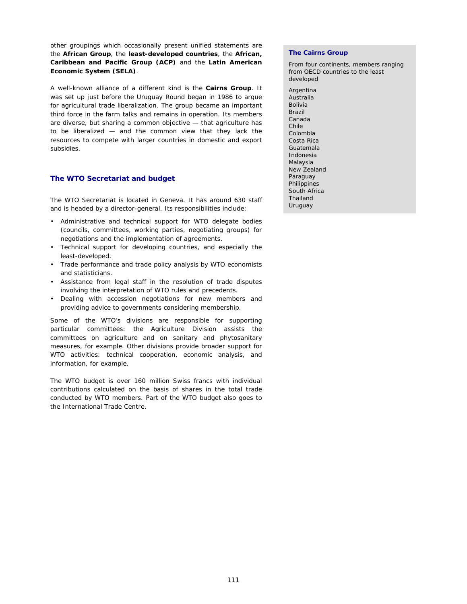other groupings which occasionally present unified statements are the **African Group**, the **least-developed countries**, the **African, Caribbean and Pacific Group (ACP)** and the **Latin American Economic System (SELA)**.

A well-known alliance of a different kind is the **Cairns Group**. It was set up just before the Uruguay Round began in 1986 to argue for agricultural trade liberalization. The group became an important third force in the farm talks and remains in operation. Its members are diverse, but sharing a common objective — that agriculture has to be liberalized — and the common view that they lack the resources to compete with larger countries in domestic and export subsidies.

# **The WTO Secretariat and budget**

The WTO Secretariat is located in Geneva. It has around 630 staff and is headed by a director-general. Its responsibilities include:

- Administrative and technical support for WTO delegate bodies (councils, committees, working parties, negotiating groups) for negotiations and the implementation of agreements.
- Technical support for developing countries, and especially the least-developed.
- Trade performance and trade policy analysis by WTO economists and statisticians.
- Assistance from legal staff in the resolution of trade disputes involving the interpretation of WTO rules and precedents.
- Dealing with accession negotiations for new members and providing advice to governments considering membership.

Some of the WTO's divisions are responsible for supporting particular committees: the Agriculture Division assists the committees on agriculture and on sanitary and phytosanitary measures, for example. Other divisions provide broader support for WTO activities: technical cooperation, economic analysis, and information, for example.

The WTO budget is over 160 million Swiss francs with individual contributions calculated on the basis of shares in the total trade conducted by WTO members. Part of the WTO budget also goes to the International Trade Centre.

#### **The Cairns Group**

From four continents, members ranging from OECD countries to the least developed

Argentina Australia Bolivia Brazil Canada Chile Colombia Costa Rica Guatemala Indonesia Malaysia New Zealand Paraguay **Philippines** South Africa Thailand Uruguay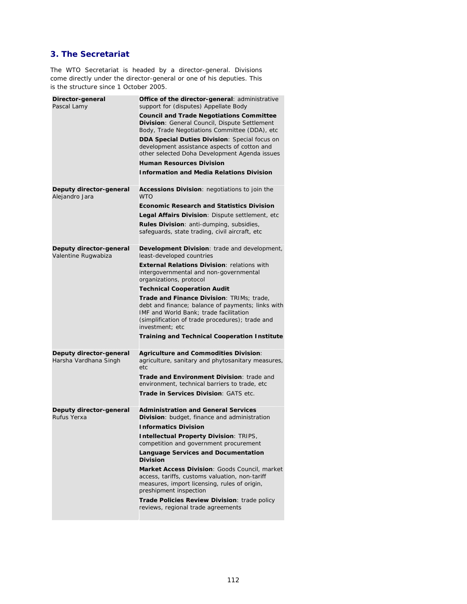# **3. The Secretariat**

The WTO Secretariat is headed by a director-general. Divisions come directly under the director-general or one of his deputies. This is the structure since 1 October 2005.

| Director-general<br>Pascal Lamy                  | Office of the director-general: administrative<br>support for (disputes) Appellate Body                                                                                                                        |
|--------------------------------------------------|----------------------------------------------------------------------------------------------------------------------------------------------------------------------------------------------------------------|
|                                                  | <b>Council and Trade Negotiations Committee</b><br><b>Division: General Council, Dispute Settlement</b><br>Body, Trade Negotiations Committee (DDA), etc                                                       |
|                                                  | DDA Special Duties Division: Special focus on<br>development assistance aspects of cotton and<br>other selected Doha Development Agenda issues                                                                 |
|                                                  | <b>Human Resources Division</b>                                                                                                                                                                                |
|                                                  | <b>Information and Media Relations Division</b>                                                                                                                                                                |
| Deputy director-general<br>Alejandro Jara        | Accessions Division: negotiations to join the<br><b>WTO</b>                                                                                                                                                    |
|                                                  | <b>Economic Research and Statistics Division</b>                                                                                                                                                               |
|                                                  | Legal Affairs Division: Dispute settlement, etc.                                                                                                                                                               |
|                                                  | Rules Division: anti-dumping, subsidies,<br>safeguards, state trading, civil aircraft, etc                                                                                                                     |
| Deputy director-general<br>Valentine Rugwabiza   | <b>Development Division:</b> trade and development,<br>least-developed countries                                                                                                                               |
|                                                  | <b>External Relations Division: relations with</b><br>intergovernmental and non-governmental<br>organizations, protocol                                                                                        |
|                                                  | <b>Technical Cooperation Audit</b>                                                                                                                                                                             |
|                                                  | Trade and Finance Division: TRIMs; trade,<br>debt and finance; balance of payments; links with<br>IMF and World Bank; trade facilitation<br>(simplification of trade procedures); trade and<br>investment; etc |
|                                                  | <b>Training and Technical Cooperation Institute</b>                                                                                                                                                            |
| Deputy director-general<br>Harsha Vardhana Singh | <b>Agriculture and Commodities Division:</b><br>agriculture, sanitary and phytosanitary measures,<br>etc                                                                                                       |
|                                                  | Trade and Environment Division: trade and<br>environment, technical barriers to trade, etc                                                                                                                     |
|                                                  | Trade in Services Division: GATS etc.                                                                                                                                                                          |
| Deputy director-general<br>Rufus Yerxa           | <b>Administration and General Services</b><br>Division: budget, finance and administration                                                                                                                     |
|                                                  | <b>Informatics Division</b>                                                                                                                                                                                    |
|                                                  | <b>Intellectual Property Division: TRIPS,</b><br>competition and government procurement                                                                                                                        |
|                                                  | Language Services and Documentation<br><b>Division</b>                                                                                                                                                         |
|                                                  | Market Access Division: Goods Council, market<br>access, tariffs, customs valuation, non-tariff<br>measures, import licensing, rules of origin,<br>preshipment inspection                                      |
|                                                  | Trade Policies Review Division: trade policy<br>reviews, regional trade agreements                                                                                                                             |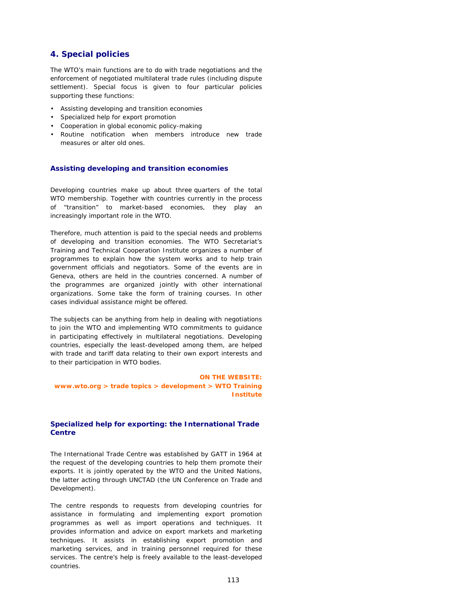# **4. Special policies**

The WTO's main functions are to do with trade negotiations and the enforcement of negotiated multilateral trade rules (including dispute settlement). Special focus is given to four particular policies supporting these functions:

- Assisting developing and transition economies
- Specialized help for export promotion
- Cooperation in global economic policy-making
- Routine notification when members introduce new trade measures or alter old ones.

### **Assisting developing and transition economies**

Developing countries make up about three quarters of the total WTO membership. Together with countries currently in the process of "transition" to market-based economies, they play an increasingly important role in the WTO.

Therefore, much attention is paid to the special needs and problems of developing and transition economies. The WTO Secretariat's Training and Technical Cooperation Institute organizes a number of programmes to explain how the system works and to help train government officials and negotiators. Some of the events are in Geneva, others are held in the countries concerned. A number of the programmes are organized jointly with other international organizations. Some take the form of training courses. In other cases individual assistance might be offered.

The subjects can be anything from help in dealing with negotiations to join the WTO and implementing WTO commitments to guidance in participating effectively in multilateral negotiations. Developing countries, especially the least-developed among them, are helped with trade and tariff data relating to their own export interests and to their participation in WTO bodies.

**ON THE WEBSITE: www.wto.org > trade topics > development > WTO Training Institute** 

### **Specialized help for exporting: the International Trade Centre**

The International Trade Centre was established by GATT in 1964 at the request of the developing countries to help them promote their exports. It is jointly operated by the WTO and the United Nations, the latter acting through UNCTAD (the UN Conference on Trade and Development).

The centre responds to requests from developing countries for assistance in formulating and implementing export promotion programmes as well as import operations and techniques. It provides information and advice on export markets and marketing techniques. It assists in establishing export promotion and marketing services, and in training personnel required for these services. The centre's help is freely available to the least-developed countries.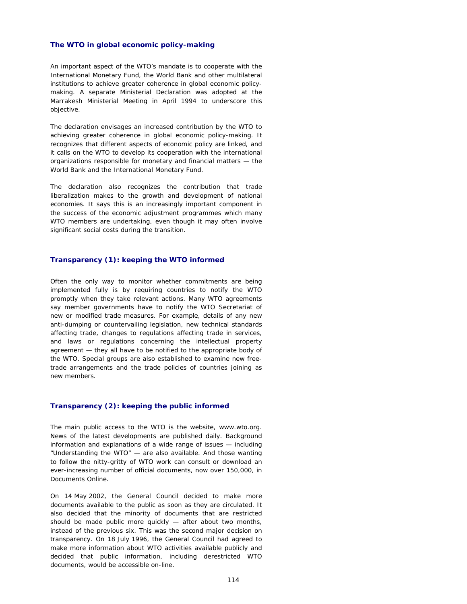### **The WTO in global economic policy-making**

An important aspect of the WTO's mandate is to cooperate with the International Monetary Fund, the World Bank and other multilateral institutions to achieve greater coherence in global economic policymaking. A separate Ministerial Declaration was adopted at the Marrakesh Ministerial Meeting in April 1994 to underscore this objective.

The declaration envisages an increased contribution by the WTO to achieving greater coherence in global economic policy-making. It recognizes that different aspects of economic policy are linked, and it calls on the WTO to develop its cooperation with the international organizations responsible for monetary and financial matters — the World Bank and the International Monetary Fund.

The declaration also recognizes the contribution that trade liberalization makes to the growth and development of national economies. It says this is an increasingly important component in the success of the economic adjustment programmes which many WTO members are undertaking, even though it may often involve significant social costs during the transition.

### **Transparency (1): keeping the WTO informed**

Often the only way to monitor whether commitments are being implemented fully is by requiring countries to notify the WTO promptly when they take relevant actions. Many WTO agreements say member governments have to notify the WTO Secretariat of new or modified trade measures. For example, details of any new anti-dumping or countervailing legislation, new technical standards affecting trade, changes to regulations affecting trade in services, and laws or regulations concerning the intellectual property agreement — they all have to be notified to the appropriate body of the WTO. Special groups are also established to examine new freetrade arrangements and the trade policies of countries joining as new members.

### **Transparency (2): keeping the public informed**

The main public access to the WTO is the website, www.wto.org. News of the latest developments are published daily. Background information and explanations of a wide range of issues — including "Understanding the WTO" — are also available. And those wanting to follow the nitty-gritty of WTO work can consult or download an ever-increasing number of official documents, now over 150,000, in Documents Online.

On 14 May 2002, the General Council decided to make more documents available to the public as soon as they are circulated. It also decided that the minority of documents that are restricted should be made public more quickly — after about two months, instead of the previous six. This was the second major decision on transparency. On 18 July 1996, the General Council had agreed to make more information about WTO activities available publicly and decided that public information, including derestricted WTO documents, would be accessible on-line.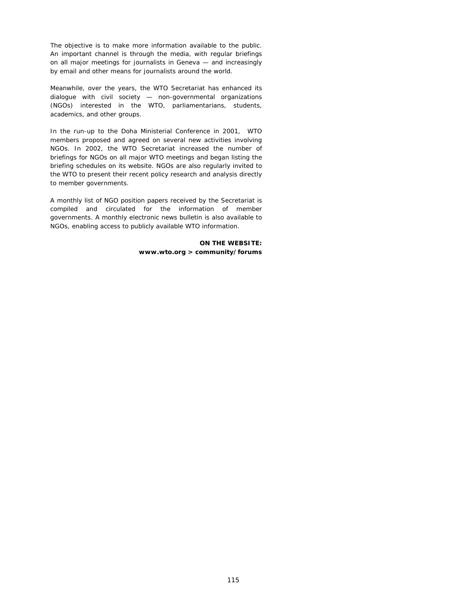The objective is to make more information available to the public. An important channel is through the media, with regular briefings on all major meetings for journalists in Geneva — and increasingly by email and other means for journalists around the world.

Meanwhile, over the years, the WTO Secretariat has enhanced its dialogue with civil society — non-governmental organizations (NGOs) interested in the WTO, parliamentarians, students, academics, and other groups.

In the run-up to the Doha Ministerial Conference in 2001, WTO members proposed and agreed on several new activities involving NGOs. In 2002, the WTO Secretariat increased the number of briefings for NGOs on all major WTO meetings and began listing the briefing schedules on its website. NGOs are also regularly invited to the WTO to present their recent policy research and analysis directly to member governments.

A monthly list of NGO position papers received by the Secretariat is compiled and circulated for the information of member governments. A monthly electronic news bulletin is also available to NGOs, enabling access to publicly available WTO information.

> **ON THE WEBSITE: www.wto.org > community/forums**